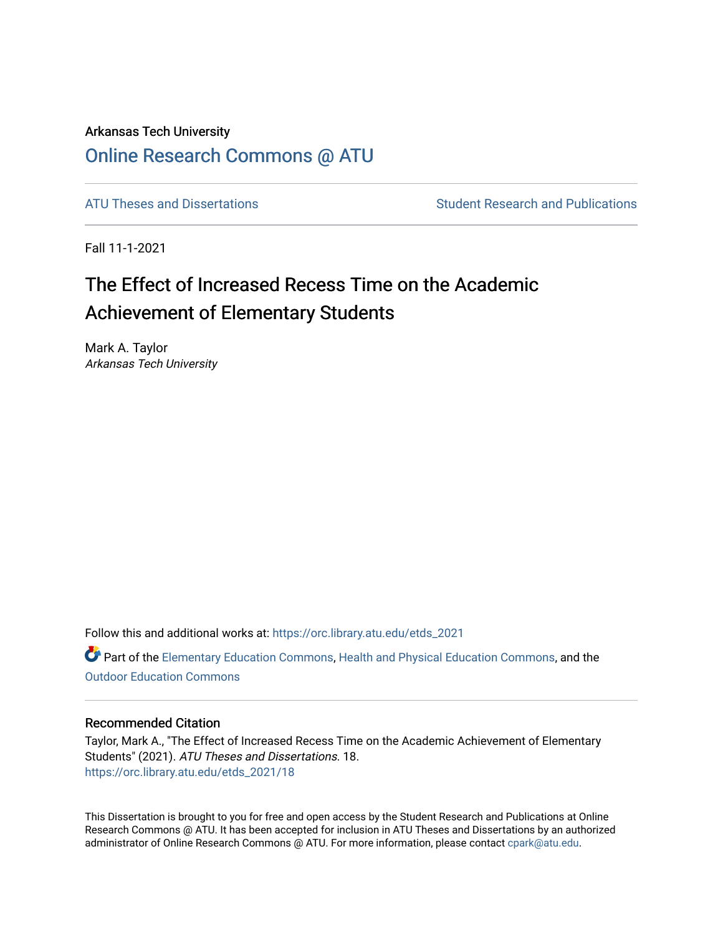# Arkansas Tech University [Online Research Commons @ ATU](https://orc.library.atu.edu/)

[ATU Theses and Dissertations](https://orc.library.atu.edu/etds_2021) Theorem Student Research and Publications

Fall 11-1-2021

# The Effect of Increased Recess Time on the Academic Achievement of Elementary Students

Mark A. Taylor Arkansas Tech University

Follow this and additional works at: [https://orc.library.atu.edu/etds\\_2021](https://orc.library.atu.edu/etds_2021?utm_source=orc.library.atu.edu%2Fetds_2021%2F18&utm_medium=PDF&utm_campaign=PDFCoverPages) Part of the [Elementary Education Commons,](http://network.bepress.com/hgg/discipline/1378?utm_source=orc.library.atu.edu%2Fetds_2021%2F18&utm_medium=PDF&utm_campaign=PDFCoverPages) [Health and Physical Education Commons](http://network.bepress.com/hgg/discipline/1327?utm_source=orc.library.atu.edu%2Fetds_2021%2F18&utm_medium=PDF&utm_campaign=PDFCoverPages), and the

[Outdoor Education Commons](http://network.bepress.com/hgg/discipline/1381?utm_source=orc.library.atu.edu%2Fetds_2021%2F18&utm_medium=PDF&utm_campaign=PDFCoverPages)

# Recommended Citation

Taylor, Mark A., "The Effect of Increased Recess Time on the Academic Achievement of Elementary Students" (2021). ATU Theses and Dissertations. 18. [https://orc.library.atu.edu/etds\\_2021/18](https://orc.library.atu.edu/etds_2021/18?utm_source=orc.library.atu.edu%2Fetds_2021%2F18&utm_medium=PDF&utm_campaign=PDFCoverPages) 

This Dissertation is brought to you for free and open access by the Student Research and Publications at Online Research Commons @ ATU. It has been accepted for inclusion in ATU Theses and Dissertations by an authorized administrator of Online Research Commons @ ATU. For more information, please contact [cpark@atu.edu](mailto:cpark@atu.edu).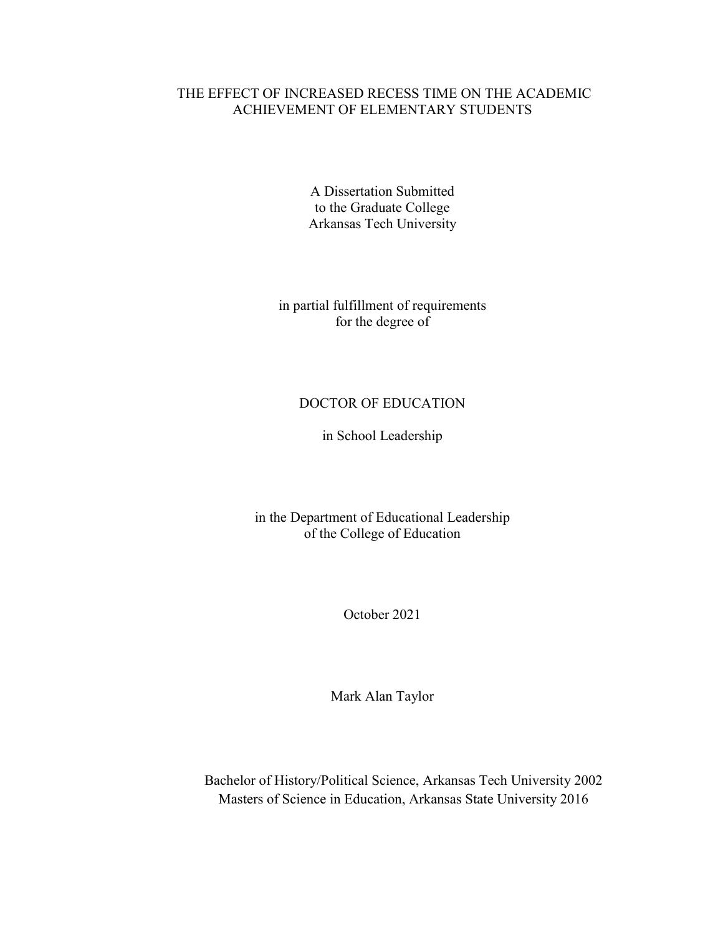# THE EFFECT OF INCREASED RECESS TIME ON THE ACADEMIC ACHIEVEMENT OF ELEMENTARY STUDENTS

A Dissertation Submitted to the Graduate College Arkansas Tech University

in partial fulfillment of requirements for the degree of

# DOCTOR OF EDUCATION

in School Leadership

in the Department of Educational Leadership of the College of Education

October 2021

Mark Alan Taylor

Bachelor of History/Political Science, Arkansas Tech University 2002 Masters of Science in Education, Arkansas State University 2016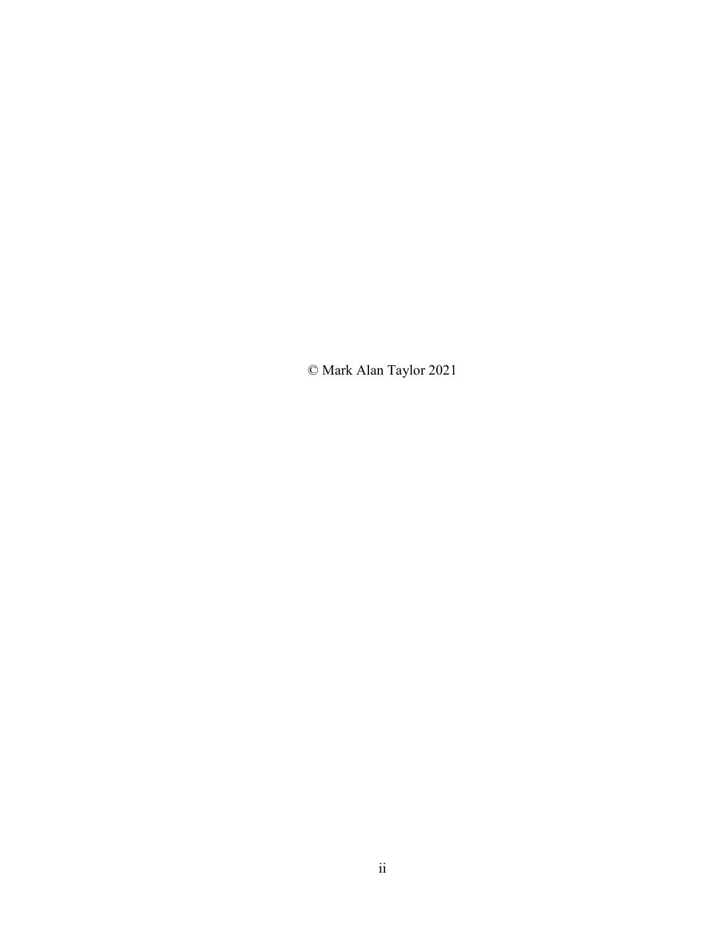© Mark Alan Taylor 2021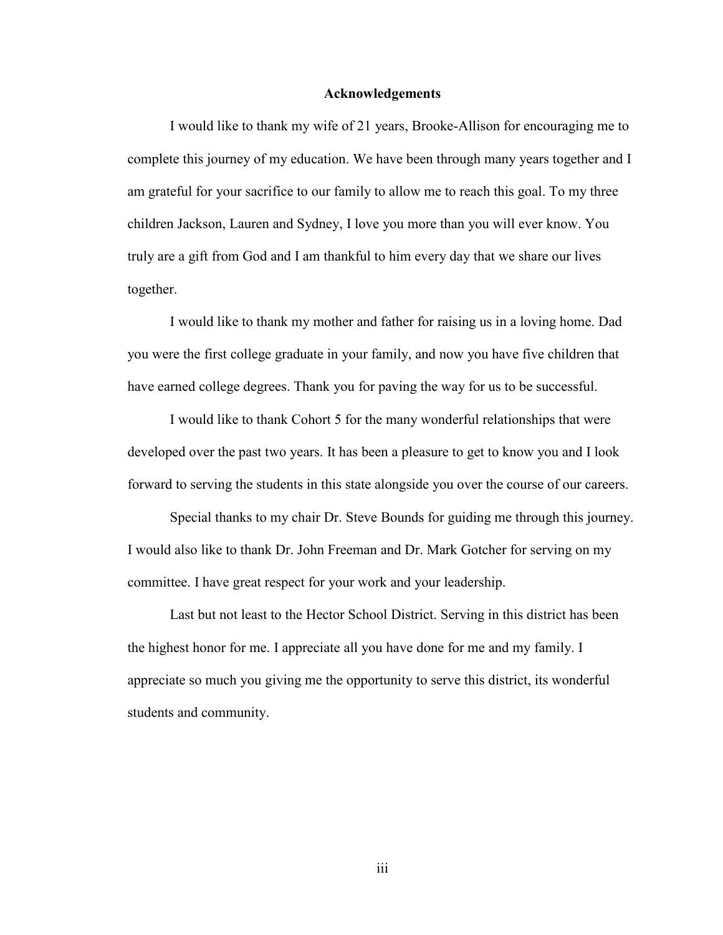#### **Acknowledgements**

I would like to thank my wife of 21 years, Brooke-Allison for encouraging me to complete this journey of my education. We have been through many years together and I am grateful for your sacrifice to our family to allow me to reach this goal. To my three children Jackson, Lauren and Sydney, I love you more than you will ever know. You truly are a gift from God and I am thankful to him every day that we share our lives together.

I would like to thank my mother and father for raising us in a loving home. Dad you were the first college graduate in your family, and now you have five children that have earned college degrees. Thank you for paving the way for us to be successful.

I would like to thank Cohort 5 for the many wonderful relationships that were developed over the past two years. It has been a pleasure to get to know you and I look forward to serving the students in this state alongside you over the course of our careers.

Special thanks to my chair Dr. Steve Bounds for guiding me through this journey. I would also like to thank Dr. John Freeman and Dr. Mark Gotcher for serving on my committee. I have great respect for your work and your leadership.

Last but not least to the Hector School District. Serving in this district has been the highest honor for me. I appreciate all you have done for me and my family. I appreciate so much you giving me the opportunity to serve this district, its wonderful students and community.

iii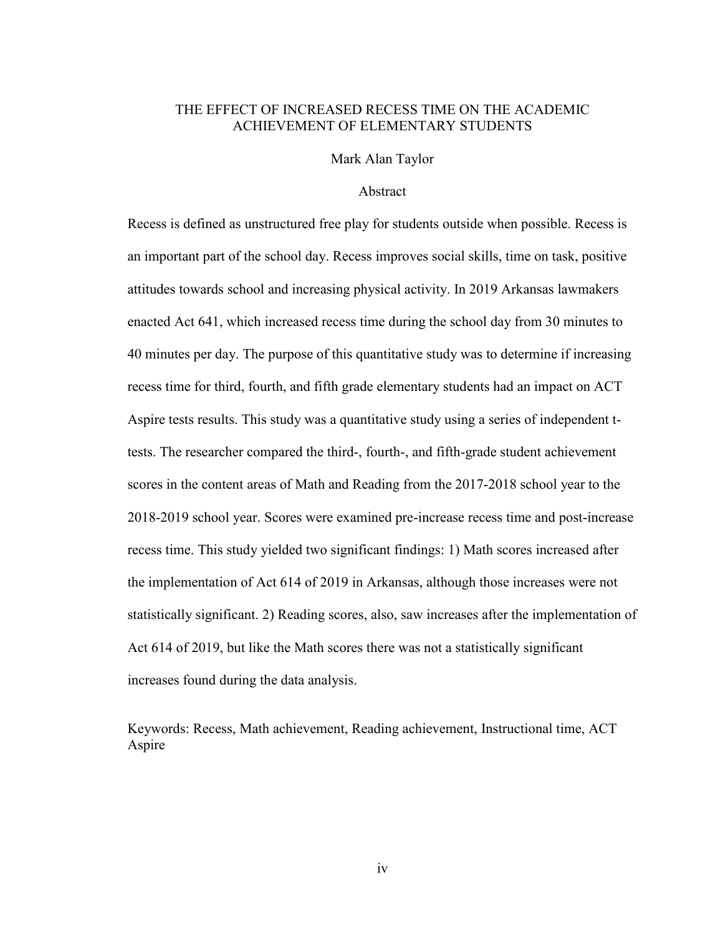# THE EFFECT OF INCREASED RECESS TIME ON THE ACADEMIC ACHIEVEMENT OF ELEMENTARY STUDENTS

Mark Alan Taylor

## Abstract

Recess is defined as unstructured free play for students outside when possible. Recess is an important part of the school day. Recess improves social skills, time on task, positive attitudes towards school and increasing physical activity. In 2019 Arkansas lawmakers enacted Act 641, which increased recess time during the school day from 30 minutes to 40 minutes per day. The purpose of this quantitative study was to determine if increasing recess time for third, fourth, and fifth grade elementary students had an impact on ACT Aspire tests results. This study was a quantitative study using a series of independent ttests. The researcher compared the third-, fourth-, and fifth-grade student achievement scores in the content areas of Math and Reading from the 2017-2018 school year to the 2018-2019 school year. Scores were examined pre-increase recess time and post-increase recess time. This study yielded two significant findings: 1) Math scores increased after the implementation of Act 614 of 2019 in Arkansas, although those increases were not statistically significant. 2) Reading scores, also, saw increases after the implementation of Act 614 of 2019, but like the Math scores there was not a statistically significant increases found during the data analysis.

Keywords: Recess, Math achievement, Reading achievement, Instructional time, ACT Aspire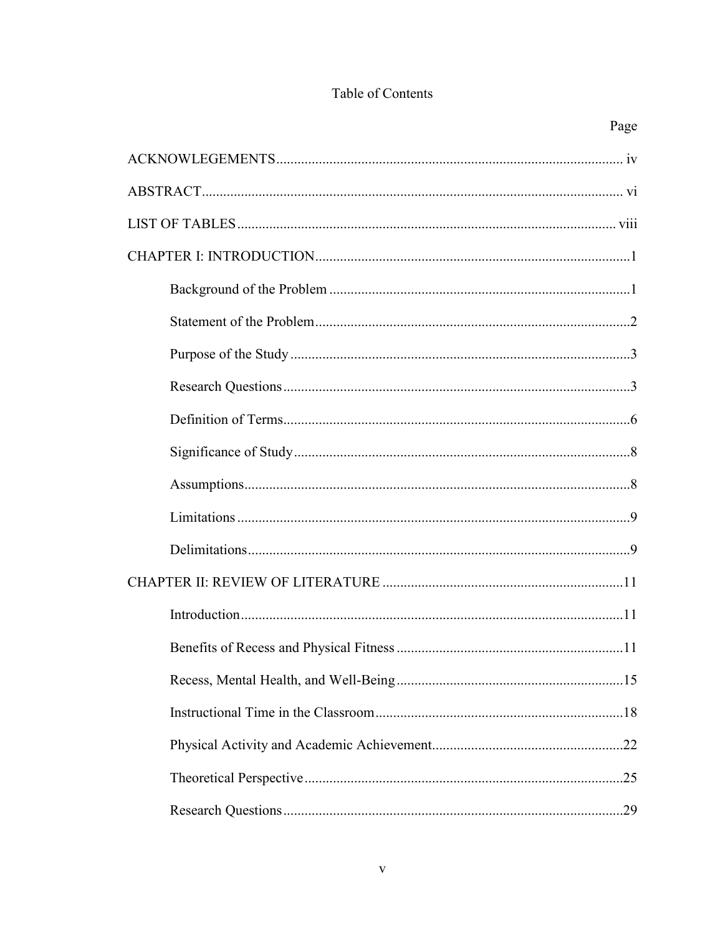# Table of Contents

| Page |
|------|
|      |
|      |
|      |
|      |
|      |
|      |
|      |
|      |
|      |
|      |
|      |
|      |
|      |
|      |
|      |
|      |
|      |
|      |
|      |
|      |
|      |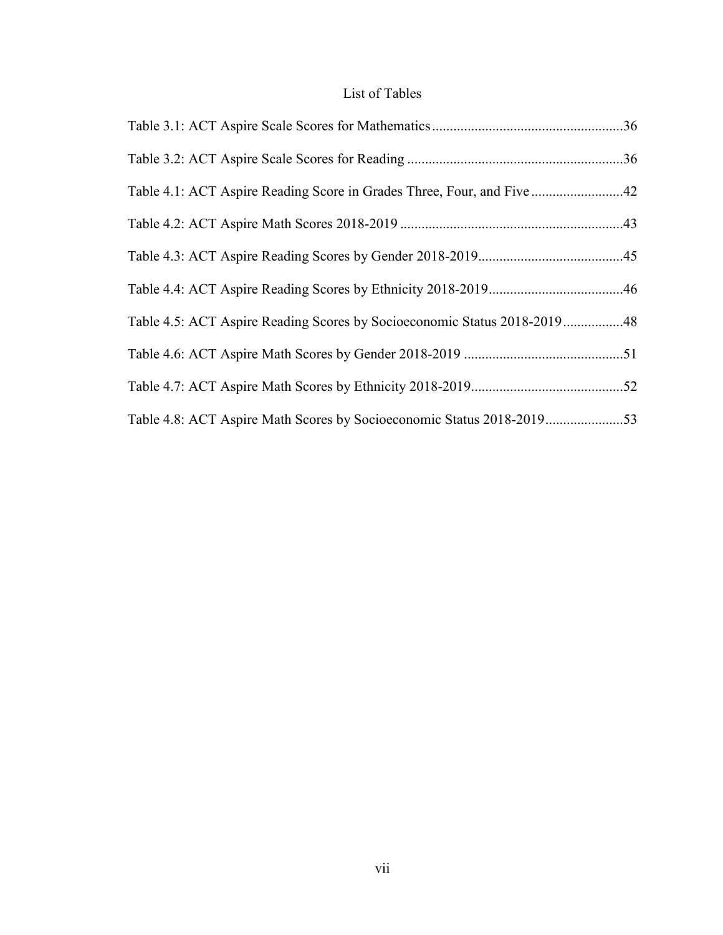# List of Tables

| Table 4.1: ACT Aspire Reading Score in Grades Three, Four, and Five 42   |  |
|--------------------------------------------------------------------------|--|
|                                                                          |  |
|                                                                          |  |
|                                                                          |  |
| Table 4.5: ACT Aspire Reading Scores by Socioeconomic Status 2018-201948 |  |
|                                                                          |  |
|                                                                          |  |
| Table 4.8: ACT Aspire Math Scores by Socioeconomic Status 2018-201953    |  |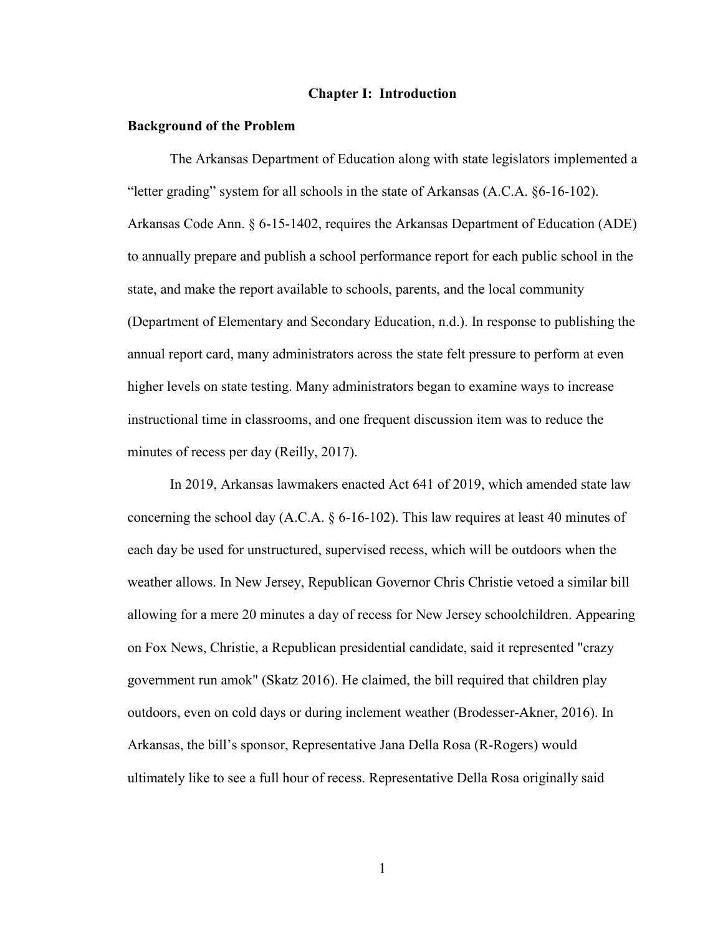#### **Chapter I: Introduction**

#### **Background of the Problem**

The Arkansas Department of Education along with state legislators implemented a "letter grading" system for all schools in the state of Arkansas (A.C.A. §6-16-102). Arkansas Code Ann. § 6-15-1402, requires the Arkansas Department of Education (ADE) to annually prepare and publish a school performance report for each public school in the state, and make the report available to schools, parents, and the local community (Department of Elementary and Secondary Education, n.d.). In response to publishing the annual report card, many administrators across the state felt pressure to perform at even higher levels on state testing. Many administrators began to examine ways to increase instructional time in classrooms, and one frequent discussion item was to reduce the minutes of recess per day (Reilly, 2017).

In 2019, Arkansas lawmakers enacted Act 641 of 2019, which amended state law concerning the school day (A.C.A.  $\S 6$ -16-102). This law requires at least 40 minutes of each day be used for unstructured, supervised recess, which will be outdoors when the weather allows. In New Jersey, Republican Governor Chris Christie vetoed a similar bill allowing for a mere 20 minutes a day of recess for New Jersey schoolchildren. Appearing on Fox News, Christie, a Republican presidential candidate, said it represented "crazy government run amok" (Skatz 2016). He claimed, the bill required that children play outdoors, even on cold days or during inclement weather (Brodesser-Akner, 2016). In Arkansas, the bill's sponsor, Representative Jana Della Rosa (R-Rogers) would ultimately like to see a full hour of recess. Representative Della Rosa originally said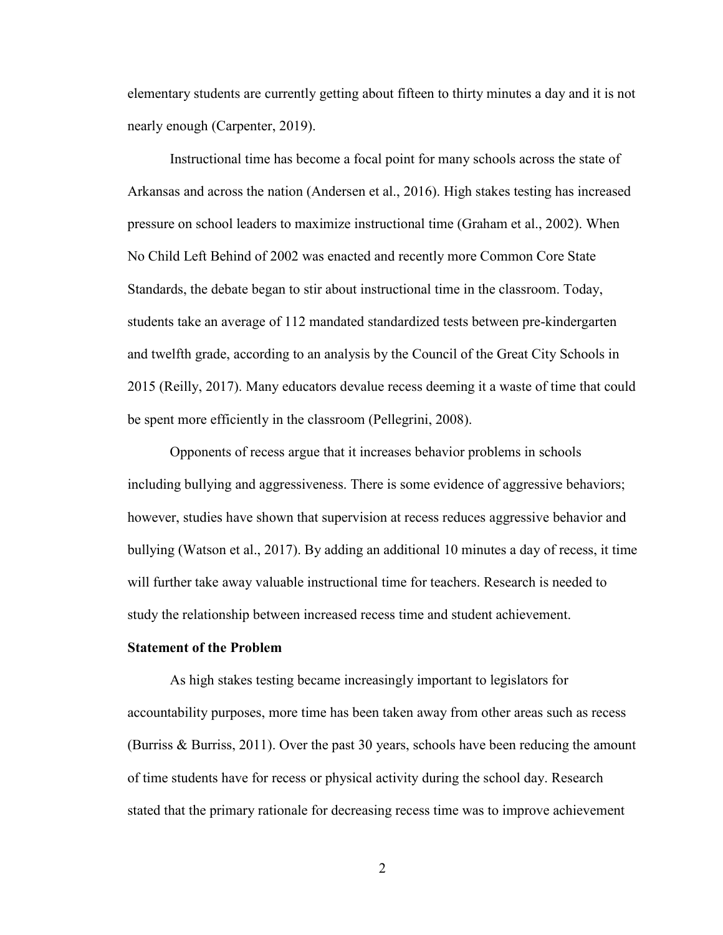elementary students are currently getting about fifteen to thirty minutes a day and it is not nearly enough (Carpenter, 2019).

Instructional time has become a focal point for many schools across the state of Arkansas and across the nation (Andersen et al., 2016). High stakes testing has increased pressure on school leaders to maximize instructional time (Graham et al., 2002). When No Child Left Behind of 2002 was enacted and recently more Common Core State Standards, the debate began to stir about instructional time in the classroom. Today, students take an average of 112 mandated standardized tests between pre-kindergarten and twelfth grade, according to an analysis by the Council of the Great City Schools in 2015 (Reilly, 2017). Many educators devalue recess deeming it a waste of time that could be spent more efficiently in the classroom (Pellegrini, 2008).

Opponents of recess argue that it increases behavior problems in schools including bullying and aggressiveness. There is some evidence of aggressive behaviors; however, studies have shown that supervision at recess reduces aggressive behavior and bullying (Watson et al., 2017). By adding an additional 10 minutes a day of recess, it time will further take away valuable instructional time for teachers. Research is needed to study the relationship between increased recess time and student achievement.

#### **Statement of the Problem**

As high stakes testing became increasingly important to legislators for accountability purposes, more time has been taken away from other areas such as recess (Burriss & Burriss, 2011). Over the past 30 years, schools have been reducing the amount of time students have for recess or physical activity during the school day. Research stated that the primary rationale for decreasing recess time was to improve achievement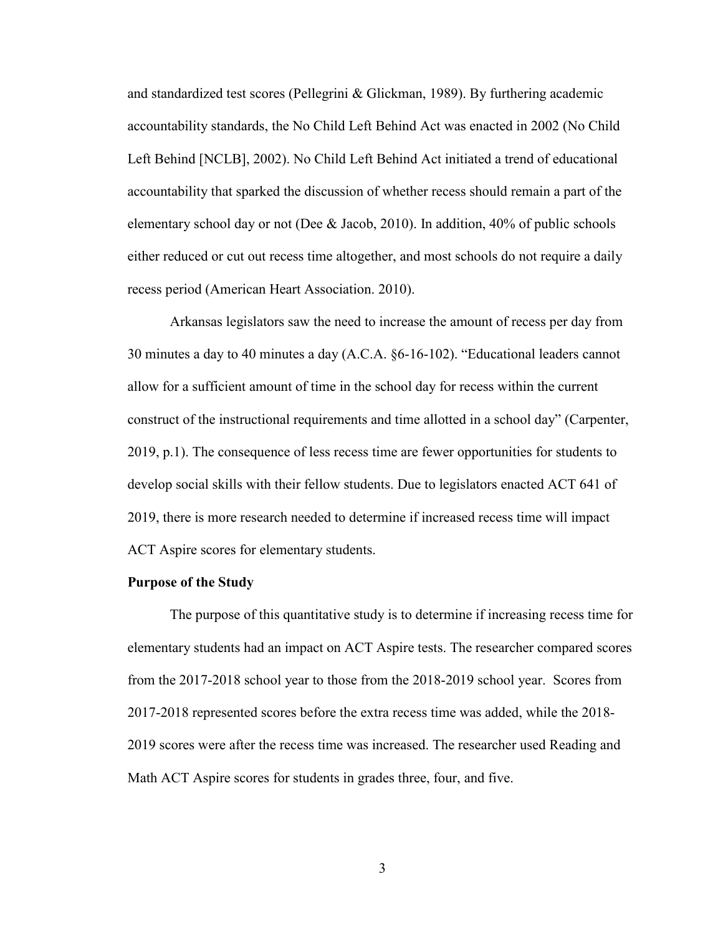and standardized test scores (Pellegrini & Glickman, 1989). By furthering academic accountability standards, the No Child Left Behind Act was enacted in 2002 (No Child Left Behind [NCLB], 2002). No Child Left Behind Act initiated a trend of educational accountability that sparked the discussion of whether recess should remain a part of the elementary school day or not (Dee & Jacob, 2010). In addition, 40% of public schools either reduced or cut out recess time altogether, and most schools do not require a daily recess period (American Heart Association. 2010).

Arkansas legislators saw the need to increase the amount of recess per day from 30 minutes a day to 40 minutes a day (A.C.A. §6-16-102). "Educational leaders cannot allow for a sufficient amount of time in the school day for recess within the current construct of the instructional requirements and time allotted in a school day" (Carpenter, 2019, p.1). The consequence of less recess time are fewer opportunities for students to develop social skills with their fellow students. Due to legislators enacted ACT 641 of 2019, there is more research needed to determine if increased recess time will impact ACT Aspire scores for elementary students.

#### **Purpose of the Study**

The purpose of this quantitative study is to determine if increasing recess time for elementary students had an impact on ACT Aspire tests. The researcher compared scores from the 2017-2018 school year to those from the 2018-2019 school year. Scores from 2017-2018 represented scores before the extra recess time was added, while the 2018- 2019 scores were after the recess time was increased. The researcher used Reading and Math ACT Aspire scores for students in grades three, four, and five.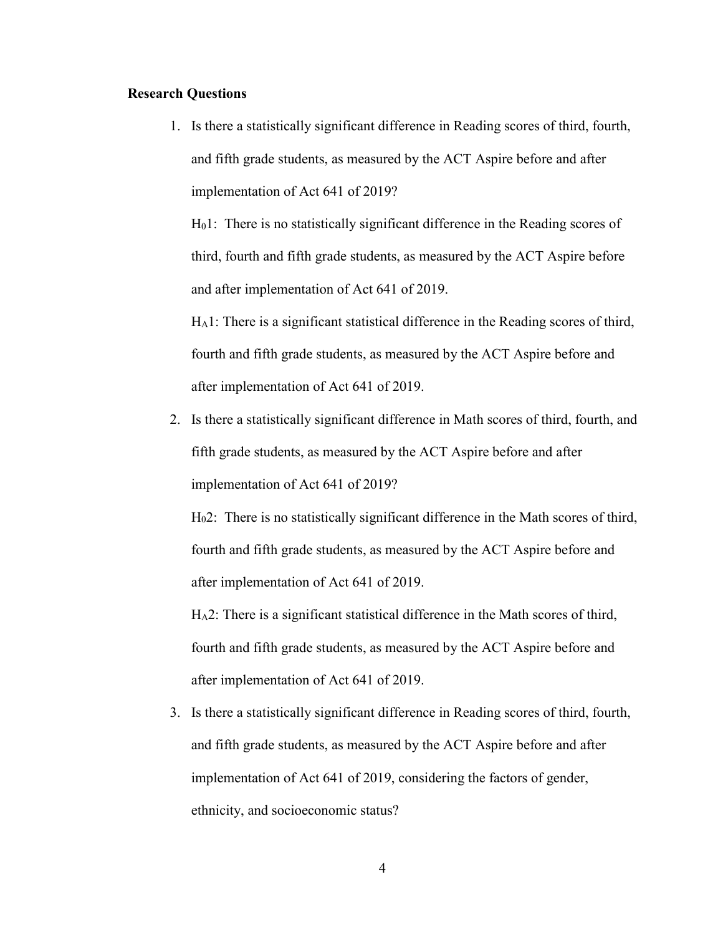## **Research Questions**

1. Is there a statistically significant difference in Reading scores of third, fourth, and fifth grade students, as measured by the ACT Aspire before and after implementation of Act 641 of 2019?

H01: There is no statistically significant difference in the Reading scores of third, fourth and fifth grade students, as measured by the ACT Aspire before and after implementation of Act 641 of 2019.

HA1: There is a significant statistical difference in the Reading scores of third, fourth and fifth grade students, as measured by the ACT Aspire before and after implementation of Act 641 of 2019.

2. Is there a statistically significant difference in Math scores of third, fourth, and fifth grade students, as measured by the ACT Aspire before and after implementation of Act 641 of 2019?

H02: There is no statistically significant difference in the Math scores of third, fourth and fifth grade students, as measured by the ACT Aspire before and after implementation of Act 641 of 2019.

HA2: There is a significant statistical difference in the Math scores of third, fourth and fifth grade students, as measured by the ACT Aspire before and after implementation of Act 641 of 2019.

3. Is there a statistically significant difference in Reading scores of third, fourth, and fifth grade students, as measured by the ACT Aspire before and after implementation of Act 641 of 2019, considering the factors of gender, ethnicity, and socioeconomic status?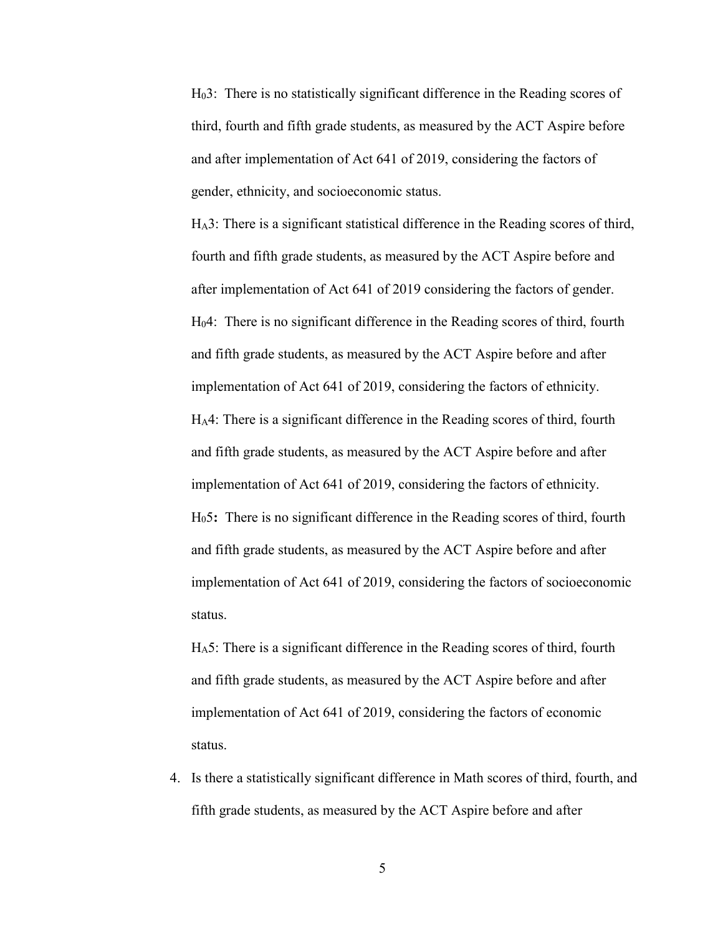H03: There is no statistically significant difference in the Reading scores of third, fourth and fifth grade students, as measured by the ACT Aspire before and after implementation of Act 641 of 2019, considering the factors of gender, ethnicity, and socioeconomic status.

HA3: There is a significant statistical difference in the Reading scores of third, fourth and fifth grade students, as measured by the ACT Aspire before and after implementation of Act 641 of 2019 considering the factors of gender. H04: There is no significant difference in the Reading scores of third, fourth and fifth grade students, as measured by the ACT Aspire before and after implementation of Act 641 of 2019, considering the factors of ethnicity. HA4: There is a significant difference in the Reading scores of third, fourth and fifth grade students, as measured by the ACT Aspire before and after implementation of Act 641 of 2019, considering the factors of ethnicity. H05**:** There is no significant difference in the Reading scores of third, fourth and fifth grade students, as measured by the ACT Aspire before and after implementation of Act 641 of 2019, considering the factors of socioeconomic status.

HA5: There is a significant difference in the Reading scores of third, fourth and fifth grade students, as measured by the ACT Aspire before and after implementation of Act 641 of 2019, considering the factors of economic status.

4. Is there a statistically significant difference in Math scores of third, fourth, and fifth grade students, as measured by the ACT Aspire before and after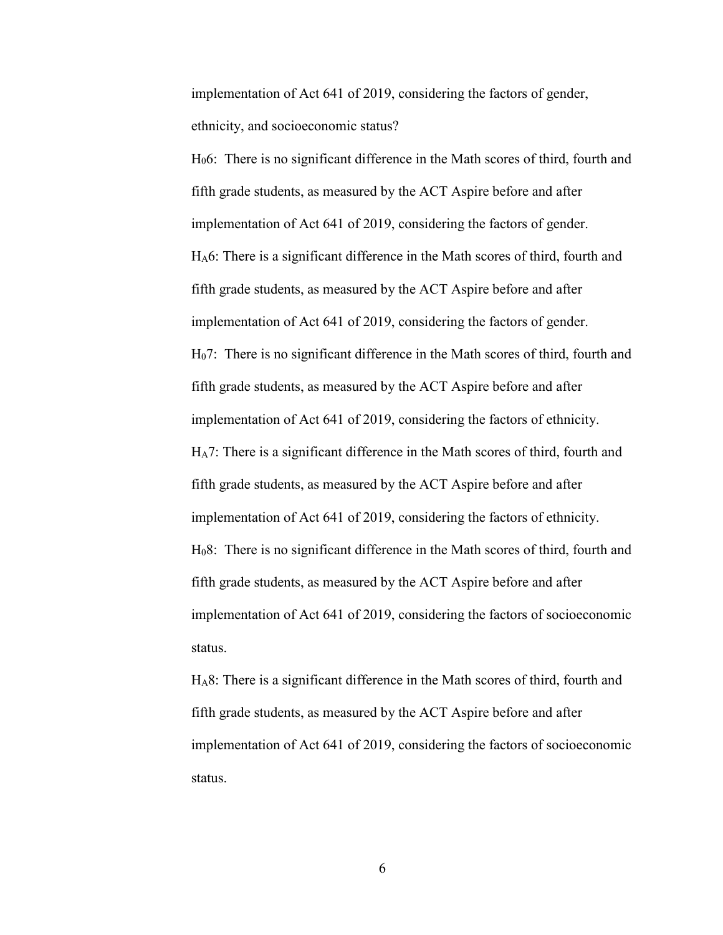implementation of Act 641 of 2019, considering the factors of gender, ethnicity, and socioeconomic status?

H06: There is no significant difference in the Math scores of third, fourth and fifth grade students, as measured by the ACT Aspire before and after implementation of Act 641 of 2019, considering the factors of gender. HA6: There is a significant difference in the Math scores of third, fourth and fifth grade students, as measured by the ACT Aspire before and after implementation of Act 641 of 2019, considering the factors of gender. H07: There is no significant difference in the Math scores of third, fourth and fifth grade students, as measured by the ACT Aspire before and after implementation of Act 641 of 2019, considering the factors of ethnicity. HA7: There is a significant difference in the Math scores of third, fourth and fifth grade students, as measured by the ACT Aspire before and after implementation of Act 641 of 2019, considering the factors of ethnicity. H08: There is no significant difference in the Math scores of third, fourth and fifth grade students, as measured by the ACT Aspire before and after implementation of Act 641 of 2019, considering the factors of socioeconomic status.

HA8: There is a significant difference in the Math scores of third, fourth and fifth grade students, as measured by the ACT Aspire before and after implementation of Act 641 of 2019, considering the factors of socioeconomic status.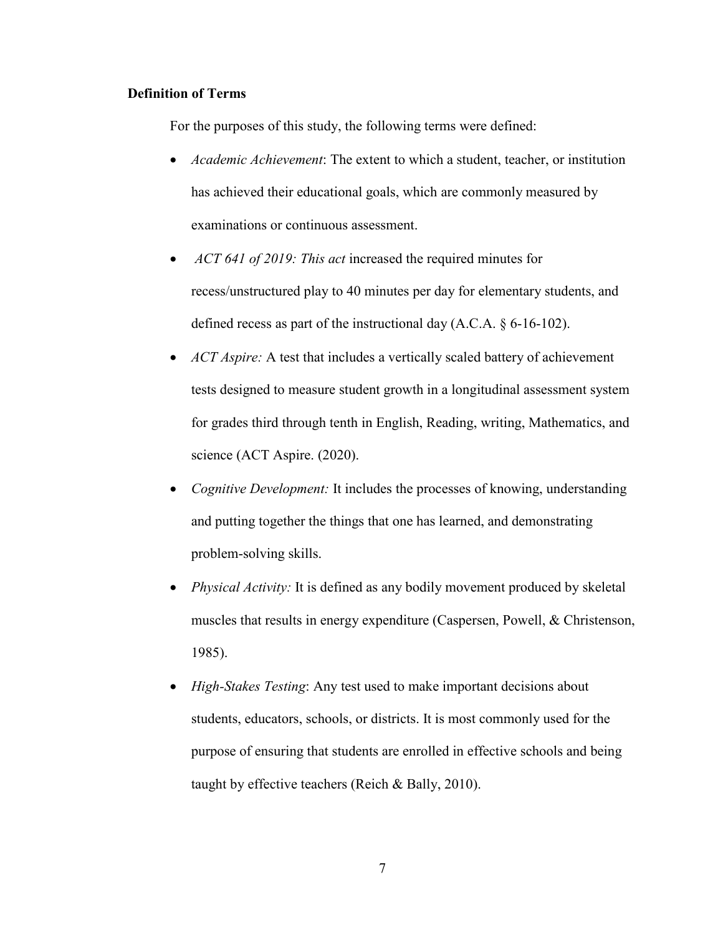## **Definition of Terms**

For the purposes of this study, the following terms were defined:

- *Academic Achievement*: The extent to which a student, teacher, or institution has achieved their educational goals, which are commonly measured by examinations or continuous assessment.
- *ACT 641 of 2019: This act* increased the required minutes for recess/unstructured play to 40 minutes per day for elementary students, and defined recess as part of the instructional day (A.C.A. § 6-16-102).
- *ACT Aspire:* A test that includes a vertically scaled battery of achievement tests designed to measure student growth in a longitudinal assessment system for grades third through tenth in English, Reading, writing, Mathematics, and science (ACT Aspire. (2020).
- *Cognitive Development:* It includes the processes of knowing, understanding and putting together the things that one has learned, and demonstrating problem-solving skills.
- *Physical Activity:* It is defined as any bodily movement produced by skeletal muscles that results in energy expenditure (Caspersen, Powell, & Christenson, 1985).
- *High-Stakes Testing*: Any test used to make important decisions about students, educators, schools, or districts. It is most commonly used for the purpose of ensuring that students are enrolled in effective schools and being taught by effective teachers (Reich & Bally, 2010).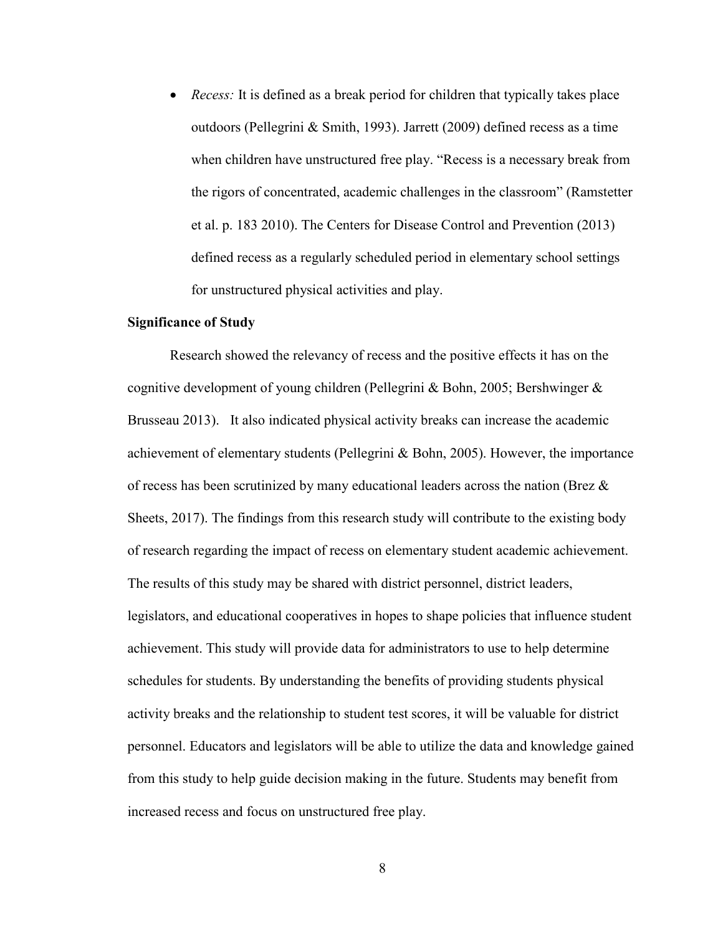• *Recess:* It is defined as a break period for children that typically takes place outdoors (Pellegrini & Smith, 1993). Jarrett (2009) defined recess as a time when children have unstructured free play. "Recess is a necessary break from the rigors of concentrated, academic challenges in the classroom" (Ramstetter et al. p. 183 2010). The Centers for Disease Control and Prevention (2013) defined recess as a regularly scheduled period in elementary school settings for unstructured physical activities and play.

#### **Significance of Study**

Research showed the relevancy of recess and the positive effects it has on the cognitive development of young children (Pellegrini & Bohn, 2005; Bershwinger & Brusseau 2013). It also indicated physical activity breaks can increase the academic achievement of elementary students (Pellegrini & Bohn, 2005). However, the importance of recess has been scrutinized by many educational leaders across the nation (Brez & Sheets, 2017). The findings from this research study will contribute to the existing body of research regarding the impact of recess on elementary student academic achievement. The results of this study may be shared with district personnel, district leaders, legislators, and educational cooperatives in hopes to shape policies that influence student achievement. This study will provide data for administrators to use to help determine schedules for students. By understanding the benefits of providing students physical activity breaks and the relationship to student test scores, it will be valuable for district personnel. Educators and legislators will be able to utilize the data and knowledge gained from this study to help guide decision making in the future. Students may benefit from increased recess and focus on unstructured free play.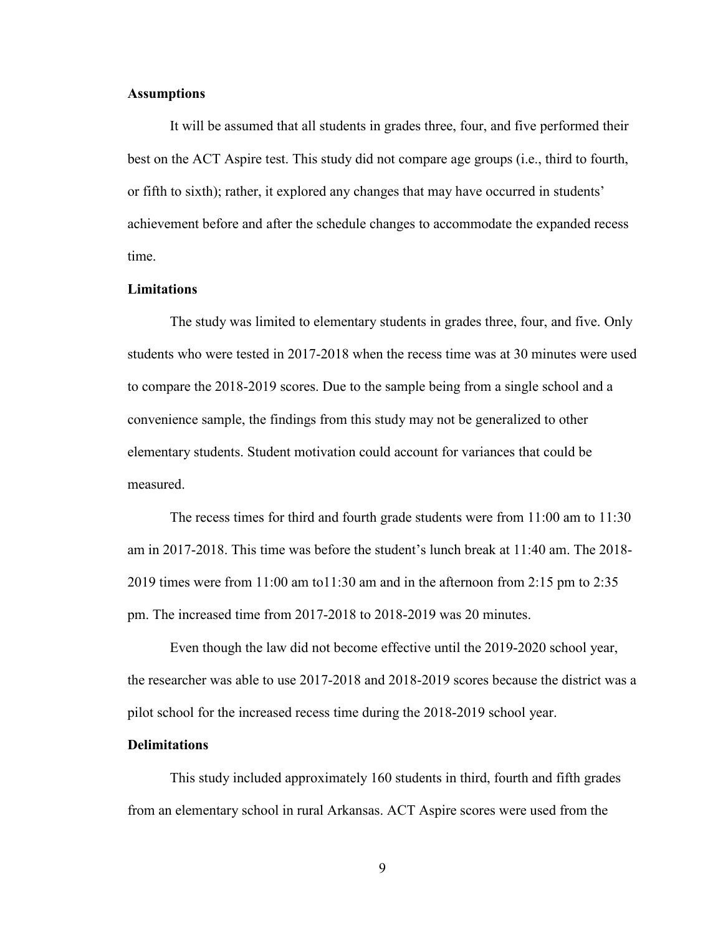## **Assumptions**

It will be assumed that all students in grades three, four, and five performed their best on the ACT Aspire test. This study did not compare age groups (i.e., third to fourth, or fifth to sixth); rather, it explored any changes that may have occurred in students' achievement before and after the schedule changes to accommodate the expanded recess time.

#### **Limitations**

The study was limited to elementary students in grades three, four, and five. Only students who were tested in 2017-2018 when the recess time was at 30 minutes were used to compare the 2018-2019 scores. Due to the sample being from a single school and a convenience sample, the findings from this study may not be generalized to other elementary students. Student motivation could account for variances that could be measured.

The recess times for third and fourth grade students were from 11:00 am to 11:30 am in 2017-2018. This time was before the student's lunch break at 11:40 am. The 2018- 2019 times were from 11:00 am to11:30 am and in the afternoon from 2:15 pm to 2:35 pm. The increased time from 2017-2018 to 2018-2019 was 20 minutes.

Even though the law did not become effective until the 2019-2020 school year, the researcher was able to use 2017-2018 and 2018-2019 scores because the district was a pilot school for the increased recess time during the 2018-2019 school year.

#### **Delimitations**

This study included approximately 160 students in third, fourth and fifth grades from an elementary school in rural Arkansas. ACT Aspire scores were used from the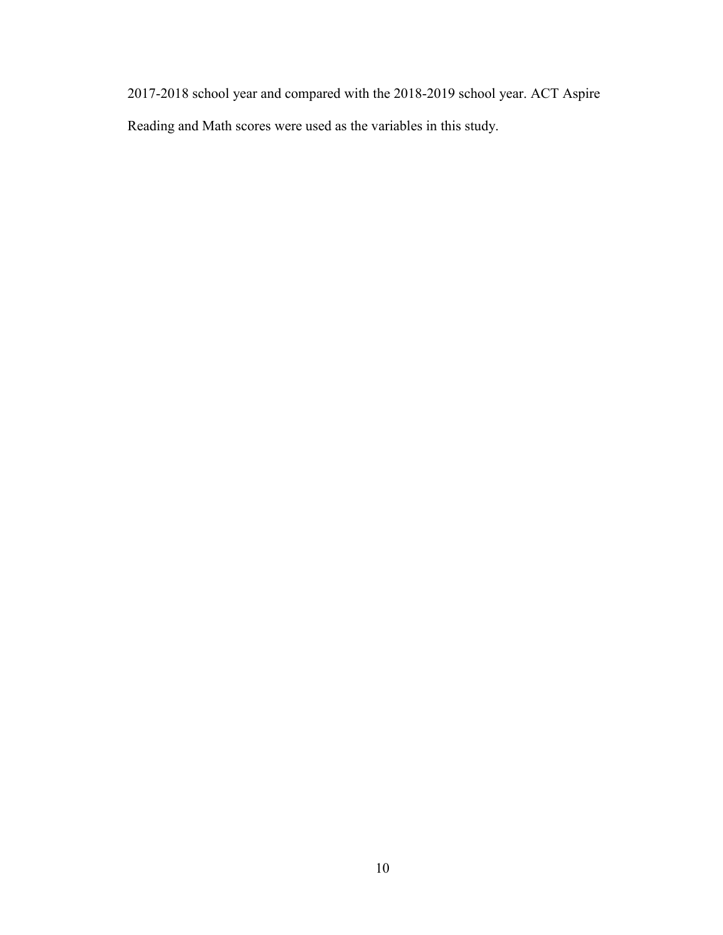2017-2018 school year and compared with the 2018-2019 school year. ACT Aspire Reading and Math scores were used as the variables in this study.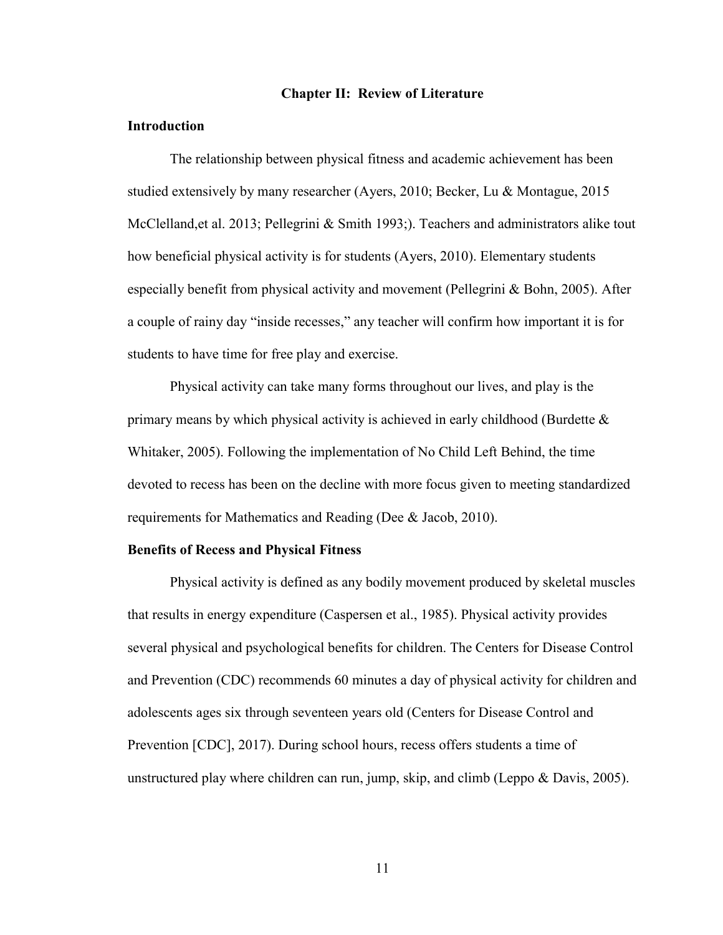#### **Chapter II: Review of Literature**

#### **Introduction**

The relationship between physical fitness and academic achievement has been studied extensively by many researcher (Ayers, 2010; Becker, Lu & Montague, 2015 McClelland,et al. 2013; Pellegrini & Smith 1993;). Teachers and administrators alike tout how beneficial physical activity is for students (Ayers, 2010). Elementary students especially benefit from physical activity and movement (Pellegrini & Bohn, 2005). After a couple of rainy day "inside recesses," any teacher will confirm how important it is for students to have time for free play and exercise.

Physical activity can take many forms throughout our lives, and play is the primary means by which physical activity is achieved in early childhood (Burdette  $\&$ Whitaker, 2005). Following the implementation of No Child Left Behind, the time devoted to recess has been on the decline with more focus given to meeting standardized requirements for Mathematics and Reading (Dee & Jacob, 2010).

#### **Benefits of Recess and Physical Fitness**

Physical activity is defined as any bodily movement produced by skeletal muscles that results in energy expenditure (Caspersen et al., 1985). Physical activity provides several physical and psychological benefits for children. The Centers for Disease Control and Prevention (CDC) recommends 60 minutes a day of physical activity for children and adolescents ages six through seventeen years old (Centers for Disease Control and Prevention [CDC], 2017). During school hours, recess offers students a time of unstructured play where children can run, jump, skip, and climb (Leppo & Davis, 2005).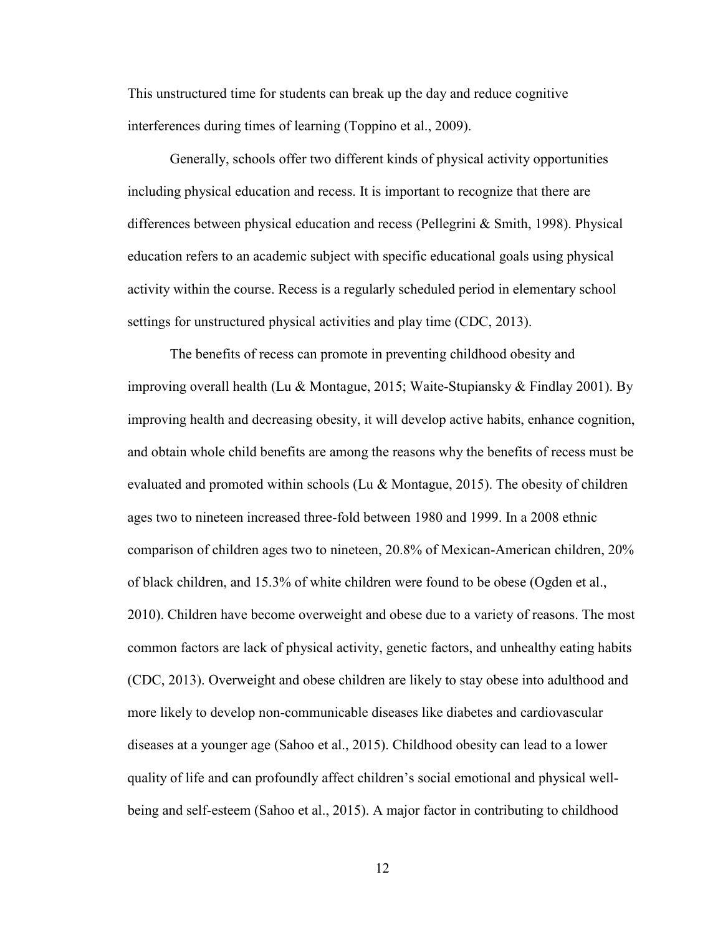This unstructured time for students can break up the day and reduce cognitive interferences during times of learning (Toppino et al., 2009).

Generally, schools offer two different kinds of physical activity opportunities including physical education and recess. It is important to recognize that there are differences between physical education and recess (Pellegrini & Smith, 1998). Physical education refers to an academic subject with specific educational goals using physical activity within the course. Recess is a regularly scheduled period in elementary school settings for unstructured physical activities and play time (CDC, 2013).

The benefits of recess can promote in preventing childhood obesity and improving overall health (Lu & Montague, 2015; Waite-Stupiansky & Findlay 2001). By improving health and decreasing obesity, it will develop active habits, enhance cognition, and obtain whole child benefits are among the reasons why the benefits of recess must be evaluated and promoted within schools (Lu & Montague, 2015). The obesity of children ages two to nineteen increased three-fold between 1980 and 1999. In a 2008 ethnic comparison of children ages two to nineteen, 20.8% of Mexican-American children, 20% of black children, and 15.3% of white children were found to be obese (Ogden et al., 2010). Children have become overweight and obese due to a variety of reasons. The most common factors are lack of physical activity, genetic factors, and unhealthy eating habits (CDC, 2013). Overweight and obese children are likely to stay obese into adulthood and more likely to develop non-communicable diseases like diabetes and cardiovascular diseases at a younger age (Sahoo et al., 2015). Childhood obesity can lead to a lower quality of life and can profoundly affect children's social emotional and physical wellbeing and self-esteem (Sahoo et al., 2015). A major factor in contributing to childhood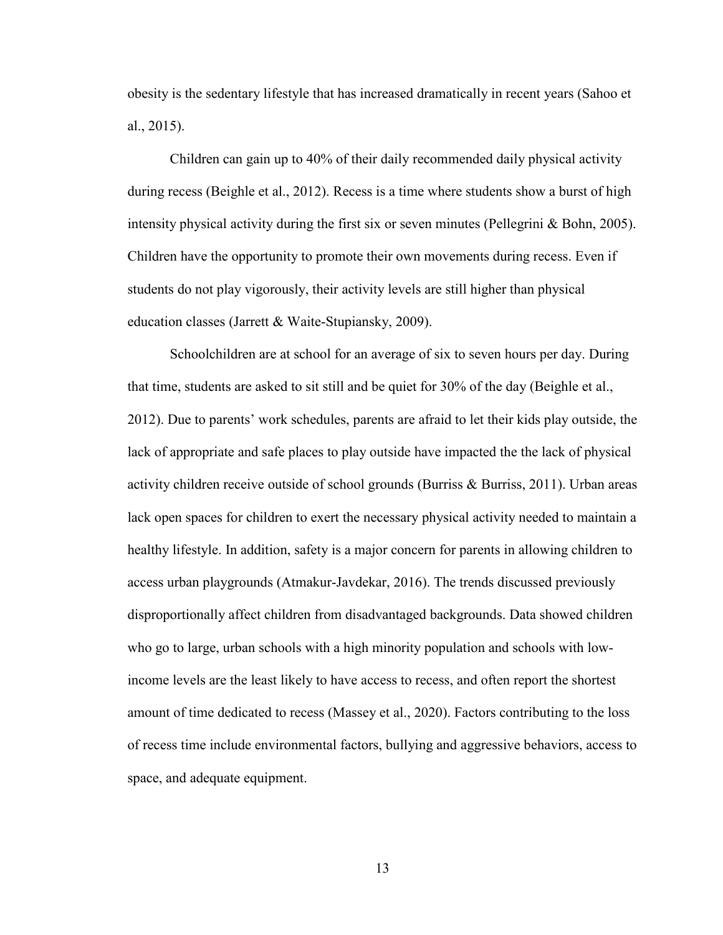obesity is the sedentary lifestyle that has increased dramatically in recent years (Sahoo et al., 2015).

Children can gain up to 40% of their daily recommended daily physical activity during recess (Beighle et al., 2012). Recess is a time where students show a burst of high intensity physical activity during the first six or seven minutes (Pellegrini & Bohn, 2005). Children have the opportunity to promote their own movements during recess. Even if students do not play vigorously, their activity levels are still higher than physical education classes (Jarrett & Waite-Stupiansky, 2009).

Schoolchildren are at school for an average of six to seven hours per day. During that time, students are asked to sit still and be quiet for 30% of the day (Beighle et al., 2012). Due to parents' work schedules, parents are afraid to let their kids play outside, the lack of appropriate and safe places to play outside have impacted the the lack of physical activity children receive outside of school grounds (Burriss & Burriss, 2011). Urban areas lack open spaces for children to exert the necessary physical activity needed to maintain a healthy lifestyle. In addition, safety is a major concern for parents in allowing children to access urban playgrounds (Atmakur-Javdekar, 2016). The trends discussed previously disproportionally affect children from disadvantaged backgrounds. Data showed children who go to large, urban schools with a high minority population and schools with lowincome levels are the least likely to have access to recess, and often report the shortest amount of time dedicated to recess (Massey et al., 2020). Factors contributing to the loss of recess time include environmental factors, bullying and aggressive behaviors, access to space, and adequate equipment.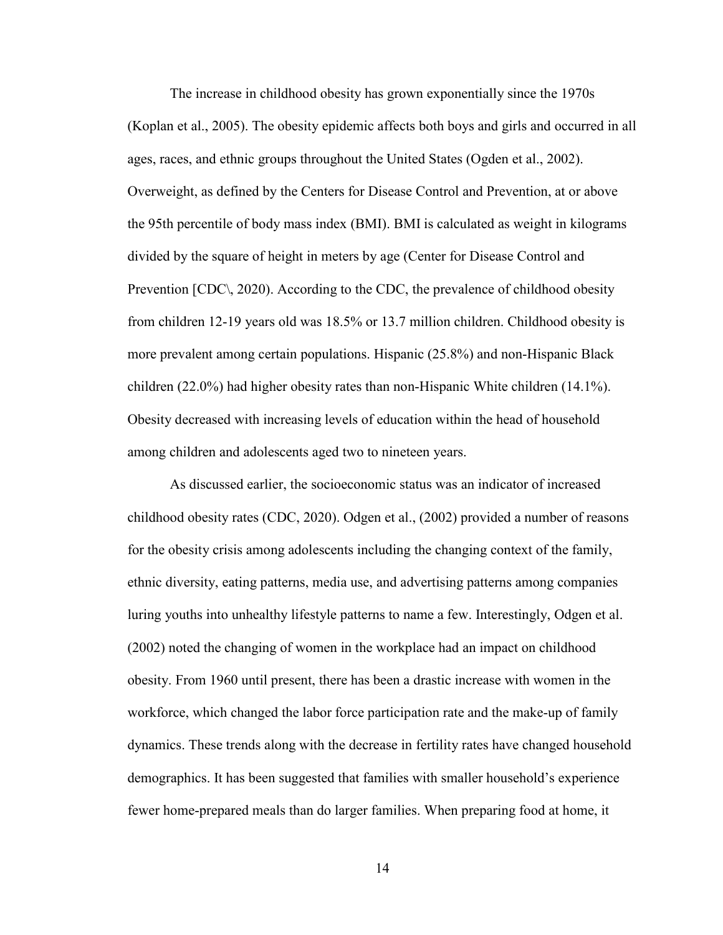The increase in childhood obesity has grown exponentially since the 1970s (Koplan et al., 2005). The obesity epidemic affects both boys and girls and occurred in all ages, races, and ethnic groups throughout the United States (Ogden et al., 2002). Overweight, as defined by the Centers for Disease Control and Prevention, at or above the 95th percentile of body mass index (BMI). BMI is calculated as weight in kilograms divided by the square of height in meters by age (Center for Disease Control and Prevention [CDC\, 2020). According to the CDC, the prevalence of childhood obesity from children 12-19 years old was 18.5% or 13.7 million children. Childhood obesity is more prevalent among certain populations. Hispanic (25.8%) and non-Hispanic Black children (22.0%) had higher obesity rates than non-Hispanic White children (14.1%). Obesity decreased with increasing levels of education within the head of household among children and adolescents aged two to nineteen years.

As discussed earlier, the socioeconomic status was an indicator of increased childhood obesity rates (CDC, 2020). Odgen et al., (2002) provided a number of reasons for the obesity crisis among adolescents including the changing context of the family, ethnic diversity, eating patterns, media use, and advertising patterns among companies luring youths into unhealthy lifestyle patterns to name a few. Interestingly, Odgen et al. (2002) noted the changing of women in the workplace had an impact on childhood obesity. From 1960 until present, there has been a drastic increase with women in the workforce, which changed the labor force participation rate and the make-up of family dynamics. These trends along with the decrease in fertility rates have changed household demographics. It has been suggested that families with smaller household's experience fewer home-prepared meals than do larger families. When preparing food at home, it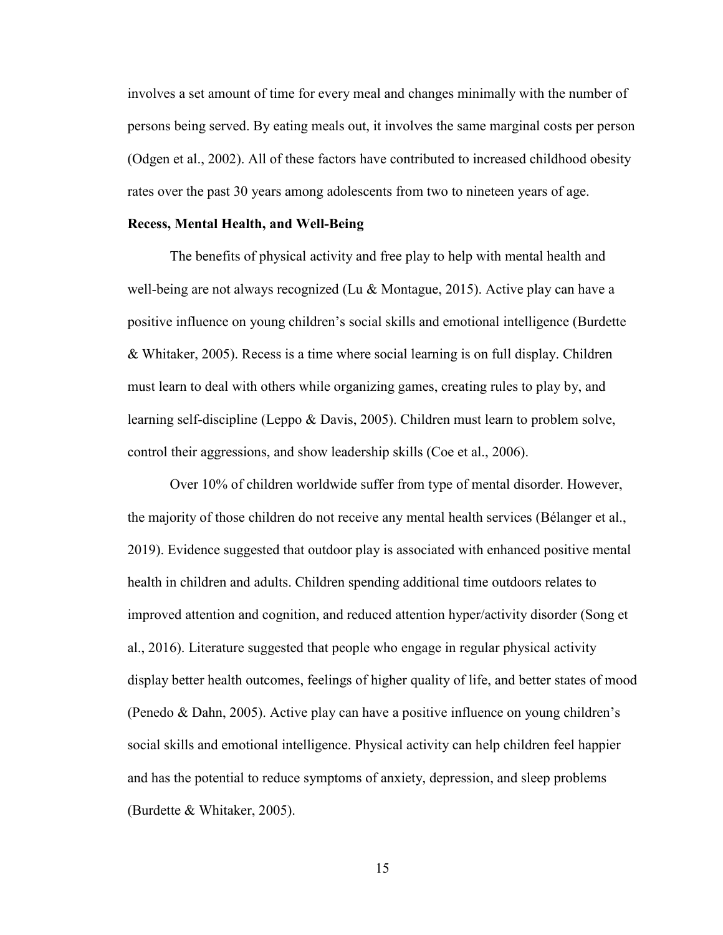involves a set amount of time for every meal and changes minimally with the number of persons being served. By eating meals out, it involves the same marginal costs per person (Odgen et al., 2002). All of these factors have contributed to increased childhood obesity rates over the past 30 years among adolescents from two to nineteen years of age.

#### **Recess, Mental Health, and Well-Being**

The benefits of physical activity and free play to help with mental health and well-being are not always recognized (Lu & Montague, 2015). Active play can have a positive influence on young children's social skills and emotional intelligence (Burdette & Whitaker, 2005). Recess is a time where social learning is on full display. Children must learn to deal with others while organizing games, creating rules to play by, and learning self-discipline (Leppo & Davis, 2005). Children must learn to problem solve, control their aggressions, and show leadership skills (Coe et al., 2006).

Over 10% of children worldwide suffer from type of mental disorder. However, the majority of those children do not receive any mental health services (Bélanger et al., 2019). Evidence suggested that outdoor play is associated with enhanced positive mental health in children and adults. Children spending additional time outdoors relates to improved attention and cognition, and reduced attention hyper/activity disorder (Song et al., 2016). Literature suggested that people who engage in regular physical activity display better health outcomes, feelings of higher quality of life, and better states of mood (Penedo & Dahn, 2005). Active play can have a positive influence on young children's social skills and emotional intelligence. Physical activity can help children feel happier and has the potential to reduce symptoms of anxiety, depression, and sleep problems (Burdette & Whitaker, 2005).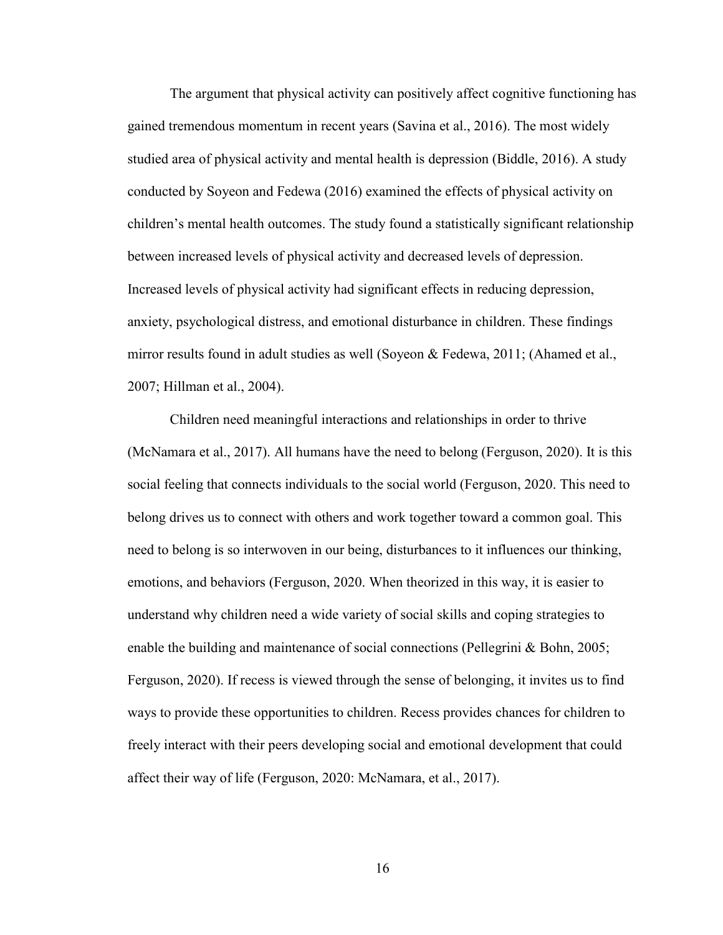The argument that physical activity can positively affect cognitive functioning has gained tremendous momentum in recent years (Savina et al., 2016). The most widely studied area of physical activity and mental health is depression (Biddle, 2016). A study conducted by Soyeon and Fedewa (2016) examined the effects of physical activity on children's mental health outcomes. The study found a statistically significant relationship between increased levels of physical activity and decreased levels of depression. Increased levels of physical activity had significant effects in reducing depression, anxiety, psychological distress, and emotional disturbance in children. These findings mirror results found in adult studies as well (Soyeon & Fedewa, 2011; (Ahamed et al., 2007; Hillman et al., 2004).

Children need meaningful interactions and relationships in order to thrive (McNamara et al., 2017). All humans have the need to belong (Ferguson, 2020). It is this social feeling that connects individuals to the social world (Ferguson, 2020. This need to belong drives us to connect with others and work together toward a common goal. This need to belong is so interwoven in our being, disturbances to it influences our thinking, emotions, and behaviors (Ferguson, 2020. When theorized in this way, it is easier to understand why children need a wide variety of social skills and coping strategies to enable the building and maintenance of social connections (Pellegrini & Bohn, 2005; Ferguson, 2020). If recess is viewed through the sense of belonging, it invites us to find ways to provide these opportunities to children. Recess provides chances for children to freely interact with their peers developing social and emotional development that could affect their way of life (Ferguson, 2020: McNamara, et al., 2017).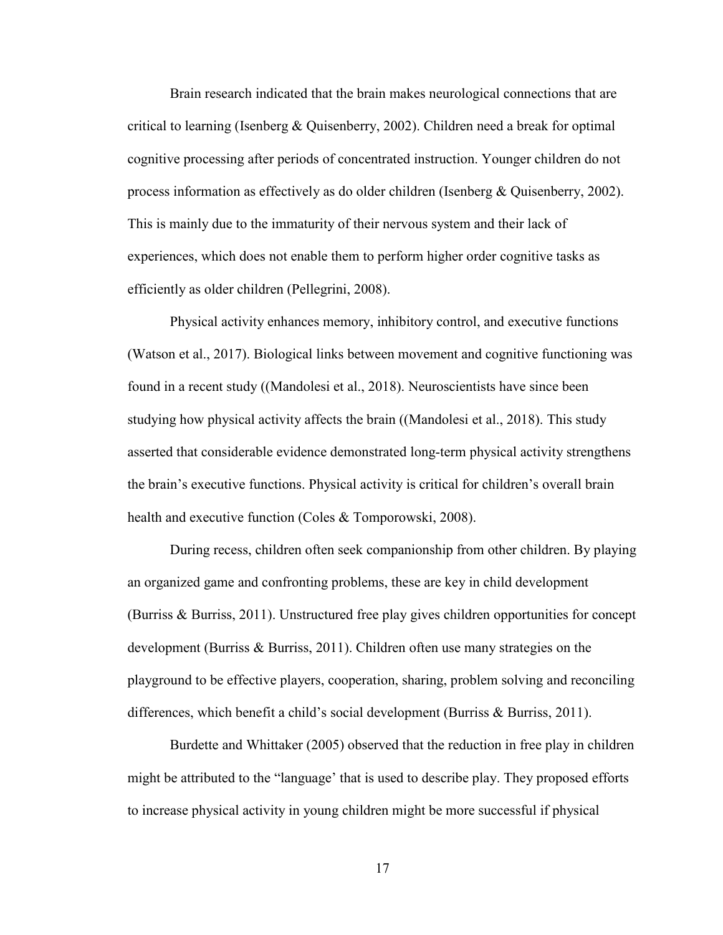Brain research indicated that the brain makes neurological connections that are critical to learning (Isenberg  $&$  Quisenberry, 2002). Children need a break for optimal cognitive processing after periods of concentrated instruction. Younger children do not process information as effectively as do older children (Isenberg & Quisenberry, 2002). This is mainly due to the immaturity of their nervous system and their lack of experiences, which does not enable them to perform higher order cognitive tasks as efficiently as older children (Pellegrini, 2008).

Physical activity enhances memory, inhibitory control, and executive functions (Watson et al., 2017). Biological links between movement and cognitive functioning was found in a recent study ((Mandolesi et al., 2018). Neuroscientists have since been studying how physical activity affects the brain ((Mandolesi et al., 2018). This study asserted that considerable evidence demonstrated long-term physical activity strengthens the brain's executive functions. Physical activity is critical for children's overall brain health and executive function (Coles & Tomporowski, 2008).

During recess, children often seek companionship from other children. By playing an organized game and confronting problems, these are key in child development (Burriss & Burriss, 2011). Unstructured free play gives children opportunities for concept development (Burriss & Burriss, 2011). Children often use many strategies on the playground to be effective players, cooperation, sharing, problem solving and reconciling differences, which benefit a child's social development (Burriss & Burriss, 2011).

Burdette and Whittaker (2005) observed that the reduction in free play in children might be attributed to the "language' that is used to describe play. They proposed efforts to increase physical activity in young children might be more successful if physical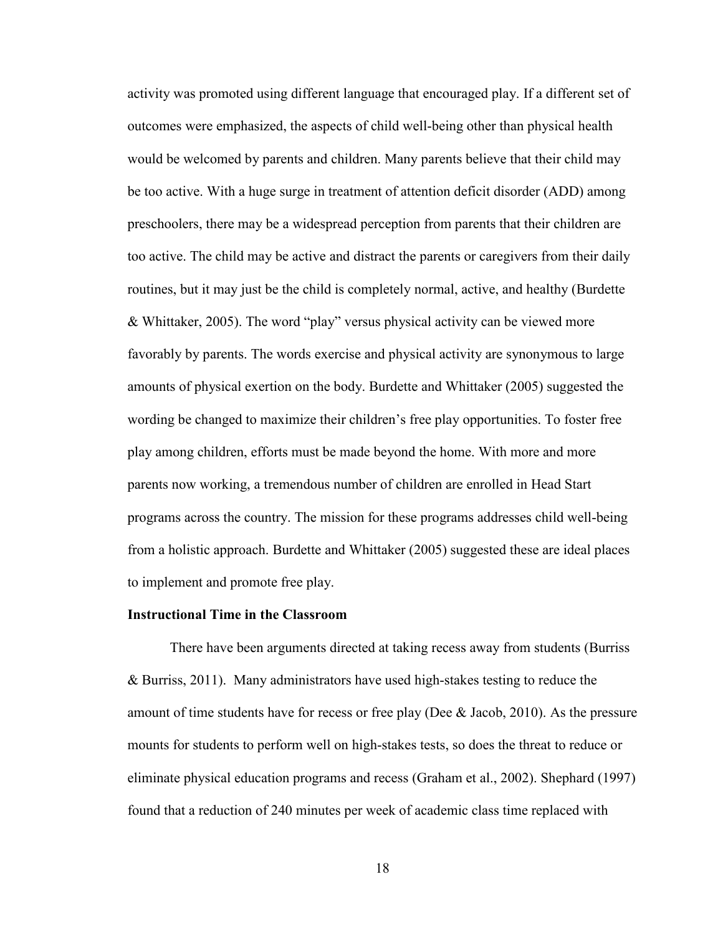activity was promoted using different language that encouraged play. If a different set of outcomes were emphasized, the aspects of child well-being other than physical health would be welcomed by parents and children. Many parents believe that their child may be too active. With a huge surge in treatment of attention deficit disorder (ADD) among preschoolers, there may be a widespread perception from parents that their children are too active. The child may be active and distract the parents or caregivers from their daily routines, but it may just be the child is completely normal, active, and healthy (Burdette & Whittaker, 2005). The word "play" versus physical activity can be viewed more favorably by parents. The words exercise and physical activity are synonymous to large amounts of physical exertion on the body. Burdette and Whittaker (2005) suggested the wording be changed to maximize their children's free play opportunities. To foster free play among children, efforts must be made beyond the home. With more and more parents now working, a tremendous number of children are enrolled in Head Start programs across the country. The mission for these programs addresses child well-being from a holistic approach. Burdette and Whittaker (2005) suggested these are ideal places to implement and promote free play.

#### **Instructional Time in the Classroom**

There have been arguments directed at taking recess away from students (Burriss & Burriss, 2011). Many administrators have used high-stakes testing to reduce the amount of time students have for recess or free play (Dee & Jacob, 2010). As the pressure mounts for students to perform well on high-stakes tests, so does the threat to reduce or eliminate physical education programs and recess (Graham et al., 2002). Shephard (1997) found that a reduction of 240 minutes per week of academic class time replaced with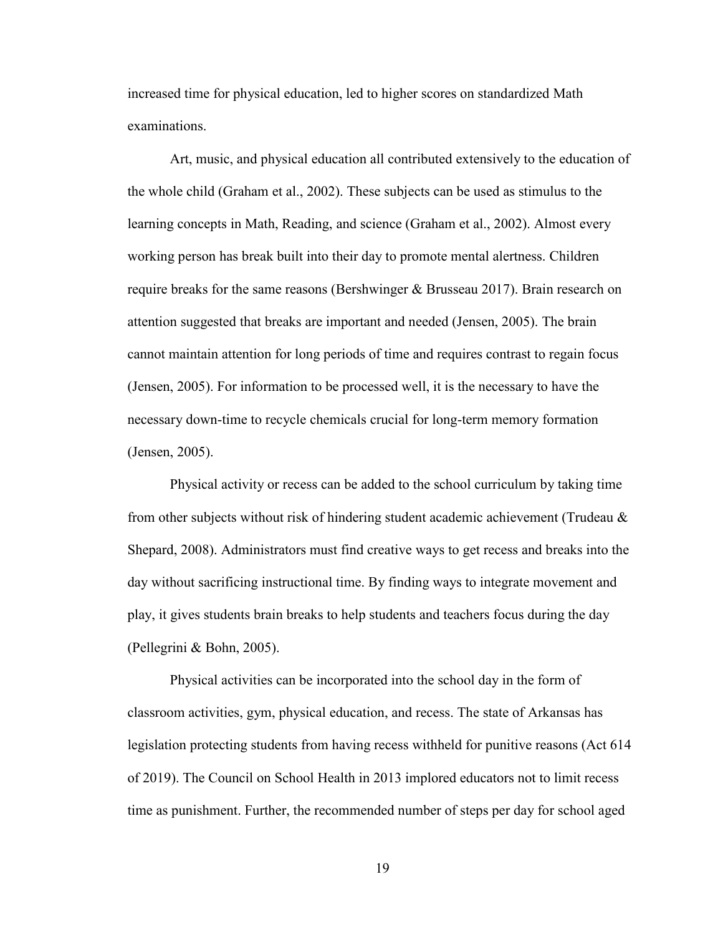increased time for physical education, led to higher scores on standardized Math examinations.

Art, music, and physical education all contributed extensively to the education of the whole child (Graham et al., 2002). These subjects can be used as stimulus to the learning concepts in Math, Reading, and science (Graham et al., 2002). Almost every working person has break built into their day to promote mental alertness. Children require breaks for the same reasons (Bershwinger & Brusseau 2017). Brain research on attention suggested that breaks are important and needed (Jensen, 2005). The brain cannot maintain attention for long periods of time and requires contrast to regain focus (Jensen, 2005). For information to be processed well, it is the necessary to have the necessary down-time to recycle chemicals crucial for long-term memory formation (Jensen, 2005).

Physical activity or recess can be added to the school curriculum by taking time from other subjects without risk of hindering student academic achievement (Trudeau & Shepard, 2008). Administrators must find creative ways to get recess and breaks into the day without sacrificing instructional time. By finding ways to integrate movement and play, it gives students brain breaks to help students and teachers focus during the day (Pellegrini & Bohn, 2005).

Physical activities can be incorporated into the school day in the form of classroom activities, gym, physical education, and recess. The state of Arkansas has legislation protecting students from having recess withheld for punitive reasons (Act 614 of 2019). The Council on School Health in 2013 implored educators not to limit recess time as punishment. Further, the recommended number of steps per day for school aged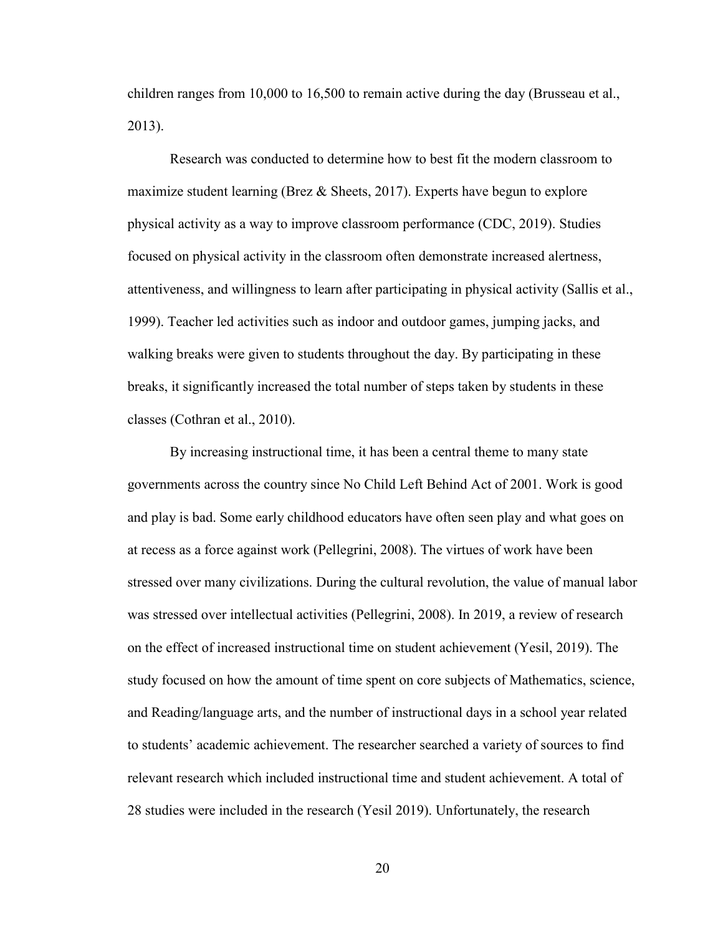children ranges from 10,000 to 16,500 to remain active during the day (Brusseau et al., 2013).

Research was conducted to determine how to best fit the modern classroom to maximize student learning (Brez & Sheets, 2017). Experts have begun to explore physical activity as a way to improve classroom performance (CDC, 2019). Studies focused on physical activity in the classroom often demonstrate increased alertness, attentiveness, and willingness to learn after participating in physical activity (Sallis et al., 1999). Teacher led activities such as indoor and outdoor games, jumping jacks, and walking breaks were given to students throughout the day. By participating in these breaks, it significantly increased the total number of steps taken by students in these classes (Cothran et al., 2010).

By increasing instructional time, it has been a central theme to many state governments across the country since No Child Left Behind Act of 2001. Work is good and play is bad. Some early childhood educators have often seen play and what goes on at recess as a force against work (Pellegrini, 2008). The virtues of work have been stressed over many civilizations. During the cultural revolution, the value of manual labor was stressed over intellectual activities (Pellegrini, 2008). In 2019, a review of research on the effect of increased instructional time on student achievement (Yesil, 2019). The study focused on how the amount of time spent on core subjects of Mathematics, science, and Reading/language arts, and the number of instructional days in a school year related to students' academic achievement. The researcher searched a variety of sources to find relevant research which included instructional time and student achievement. A total of 28 studies were included in the research (Yesil 2019). Unfortunately, the research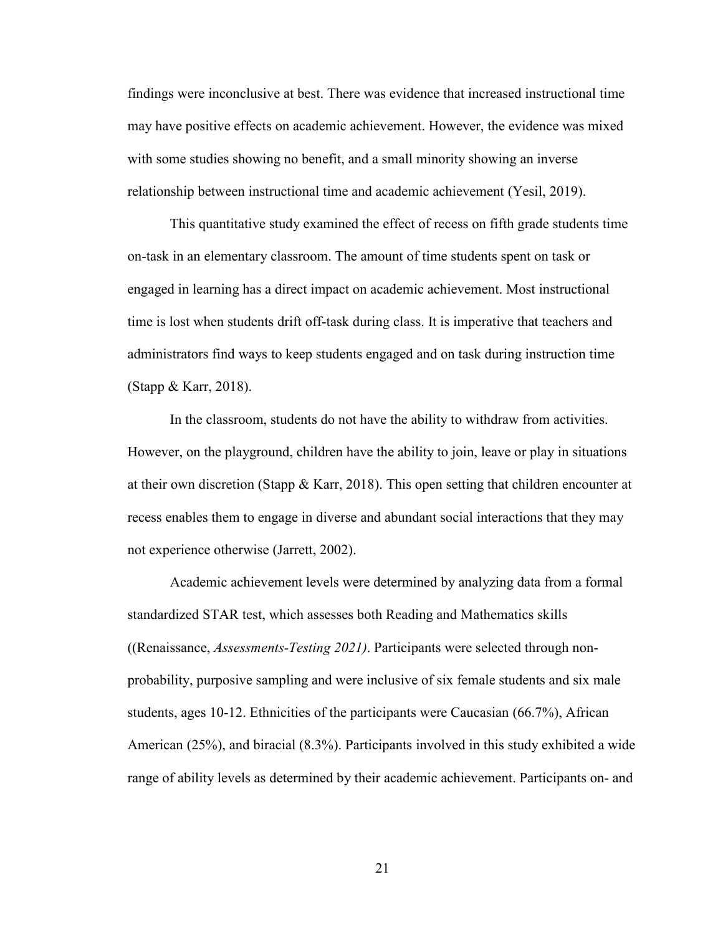findings were inconclusive at best. There was evidence that increased instructional time may have positive effects on academic achievement. However, the evidence was mixed with some studies showing no benefit, and a small minority showing an inverse relationship between instructional time and academic achievement (Yesil, 2019).

This quantitative study examined the effect of recess on fifth grade students time on-task in an elementary classroom. The amount of time students spent on task or engaged in learning has a direct impact on academic achievement. Most instructional time is lost when students drift off-task during class. It is imperative that teachers and administrators find ways to keep students engaged and on task during instruction time (Stapp & Karr, 2018).

In the classroom, students do not have the ability to withdraw from activities. However, on the playground, children have the ability to join, leave or play in situations at their own discretion (Stapp & Karr, 2018). This open setting that children encounter at recess enables them to engage in diverse and abundant social interactions that they may not experience otherwise (Jarrett, 2002).

Academic achievement levels were determined by analyzing data from a formal standardized STAR test, which assesses both Reading and Mathematics skills ((Renaissance, *Assessments-Testing 2021)*. Participants were selected through nonprobability, purposive sampling and were inclusive of six female students and six male students, ages 10-12. Ethnicities of the participants were Caucasian (66.7%), African American (25%), and biracial (8.3%). Participants involved in this study exhibited a wide range of ability levels as determined by their academic achievement. Participants on- and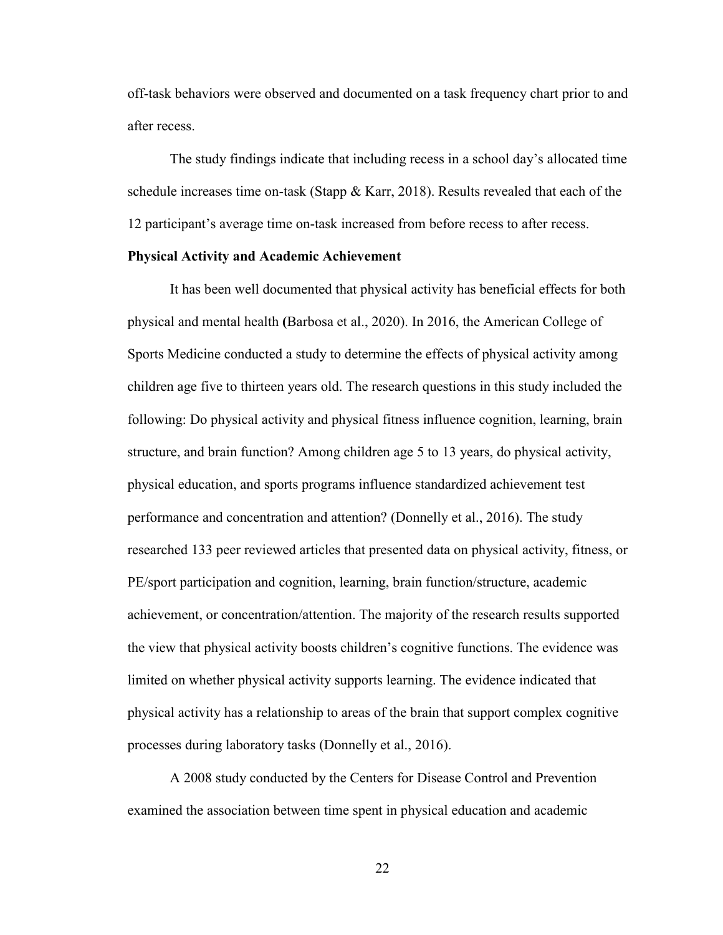off-task behaviors were observed and documented on a task frequency chart prior to and after recess.

The study findings indicate that including recess in a school day's allocated time schedule increases time on-task (Stapp  $&$  Karr, 2018). Results revealed that each of the 12 participant's average time on-task increased from before recess to after recess.

## **Physical Activity and Academic Achievement**

It has been well documented that physical activity has beneficial effects for both physical and mental health **(**Barbosa et al., 2020). In 2016, the American College of Sports Medicine conducted a study to determine the effects of physical activity among children age five to thirteen years old. The research questions in this study included the following: Do physical activity and physical fitness influence cognition, learning, brain structure, and brain function? Among children age 5 to 13 years, do physical activity, physical education, and sports programs influence standardized achievement test performance and concentration and attention? (Donnelly et al., 2016). The study researched 133 peer reviewed articles that presented data on physical activity, fitness, or PE/sport participation and cognition, learning, brain function/structure, academic achievement, or concentration/attention. The majority of the research results supported the view that physical activity boosts children's cognitive functions. The evidence was limited on whether physical activity supports learning. The evidence indicated that physical activity has a relationship to areas of the brain that support complex cognitive processes during laboratory tasks (Donnelly et al., 2016).

A 2008 study conducted by the Centers for Disease Control and Prevention examined the association between time spent in physical education and academic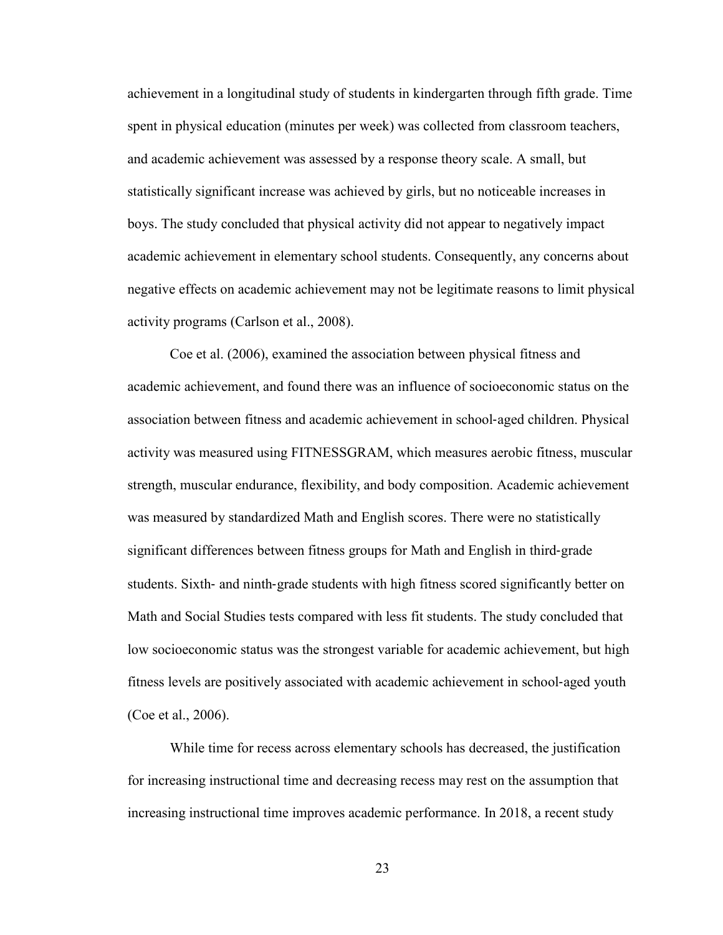achievement in a longitudinal study of students in kindergarten through fifth grade. Time spent in physical education (minutes per week) was collected from classroom teachers, and academic achievement was assessed by a response theory scale. A small, but statistically significant increase was achieved by girls, but no noticeable increases in boys. The study concluded that physical activity did not appear to negatively impact academic achievement in elementary school students. Consequently, any concerns about negative effects on academic achievement may not be legitimate reasons to limit physical activity programs (Carlson et al., 2008).

Coe et al. (2006), examined the association between physical fitness and academic achievement, and found there was an influence of socioeconomic status on the association between fitness and academic achievement in school‐aged children. Physical activity was measured using FITNESSGRAM, which measures aerobic fitness, muscular strength, muscular endurance, flexibility, and body composition. Academic achievement was measured by standardized Math and English scores. There were no statistically significant differences between fitness groups for Math and English in third-grade students. Sixth- and ninth-grade students with high fitness scored significantly better on Math and Social Studies tests compared with less fit students. The study concluded that low socioeconomic status was the strongest variable for academic achievement, but high fitness levels are positively associated with academic achievement in school‐aged youth (Coe et al., 2006).

While time for recess across elementary schools has decreased, the justification for increasing instructional time and decreasing recess may rest on the assumption that increasing instructional time improves academic performance. In 2018, a recent study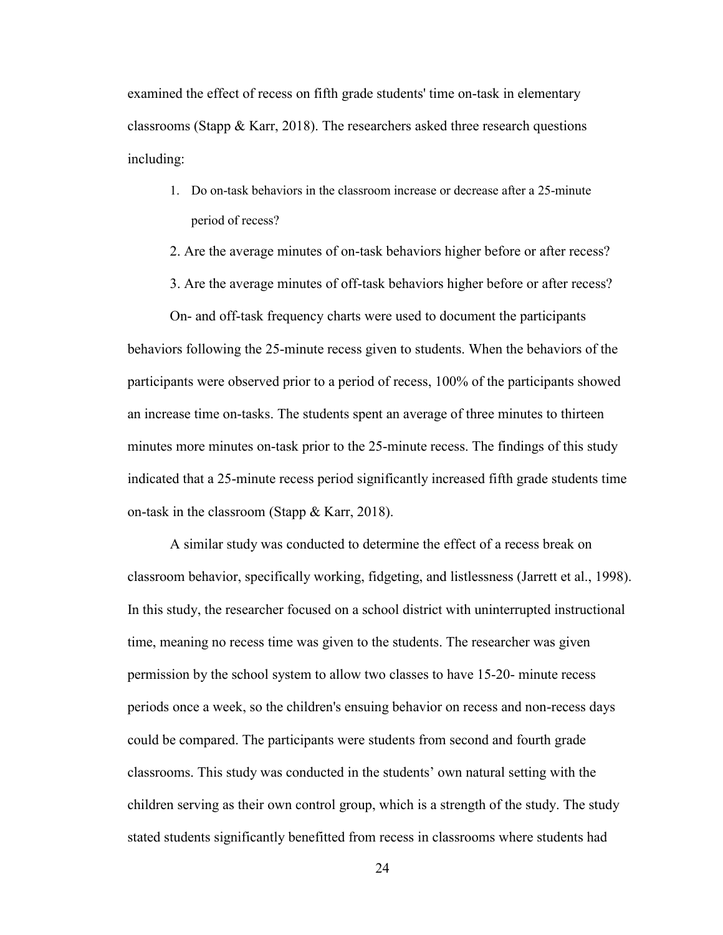examined the effect of recess on fifth grade students' time on-task in elementary classrooms (Stapp  $\&$  Karr, 2018). The researchers asked three research questions including:

- 1. Do on-task behaviors in the classroom increase or decrease after a 25-minute period of recess?
- 2. Are the average minutes of on-task behaviors higher before or after recess?
- 3. Are the average minutes of off-task behaviors higher before or after recess?

On- and off-task frequency charts were used to document the participants behaviors following the 25-minute recess given to students. When the behaviors of the participants were observed prior to a period of recess, 100% of the participants showed an increase time on-tasks. The students spent an average of three minutes to thirteen minutes more minutes on-task prior to the 25-minute recess. The findings of this study indicated that a 25-minute recess period significantly increased fifth grade students time on-task in the classroom (Stapp & Karr, 2018).

A similar study was conducted to determine the effect of a recess break on classroom behavior, specifically working, fidgeting, and listlessness (Jarrett et al., 1998). In this study, the researcher focused on a school district with uninterrupted instructional time, meaning no recess time was given to the students. The researcher was given permission by the school system to allow two classes to have 15-20- minute recess periods once a week, so the children's ensuing behavior on recess and non-recess days could be compared. The participants were students from second and fourth grade classrooms. This study was conducted in the students' own natural setting with the children serving as their own control group, which is a strength of the study. The study stated students significantly benefitted from recess in classrooms where students had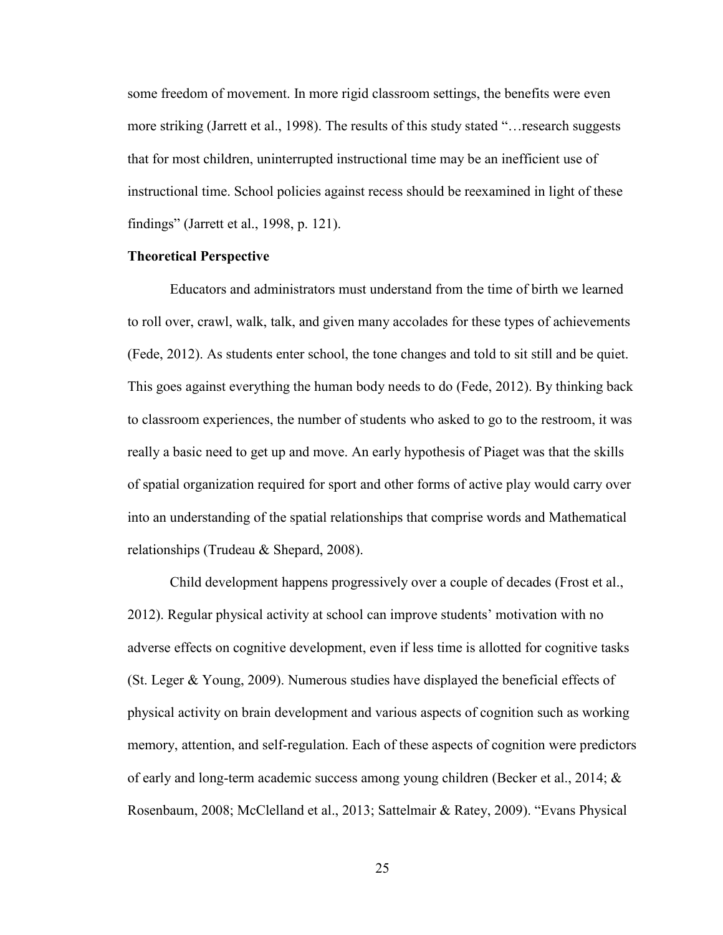some freedom of movement. In more rigid classroom settings, the benefits were even more striking (Jarrett et al., 1998). The results of this study stated "…research suggests that for most children, uninterrupted instructional time may be an inefficient use of instructional time. School policies against recess should be reexamined in light of these findings" (Jarrett et al., 1998, p. 121).

#### **Theoretical Perspective**

Educators and administrators must understand from the time of birth we learned to roll over, crawl, walk, talk, and given many accolades for these types of achievements (Fede, 2012). As students enter school, the tone changes and told to sit still and be quiet. This goes against everything the human body needs to do (Fede, 2012). By thinking back to classroom experiences, the number of students who asked to go to the restroom, it was really a basic need to get up and move. An early hypothesis of Piaget was that the skills of spatial organization required for sport and other forms of active play would carry over into an understanding of the spatial relationships that comprise words and Mathematical relationships (Trudeau & Shepard, 2008).

Child development happens progressively over a couple of decades (Frost et al., 2012). Regular physical activity at school can improve students' motivation with no adverse effects on cognitive development, even if less time is allotted for cognitive tasks (St. Leger & Young, 2009). Numerous studies have displayed the beneficial effects of physical activity on brain development and various aspects of cognition such as working memory, attention, and self-regulation. Each of these aspects of cognition were predictors of early and long-term academic success among young children (Becker et al., 2014; & Rosenbaum, 2008; McClelland et al., 2013; Sattelmair & Ratey, 2009). "Evans Physical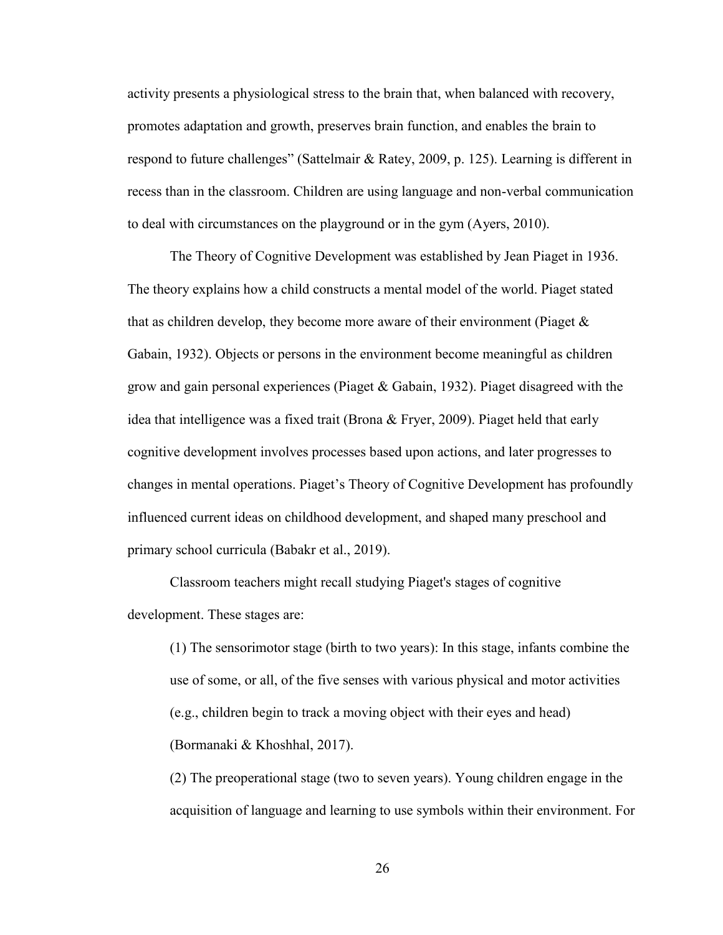activity presents a physiological stress to the brain that, when balanced with recovery, promotes adaptation and growth, preserves brain function, and enables the brain to respond to future challenges" (Sattelmair & Ratey, 2009, p. 125). Learning is different in recess than in the classroom. Children are using language and non-verbal communication to deal with circumstances on the playground or in the gym (Ayers, 2010).

The Theory of Cognitive Development was established by Jean Piaget in 1936. The theory explains how a child constructs a mental model of the world. Piaget stated that as children develop, they become more aware of their environment (Piaget  $\&$ Gabain, 1932). Objects or persons in the environment become meaningful as children grow and gain personal experiences (Piaget & Gabain, 1932). Piaget disagreed with the idea that intelligence was a fixed trait (Brona & Fryer, 2009). Piaget held that early cognitive development involves processes based upon actions, and later progresses to changes in mental operations. Piaget's Theory of Cognitive Development has profoundly influenced current ideas on childhood development, and shaped many preschool and primary school curricula (Babakr et al., 2019).

Classroom teachers might recall studying Piaget's stages of cognitive development. These stages are:

(1) The sensorimotor stage (birth to two years): In this stage, infants combine the use of some, or all, of the five senses with various physical and motor activities (e.g., children begin to track a moving object with their eyes and head) (Bormanaki & Khoshhal, 2017).

(2) The preoperational stage (two to seven years). Young children engage in the acquisition of language and learning to use symbols within their environment. For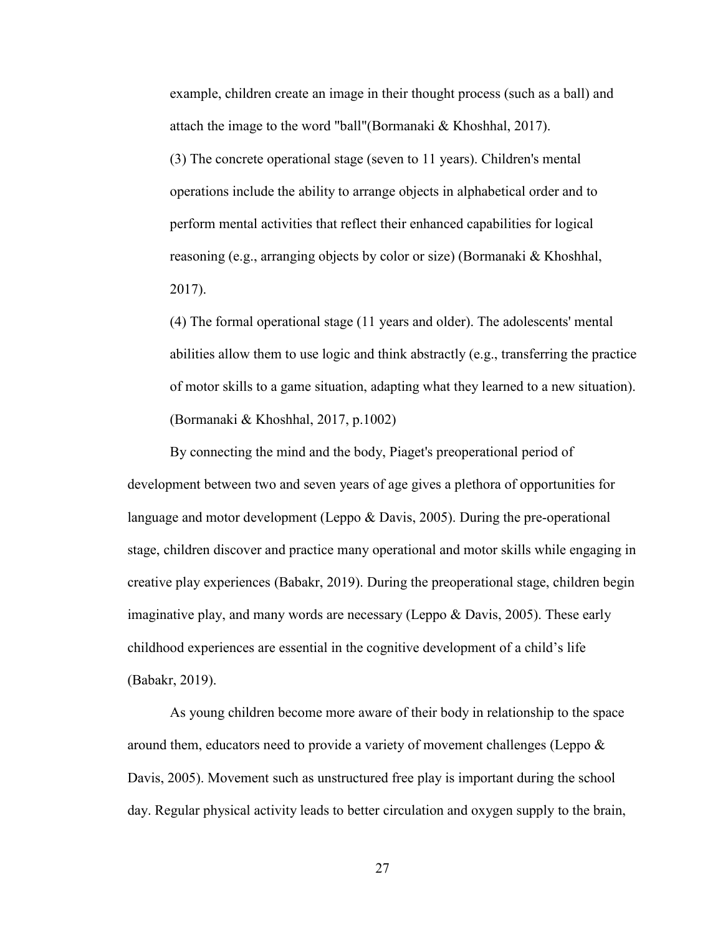example, children create an image in their thought process (such as a ball) and attach the image to the word "ball"(Bormanaki & Khoshhal, 2017).

(3) The concrete operational stage (seven to 11 years). Children's mental operations include the ability to arrange objects in alphabetical order and to perform mental activities that reflect their enhanced capabilities for logical reasoning (e.g., arranging objects by color or size) (Bormanaki & Khoshhal, 2017).

(4) The formal operational stage (11 years and older). The adolescents' mental abilities allow them to use logic and think abstractly (e.g., transferring the practice of motor skills to a game situation, adapting what they learned to a new situation). (Bormanaki & Khoshhal, 2017, p.1002)

By connecting the mind and the body, Piaget's preoperational period of development between two and seven years of age gives a plethora of opportunities for language and motor development (Leppo & Davis, 2005). During the pre-operational stage, children discover and practice many operational and motor skills while engaging in creative play experiences (Babakr, 2019). During the preoperational stage, children begin imaginative play, and many words are necessary (Leppo & Davis, 2005). These early childhood experiences are essential in the cognitive development of a child's life (Babakr, 2019).

As young children become more aware of their body in relationship to the space around them, educators need to provide a variety of movement challenges (Leppo  $\&$ Davis, 2005). Movement such as unstructured free play is important during the school day. Regular physical activity leads to better circulation and oxygen supply to the brain,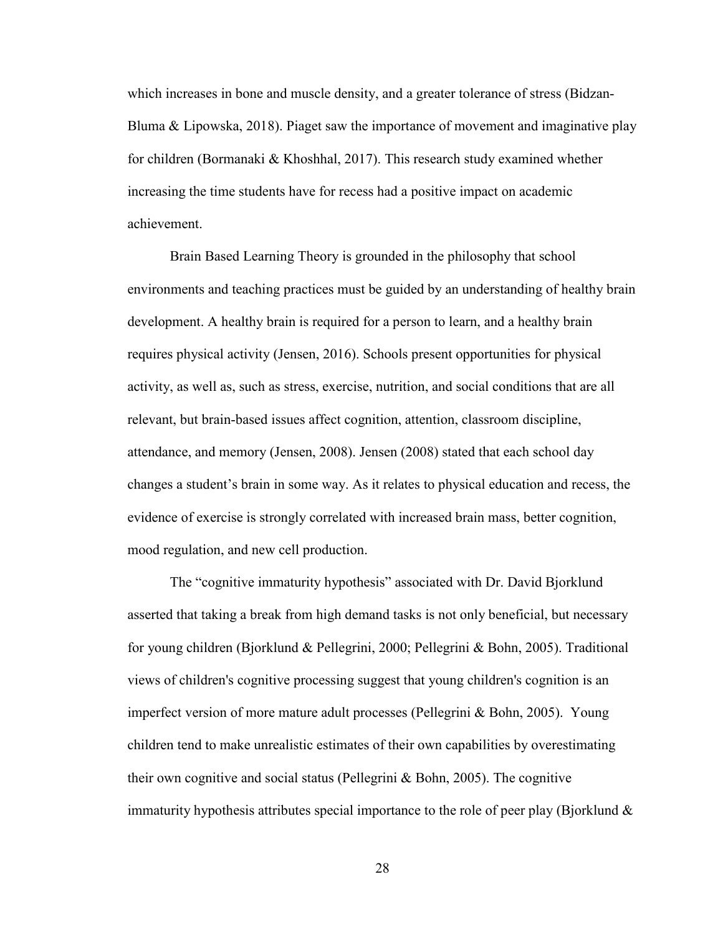which increases in bone and muscle density, and a greater tolerance of stress (Bidzan-Bluma & Lipowska, 2018). Piaget saw the importance of movement and imaginative play for children (Bormanaki & Khoshhal, 2017). This research study examined whether increasing the time students have for recess had a positive impact on academic achievement.

Brain Based Learning Theory is grounded in the philosophy that school environments and teaching practices must be guided by an understanding of healthy brain development. A healthy brain is required for a person to learn, and a healthy brain requires physical activity (Jensen, 2016). Schools present opportunities for physical activity, as well as, such as stress, exercise, nutrition, and social conditions that are all relevant, but brain-based issues affect cognition, attention, classroom discipline, attendance, and memory (Jensen, 2008). Jensen (2008) stated that each school day changes a student's brain in some way. As it relates to physical education and recess, the evidence of exercise is strongly correlated with increased brain mass, better cognition, mood regulation, and new cell production.

The "cognitive immaturity hypothesis" associated with Dr. David Bjorklund asserted that taking a break from high demand tasks is not only beneficial, but necessary for young children (Bjorklund & Pellegrini, 2000; Pellegrini & Bohn, 2005). Traditional views of children's cognitive processing suggest that young children's cognition is an imperfect version of more mature adult processes (Pellegrini & Bohn, 2005). Young children tend to make unrealistic estimates of their own capabilities by overestimating their own cognitive and social status (Pellegrini & Bohn, 2005). The cognitive immaturity hypothesis attributes special importance to the role of peer play (Bjorklund  $\&$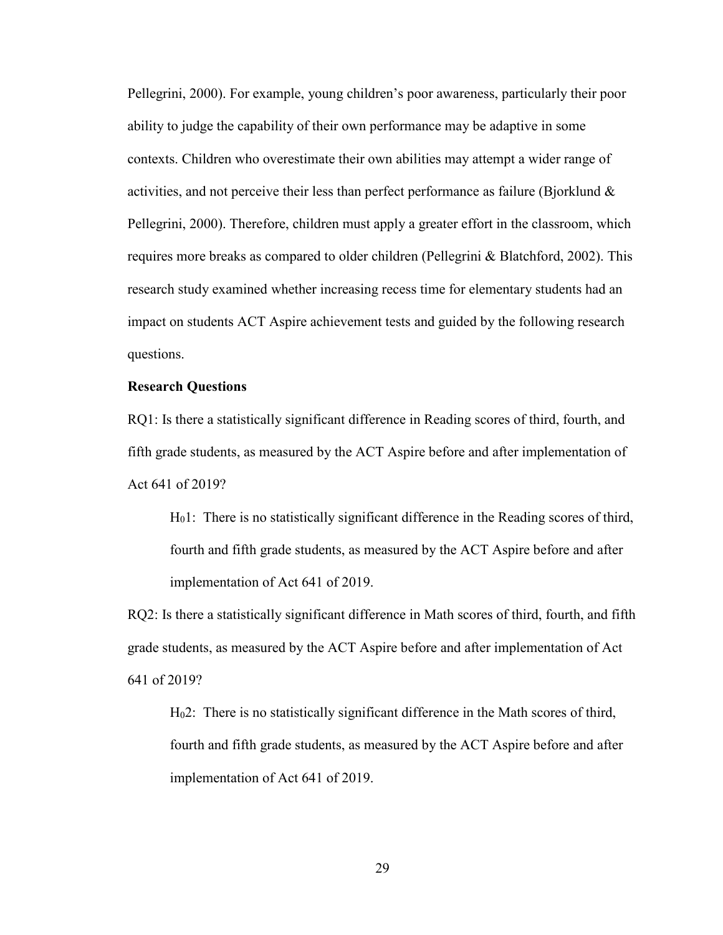Pellegrini, 2000). For example, young children's poor awareness, particularly their poor ability to judge the capability of their own performance may be adaptive in some contexts. Children who overestimate their own abilities may attempt a wider range of activities, and not perceive their less than perfect performance as failure (Bjorklund  $\&$ Pellegrini, 2000). Therefore, children must apply a greater effort in the classroom, which requires more breaks as compared to older children (Pellegrini & Blatchford, 2002). This research study examined whether increasing recess time for elementary students had an impact on students ACT Aspire achievement tests and guided by the following research questions.

#### **Research Questions**

RQ1: Is there a statistically significant difference in Reading scores of third, fourth, and fifth grade students, as measured by the ACT Aspire before and after implementation of Act 641 of 2019?

H01: There is no statistically significant difference in the Reading scores of third, fourth and fifth grade students, as measured by the ACT Aspire before and after implementation of Act 641 of 2019.

RQ2: Is there a statistically significant difference in Math scores of third, fourth, and fifth grade students, as measured by the ACT Aspire before and after implementation of Act 641 of 2019?

H02: There is no statistically significant difference in the Math scores of third, fourth and fifth grade students, as measured by the ACT Aspire before and after implementation of Act 641 of 2019.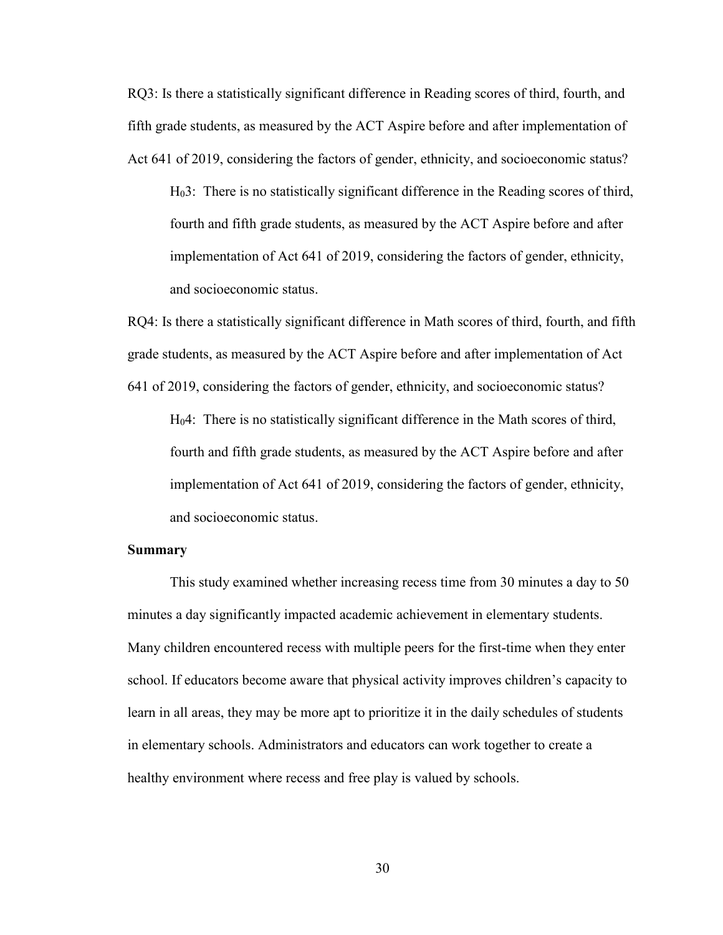RQ3: Is there a statistically significant difference in Reading scores of third, fourth, and fifth grade students, as measured by the ACT Aspire before and after implementation of Act 641 of 2019, considering the factors of gender, ethnicity, and socioeconomic status?

H03: There is no statistically significant difference in the Reading scores of third, fourth and fifth grade students, as measured by the ACT Aspire before and after implementation of Act 641 of 2019, considering the factors of gender, ethnicity, and socioeconomic status.

RQ4: Is there a statistically significant difference in Math scores of third, fourth, and fifth grade students, as measured by the ACT Aspire before and after implementation of Act 641 of 2019, considering the factors of gender, ethnicity, and socioeconomic status?

H04: There is no statistically significant difference in the Math scores of third, fourth and fifth grade students, as measured by the ACT Aspire before and after implementation of Act 641 of 2019, considering the factors of gender, ethnicity, and socioeconomic status.

### **Summary**

This study examined whether increasing recess time from 30 minutes a day to 50 minutes a day significantly impacted academic achievement in elementary students. Many children encountered recess with multiple peers for the first-time when they enter school. If educators become aware that physical activity improves children's capacity to learn in all areas, they may be more apt to prioritize it in the daily schedules of students in elementary schools. Administrators and educators can work together to create a healthy environment where recess and free play is valued by schools.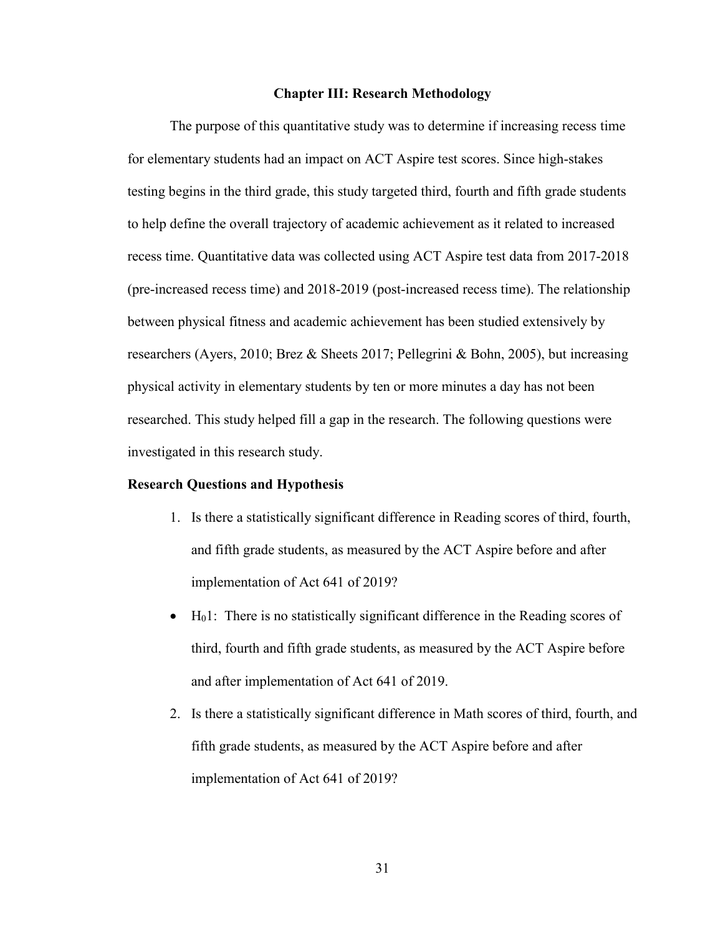#### **Chapter III: Research Methodology**

The purpose of this quantitative study was to determine if increasing recess time for elementary students had an impact on ACT Aspire test scores. Since high-stakes testing begins in the third grade, this study targeted third, fourth and fifth grade students to help define the overall trajectory of academic achievement as it related to increased recess time. Quantitative data was collected using ACT Aspire test data from 2017-2018 (pre-increased recess time) and 2018-2019 (post-increased recess time). The relationship between physical fitness and academic achievement has been studied extensively by researchers (Ayers, 2010; Brez & Sheets 2017; Pellegrini & Bohn, 2005), but increasing physical activity in elementary students by ten or more minutes a day has not been researched. This study helped fill a gap in the research. The following questions were investigated in this research study.

#### **Research Questions and Hypothesis**

- 1. Is there a statistically significant difference in Reading scores of third, fourth, and fifth grade students, as measured by the ACT Aspire before and after implementation of Act 641 of 2019?
- $\bullet$  H<sub>0</sub>1: There is no statistically significant difference in the Reading scores of third, fourth and fifth grade students, as measured by the ACT Aspire before and after implementation of Act 641 of 2019.
- 2. Is there a statistically significant difference in Math scores of third, fourth, and fifth grade students, as measured by the ACT Aspire before and after implementation of Act 641 of 2019?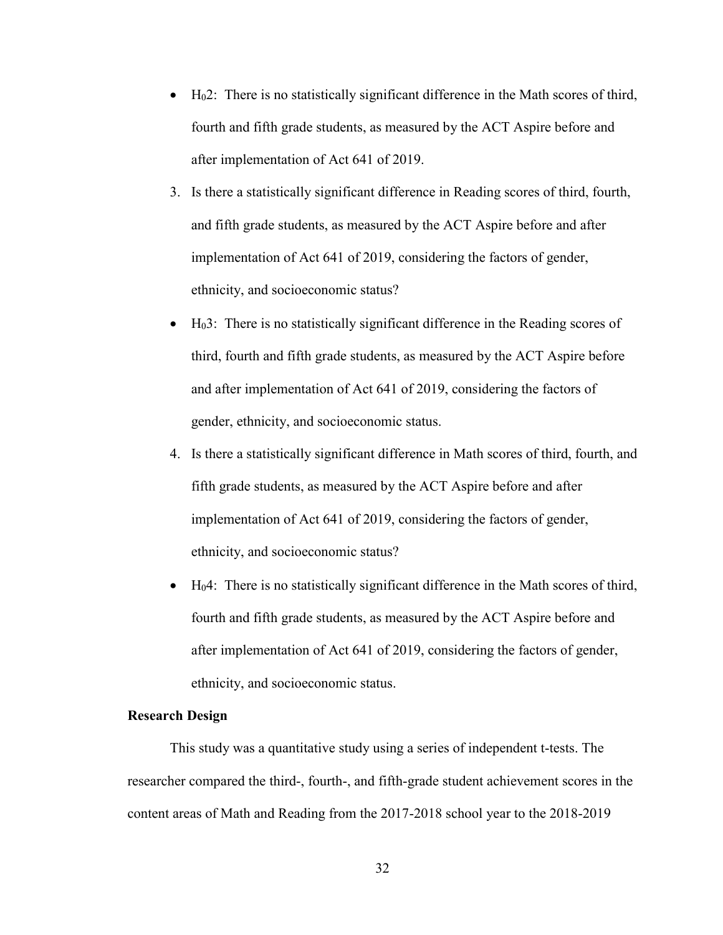- $\bullet$  H<sub>0</sub>2: There is no statistically significant difference in the Math scores of third, fourth and fifth grade students, as measured by the ACT Aspire before and after implementation of Act 641 of 2019.
- 3. Is there a statistically significant difference in Reading scores of third, fourth, and fifth grade students, as measured by the ACT Aspire before and after implementation of Act 641 of 2019, considering the factors of gender, ethnicity, and socioeconomic status?
- $\bullet$  H<sub>0</sub>3: There is no statistically significant difference in the Reading scores of third, fourth and fifth grade students, as measured by the ACT Aspire before and after implementation of Act 641 of 2019, considering the factors of gender, ethnicity, and socioeconomic status.
- 4. Is there a statistically significant difference in Math scores of third, fourth, and fifth grade students, as measured by the ACT Aspire before and after implementation of Act 641 of 2019, considering the factors of gender, ethnicity, and socioeconomic status?
- $\bullet$  H<sub>0</sub>4: There is no statistically significant difference in the Math scores of third, fourth and fifth grade students, as measured by the ACT Aspire before and after implementation of Act 641 of 2019, considering the factors of gender, ethnicity, and socioeconomic status.

## **Research Design**

This study was a quantitative study using a series of independent t-tests. The researcher compared the third-, fourth-, and fifth-grade student achievement scores in the content areas of Math and Reading from the 2017-2018 school year to the 2018-2019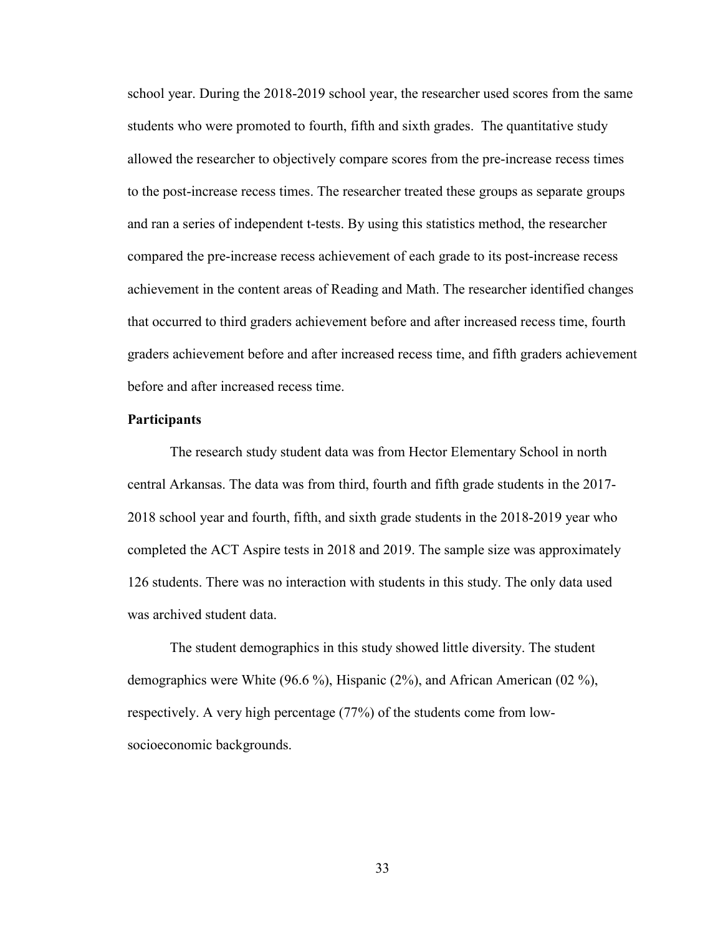school year. During the 2018-2019 school year, the researcher used scores from the same students who were promoted to fourth, fifth and sixth grades. The quantitative study allowed the researcher to objectively compare scores from the pre-increase recess times to the post-increase recess times. The researcher treated these groups as separate groups and ran a series of independent t-tests. By using this statistics method, the researcher compared the pre-increase recess achievement of each grade to its post-increase recess achievement in the content areas of Reading and Math. The researcher identified changes that occurred to third graders achievement before and after increased recess time, fourth graders achievement before and after increased recess time, and fifth graders achievement before and after increased recess time.

#### **Participants**

The research study student data was from Hector Elementary School in north central Arkansas. The data was from third, fourth and fifth grade students in the 2017- 2018 school year and fourth, fifth, and sixth grade students in the 2018-2019 year who completed the ACT Aspire tests in 2018 and 2019. The sample size was approximately 126 students. There was no interaction with students in this study. The only data used was archived student data.

The student demographics in this study showed little diversity. The student demographics were White (96.6 %), Hispanic (2%), and African American (02 %), respectively. A very high percentage (77%) of the students come from lowsocioeconomic backgrounds.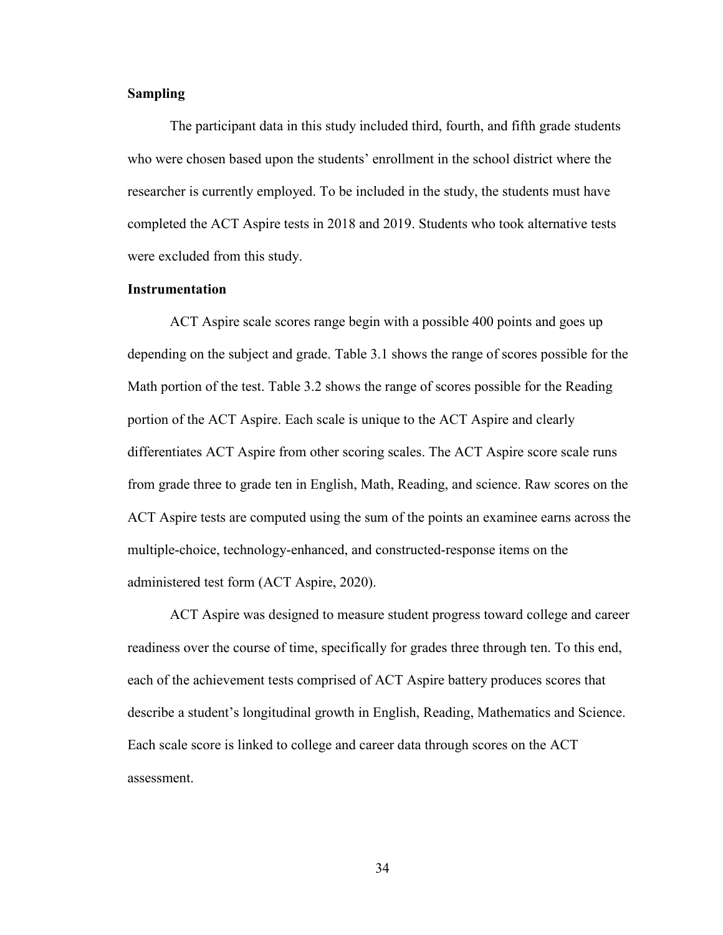## **Sampling**

The participant data in this study included third, fourth, and fifth grade students who were chosen based upon the students' enrollment in the school district where the researcher is currently employed. To be included in the study, the students must have completed the ACT Aspire tests in 2018 and 2019. Students who took alternative tests were excluded from this study.

### **Instrumentation**

ACT Aspire scale scores range begin with a possible 400 points and goes up depending on the subject and grade. Table 3.1 shows the range of scores possible for the Math portion of the test. Table 3.2 shows the range of scores possible for the Reading portion of the ACT Aspire. Each scale is unique to the ACT Aspire and clearly differentiates ACT Aspire from other scoring scales. The ACT Aspire score scale runs from grade three to grade ten in English, Math, Reading, and science. Raw scores on the ACT Aspire tests are computed using the sum of the points an examinee earns across the multiple-choice, technology-enhanced, and constructed-response items on the administered test form (ACT Aspire, 2020).

ACT Aspire was designed to measure student progress toward college and career readiness over the course of time, specifically for grades three through ten. To this end, each of the achievement tests comprised of ACT Aspire battery produces scores that describe a student's longitudinal growth in English, Reading, Mathematics and Science. Each scale score is linked to college and career data through scores on the ACT assessment.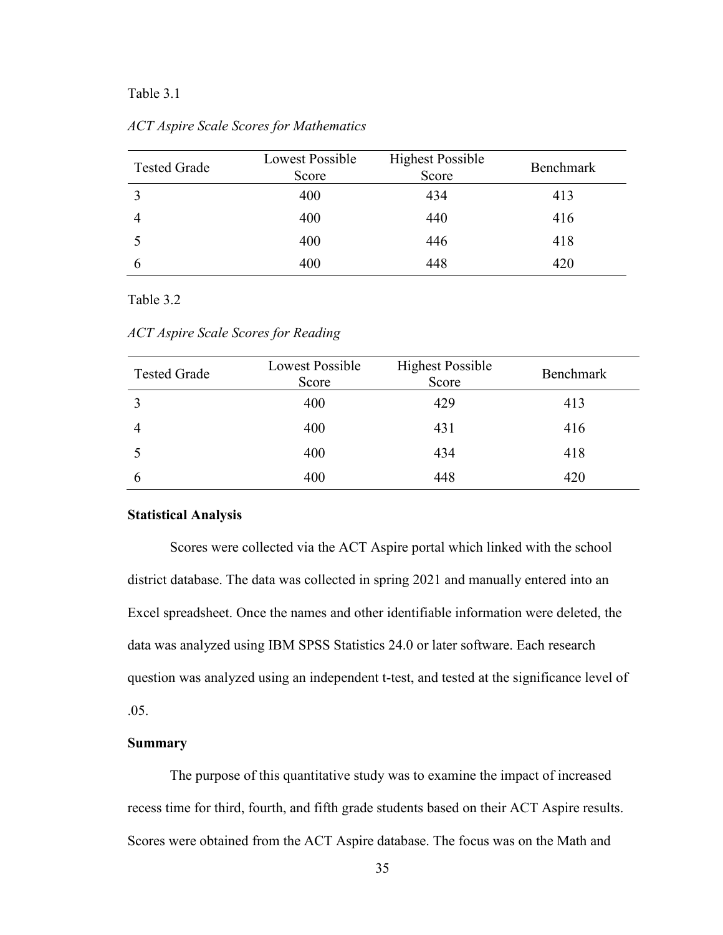# Table 3.1

| <b>Tested Grade</b> | Lowest Possible<br>Score | <b>Highest Possible</b><br>Score | Benchmark |
|---------------------|--------------------------|----------------------------------|-----------|
|                     | 400                      | 434                              | 413       |
|                     | 400                      | 440                              | 416       |
|                     | 400                      | 446                              | 418       |
| b                   | 400                      | 448                              | 420       |

*ACT Aspire Scale Scores for Mathematics*

### Table 3.2

*ACT Aspire Scale Scores for Reading*

| <b>Tested Grade</b> | <b>Lowest Possible</b><br>Score | <b>Highest Possible</b><br>Score | Benchmark |
|---------------------|---------------------------------|----------------------------------|-----------|
|                     | 400                             | 429                              | 413       |
|                     | 400                             | 431                              | 416       |
|                     | 400                             | 434                              | 418       |
| O                   | 400                             | 448                              | 420       |

#### **Statistical Analysis**

Scores were collected via the ACT Aspire portal which linked with the school district database. The data was collected in spring 2021 and manually entered into an Excel spreadsheet. Once the names and other identifiable information were deleted, the data was analyzed using IBM SPSS Statistics 24.0 or later software. Each research question was analyzed using an independent t-test, and tested at the significance level of .05.

## **Summary**

The purpose of this quantitative study was to examine the impact of increased recess time for third, fourth, and fifth grade students based on their ACT Aspire results. Scores were obtained from the ACT Aspire database. The focus was on the Math and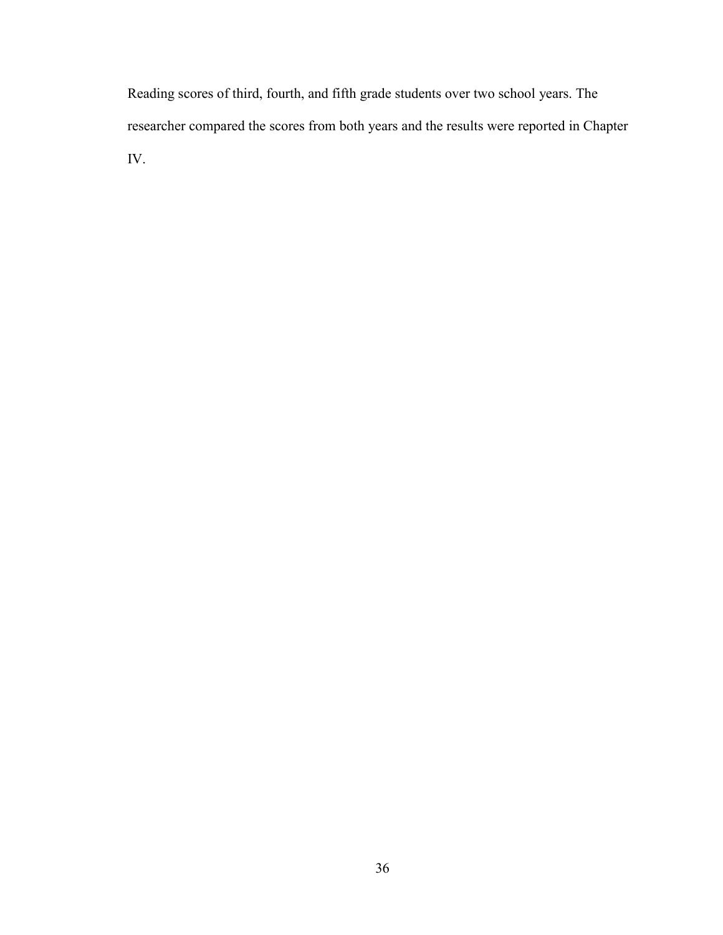Reading scores of third, fourth, and fifth grade students over two school years. The researcher compared the scores from both years and the results were reported in Chapter IV.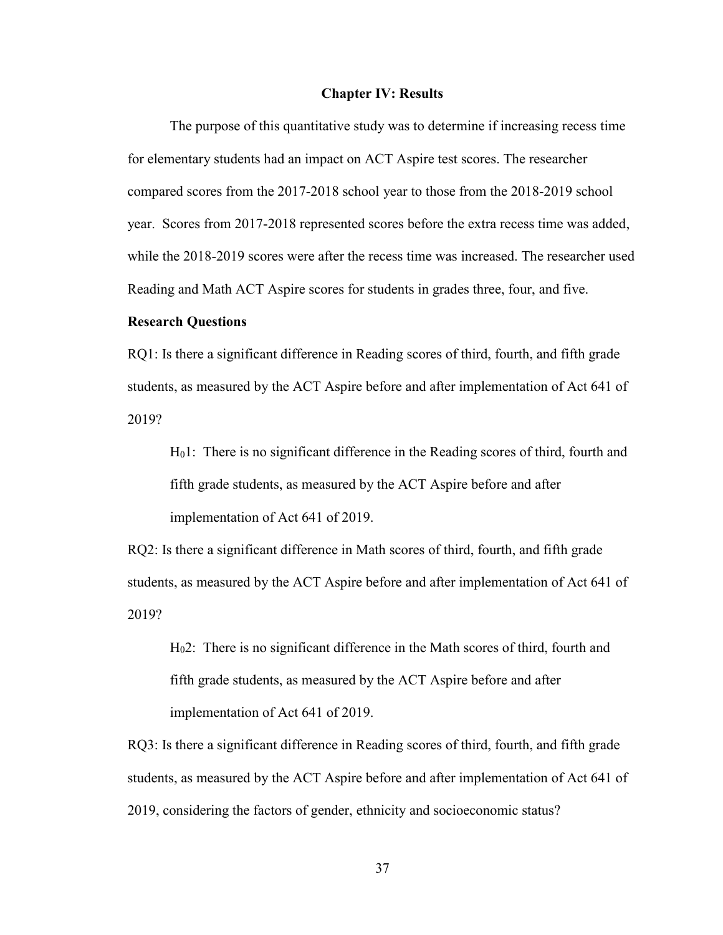#### **Chapter IV: Results**

The purpose of this quantitative study was to determine if increasing recess time for elementary students had an impact on ACT Aspire test scores. The researcher compared scores from the 2017-2018 school year to those from the 2018-2019 school year. Scores from 2017-2018 represented scores before the extra recess time was added, while the 2018-2019 scores were after the recess time was increased. The researcher used Reading and Math ACT Aspire scores for students in grades three, four, and five.

#### **Research Questions**

RQ1: Is there a significant difference in Reading scores of third, fourth, and fifth grade students, as measured by the ACT Aspire before and after implementation of Act 641 of 2019?

H01: There is no significant difference in the Reading scores of third, fourth and fifth grade students, as measured by the ACT Aspire before and after implementation of Act 641 of 2019.

RQ2: Is there a significant difference in Math scores of third, fourth, and fifth grade students, as measured by the ACT Aspire before and after implementation of Act 641 of 2019?

H02: There is no significant difference in the Math scores of third, fourth and fifth grade students, as measured by the ACT Aspire before and after implementation of Act 641 of 2019.

RQ3: Is there a significant difference in Reading scores of third, fourth, and fifth grade students, as measured by the ACT Aspire before and after implementation of Act 641 of 2019, considering the factors of gender, ethnicity and socioeconomic status?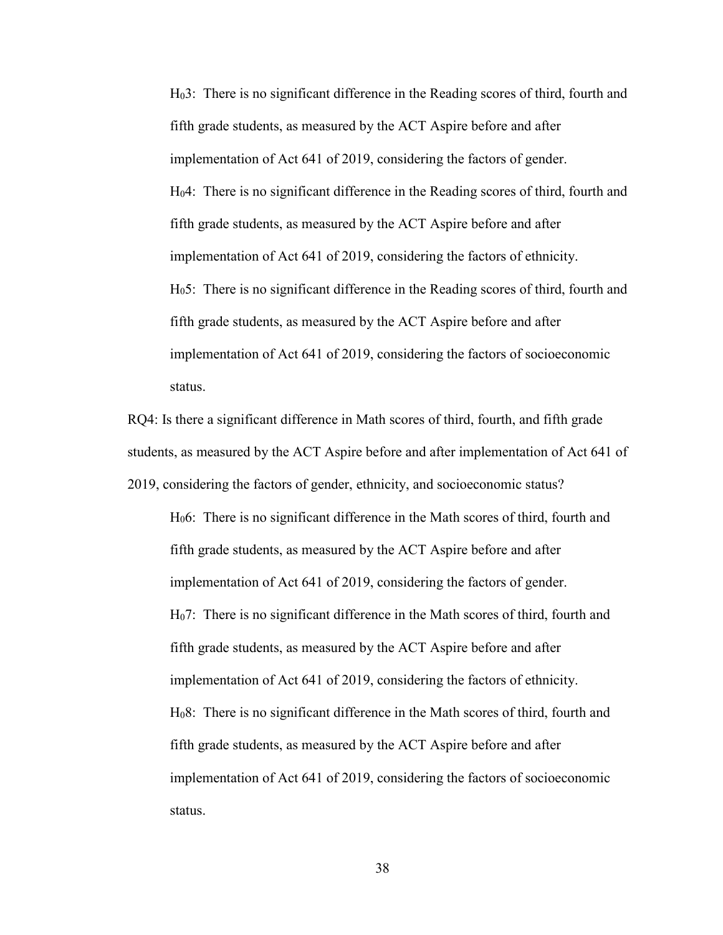H03: There is no significant difference in the Reading scores of third, fourth and fifth grade students, as measured by the ACT Aspire before and after implementation of Act 641 of 2019, considering the factors of gender. H04: There is no significant difference in the Reading scores of third, fourth and fifth grade students, as measured by the ACT Aspire before and after implementation of Act 641 of 2019, considering the factors of ethnicity. H05: There is no significant difference in the Reading scores of third, fourth and fifth grade students, as measured by the ACT Aspire before and after implementation of Act 641 of 2019, considering the factors of socioeconomic status.

RQ4: Is there a significant difference in Math scores of third, fourth, and fifth grade students, as measured by the ACT Aspire before and after implementation of Act 641 of 2019, considering the factors of gender, ethnicity, and socioeconomic status?

H06: There is no significant difference in the Math scores of third, fourth and fifth grade students, as measured by the ACT Aspire before and after implementation of Act 641 of 2019, considering the factors of gender. H07: There is no significant difference in the Math scores of third, fourth and fifth grade students, as measured by the ACT Aspire before and after implementation of Act 641 of 2019, considering the factors of ethnicity. H08: There is no significant difference in the Math scores of third, fourth and fifth grade students, as measured by the ACT Aspire before and after implementation of Act 641 of 2019, considering the factors of socioeconomic status.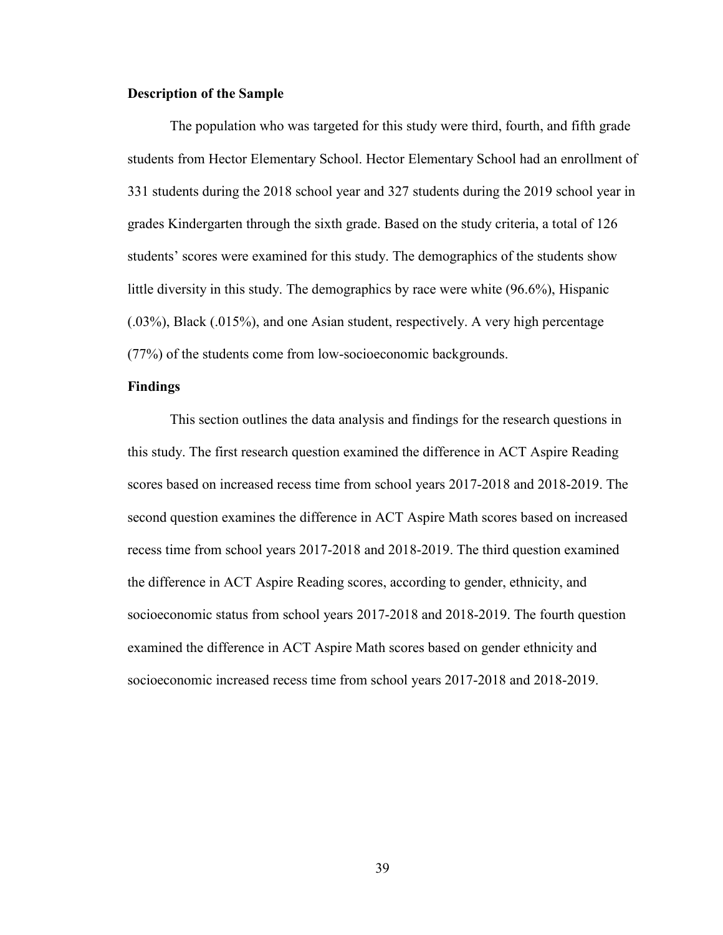#### **Description of the Sample**

The population who was targeted for this study were third, fourth, and fifth grade students from Hector Elementary School. Hector Elementary School had an enrollment of 331 students during the 2018 school year and 327 students during the 2019 school year in grades Kindergarten through the sixth grade. Based on the study criteria, a total of 126 students' scores were examined for this study. The demographics of the students show little diversity in this study. The demographics by race were white (96.6%), Hispanic (.03%), Black (.015%), and one Asian student, respectively. A very high percentage (77%) of the students come from low-socioeconomic backgrounds.

### **Findings**

This section outlines the data analysis and findings for the research questions in this study. The first research question examined the difference in ACT Aspire Reading scores based on increased recess time from school years 2017-2018 and 2018-2019. The second question examines the difference in ACT Aspire Math scores based on increased recess time from school years 2017-2018 and 2018-2019. The third question examined the difference in ACT Aspire Reading scores, according to gender, ethnicity, and socioeconomic status from school years 2017-2018 and 2018-2019. The fourth question examined the difference in ACT Aspire Math scores based on gender ethnicity and socioeconomic increased recess time from school years 2017-2018 and 2018-2019.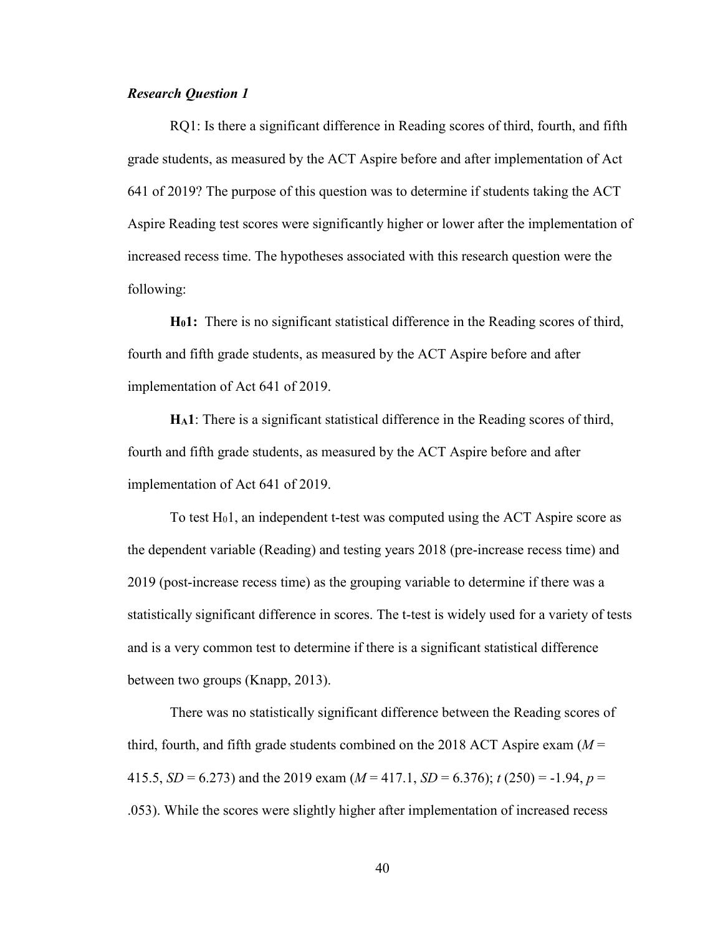## *Research Question 1*

RQ1: Is there a significant difference in Reading scores of third, fourth, and fifth grade students, as measured by the ACT Aspire before and after implementation of Act 641 of 2019? The purpose of this question was to determine if students taking the ACT Aspire Reading test scores were significantly higher or lower after the implementation of increased recess time. The hypotheses associated with this research question were the following:

**H01:** There is no significant statistical difference in the Reading scores of third, fourth and fifth grade students, as measured by the ACT Aspire before and after implementation of Act 641 of 2019.

**HA1**: There is a significant statistical difference in the Reading scores of third, fourth and fifth grade students, as measured by the ACT Aspire before and after implementation of Act 641 of 2019.

To test  $H_0$ 1, an independent t-test was computed using the ACT Aspire score as the dependent variable (Reading) and testing years 2018 (pre-increase recess time) and 2019 (post-increase recess time) as the grouping variable to determine if there was a statistically significant difference in scores. The t-test is widely used for a variety of tests and is a very common test to determine if there is a significant statistical difference between two groups (Knapp, 2013).

There was no statistically significant difference between the Reading scores of third, fourth, and fifth grade students combined on the 2018 ACT Aspire exam (*M* = 415.5,  $SD = 6.273$ ) and the 2019 exam ( $M = 417.1$ ,  $SD = 6.376$ );  $t(250) = -1.94$ ,  $p =$ .053). While the scores were slightly higher after implementation of increased recess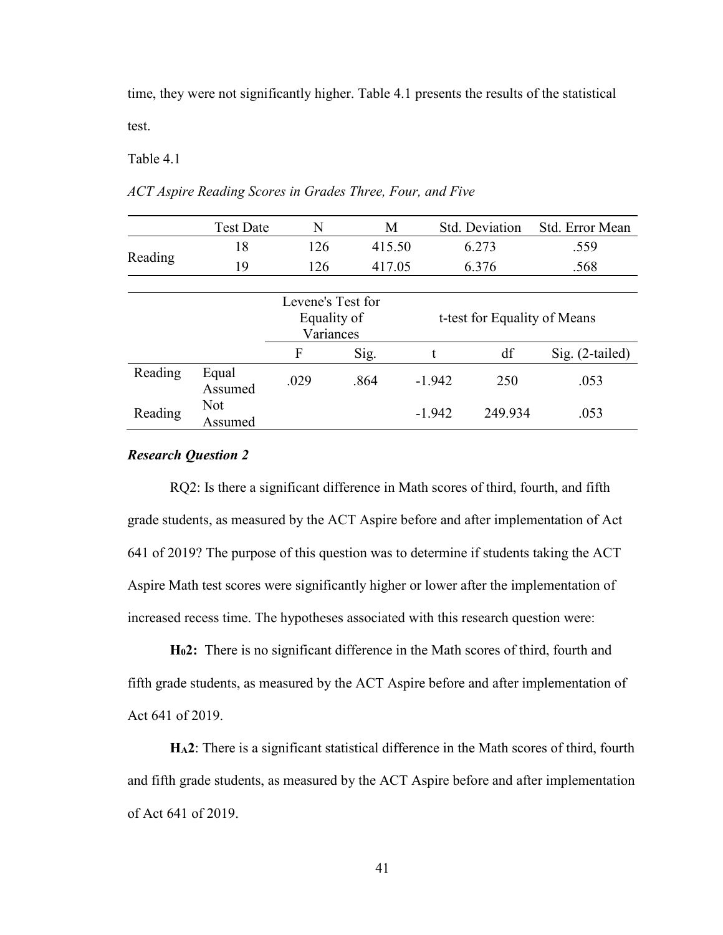time, they were not significantly higher. Table 4.1 presents the results of the statistical test.

Table 4.1

|         | <b>Test Date</b>      | N                                             | M      |                 | Std. Deviation               | Std. Error Mean |
|---------|-----------------------|-----------------------------------------------|--------|-----------------|------------------------------|-----------------|
|         | 18                    | 126                                           | 415.50 |                 | 6.273                        | .559            |
| Reading | 19                    | 126                                           |        | 417.05<br>6.376 |                              | .568            |
|         |                       |                                               |        |                 |                              |                 |
|         |                       | Levene's Test for<br>Equality of<br>Variances |        |                 | t-test for Equality of Means |                 |
|         |                       | F                                             | Sig.   | t               | df                           | Sig. (2-tailed) |
| Reading | Equal<br>Assumed      | .029                                          | .864   | $-1.942$        | 250                          | .053            |
| Reading | <b>Not</b><br>Assumed |                                               |        | $-1.942$        | 249.934                      | .053            |

*ACT Aspire Reading Scores in Grades Three, Four, and Five*

## *Research Question 2*

RQ2: Is there a significant difference in Math scores of third, fourth, and fifth grade students, as measured by the ACT Aspire before and after implementation of Act 641 of 2019? The purpose of this question was to determine if students taking the ACT Aspire Math test scores were significantly higher or lower after the implementation of increased recess time. The hypotheses associated with this research question were:

**H02:** There is no significant difference in the Math scores of third, fourth and fifth grade students, as measured by the ACT Aspire before and after implementation of Act 641 of 2019.

**HA2**: There is a significant statistical difference in the Math scores of third, fourth and fifth grade students, as measured by the ACT Aspire before and after implementation of Act 641 of 2019.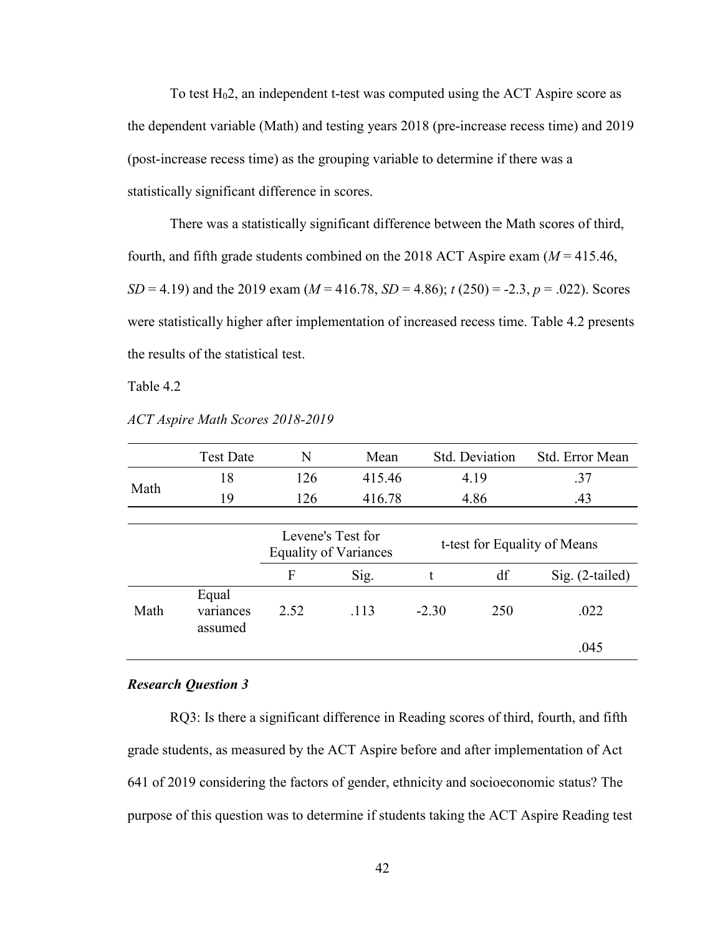To test H02, an independent t-test was computed using the ACT Aspire score as the dependent variable (Math) and testing years 2018 (pre-increase recess time) and 2019 (post-increase recess time) as the grouping variable to determine if there was a statistically significant difference in scores.

There was a statistically significant difference between the Math scores of third, fourth, and fifth grade students combined on the 2018 ACT Aspire exam (*M* = 415.46, *SD* = 4.19) and the 2019 exam ( $M = 416.78$ , *SD* = 4.86);  $t(250) = -2.3$ ,  $p = .022$ ). Scores were statistically higher after implementation of increased recess time. Table 4.2 presents the results of the statistical test.

Table 4.2

|      | <b>Test Date</b>              | N                                                 | Mean   | Std. Deviation |                              | Std. Error Mean   |
|------|-------------------------------|---------------------------------------------------|--------|----------------|------------------------------|-------------------|
|      | 18                            | 126                                               | 415.46 |                | 4.19                         | .37               |
| Math | 19                            | 126                                               | 416.78 |                | 4.86                         | .43               |
|      |                               |                                                   |        |                |                              |                   |
|      |                               | Levene's Test for<br><b>Equality of Variances</b> |        |                | t-test for Equality of Means |                   |
|      |                               | F                                                 | Sig.   | t              | df                           | $Sig. (2-tailed)$ |
| Math | Equal<br>variances<br>assumed | 2.52                                              | .113   | $-2.30$        | 250                          | .022              |
|      |                               |                                                   |        |                |                              | .045              |

*ACT Aspire Math Scores 2018-2019*

#### *Research Question 3*

RQ3: Is there a significant difference in Reading scores of third, fourth, and fifth grade students, as measured by the ACT Aspire before and after implementation of Act 641 of 2019 considering the factors of gender, ethnicity and socioeconomic status? The purpose of this question was to determine if students taking the ACT Aspire Reading test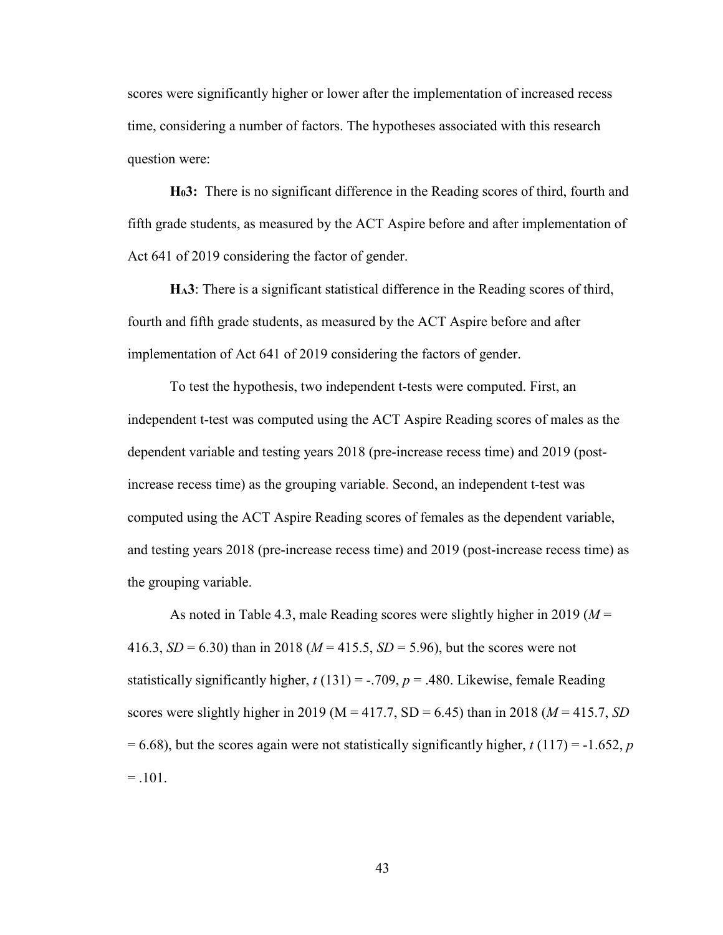scores were significantly higher or lower after the implementation of increased recess time, considering a number of factors. The hypotheses associated with this research question were:

**H03:** There is no significant difference in the Reading scores of third, fourth and fifth grade students, as measured by the ACT Aspire before and after implementation of Act 641 of 2019 considering the factor of gender.

**HA3**: There is a significant statistical difference in the Reading scores of third, fourth and fifth grade students, as measured by the ACT Aspire before and after implementation of Act 641 of 2019 considering the factors of gender.

To test the hypothesis, two independent t-tests were computed. First, an independent t-test was computed using the ACT Aspire Reading scores of males as the dependent variable and testing years 2018 (pre-increase recess time) and 2019 (postincrease recess time) as the grouping variable. Second, an independent t-test was computed using the ACT Aspire Reading scores of females as the dependent variable, and testing years 2018 (pre-increase recess time) and 2019 (post-increase recess time) as the grouping variable.

As noted in Table 4.3, male Reading scores were slightly higher in 2019 (*M* = 416.3,  $SD = 6.30$ ) than in 2018 ( $M = 415.5$ ,  $SD = 5.96$ ), but the scores were not statistically significantly higher,  $t(131) = -.709$ ,  $p = .480$ . Likewise, female Reading scores were slightly higher in 2019 ( $M = 417.7$ ,  $SD = 6.45$ ) than in 2018 ( $M = 415.7$ , *SD*  $= 6.68$ ), but the scores again were not statistically significantly higher, *t* (117) = -1.652, *p*  $=.101.$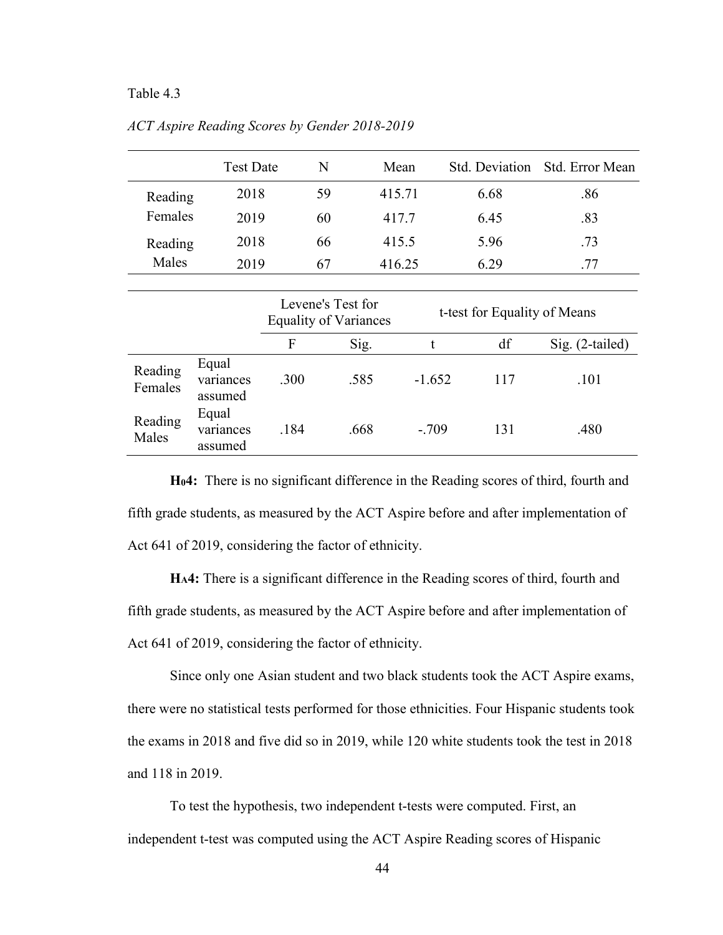## Table 4.3

|         | <b>Test Date</b> | N  | Mean   |      | Std. Deviation Std. Error Mean |
|---------|------------------|----|--------|------|--------------------------------|
| Reading | 2018             | 59 | 415.71 | 6.68 | .86                            |
| Females | 2019             | 60 | 417.7  | 6.45 | .83                            |
| Reading | 2018             | 66 | 415.5  | 5.96 | .73                            |
| Males   | 2019             | 67 | 416.25 | 6.29 | .77                            |

*ACT Aspire Reading Scores by Gender 2018-2019*

|                    |                               | Levene's Test for<br><b>Equality of Variances</b> |      | t-test for Equality of Means |     |                 |
|--------------------|-------------------------------|---------------------------------------------------|------|------------------------------|-----|-----------------|
|                    |                               | F                                                 | Sig. |                              | df  | Sig. (2-tailed) |
| Reading<br>Females | Equal<br>variances<br>assumed | .300                                              | .585 | $-1.652$                     | 117 | .101            |
| Reading<br>Males   | Equal<br>variances<br>assumed | .184                                              | .668 | $-.709$                      | 131 | .480            |

**H04:** There is no significant difference in the Reading scores of third, fourth and fifth grade students, as measured by the ACT Aspire before and after implementation of Act 641 of 2019, considering the factor of ethnicity.

**HA4:** There is a significant difference in the Reading scores of third, fourth and fifth grade students, as measured by the ACT Aspire before and after implementation of Act 641 of 2019, considering the factor of ethnicity.

Since only one Asian student and two black students took the ACT Aspire exams, there were no statistical tests performed for those ethnicities. Four Hispanic students took the exams in 2018 and five did so in 2019, while 120 white students took the test in 2018 and 118 in 2019.

To test the hypothesis, two independent t-tests were computed. First, an independent t-test was computed using the ACT Aspire Reading scores of Hispanic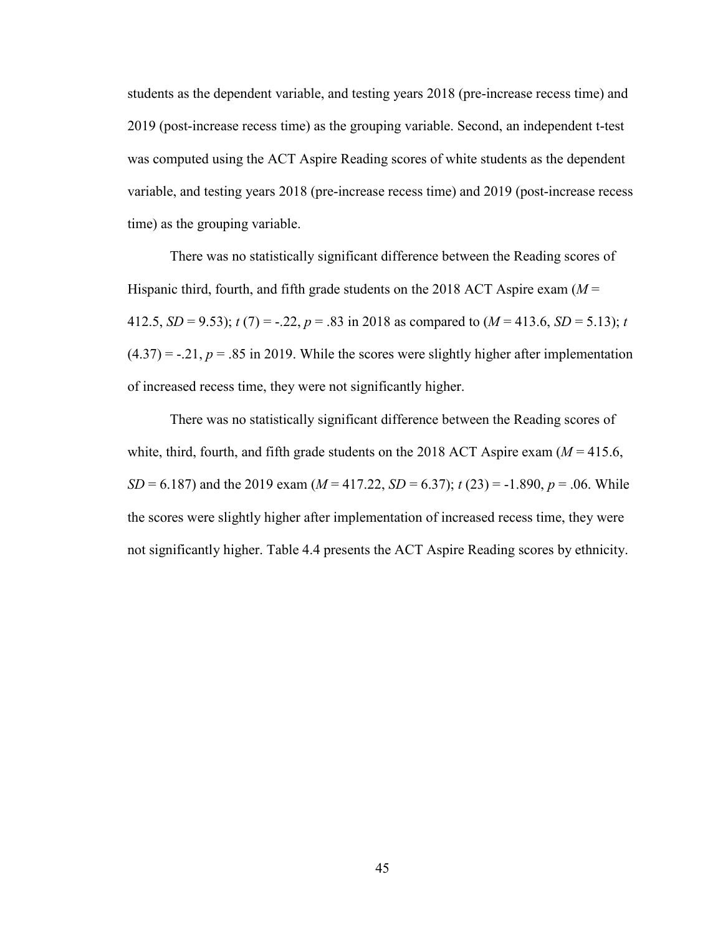students as the dependent variable, and testing years 2018 (pre-increase recess time) and 2019 (post-increase recess time) as the grouping variable. Second, an independent t-test was computed using the ACT Aspire Reading scores of white students as the dependent variable, and testing years 2018 (pre-increase recess time) and 2019 (post-increase recess time) as the grouping variable.

There was no statistically significant difference between the Reading scores of Hispanic third, fourth, and fifth grade students on the 2018 ACT Aspire exam (*M* = 412.5, *SD* = 9.53);  $t(7) = -.22$ ,  $p = .83$  in 2018 as compared to  $(M = 413.6, SD = 5.13)$ ; *t*  $(4.37) = -.21, p = .85$  in 2019. While the scores were slightly higher after implementation of increased recess time, they were not significantly higher.

There was no statistically significant difference between the Reading scores of white, third, fourth, and fifth grade students on the 2018 ACT Aspire exam  $(M = 415.6,$ *SD* = 6.187) and the 2019 exam ( $M = 417.22$ , *SD* = 6.37);  $t(23) = -1.890$ ,  $p = .06$ . While the scores were slightly higher after implementation of increased recess time, they were not significantly higher. Table 4.4 presents the ACT Aspire Reading scores by ethnicity.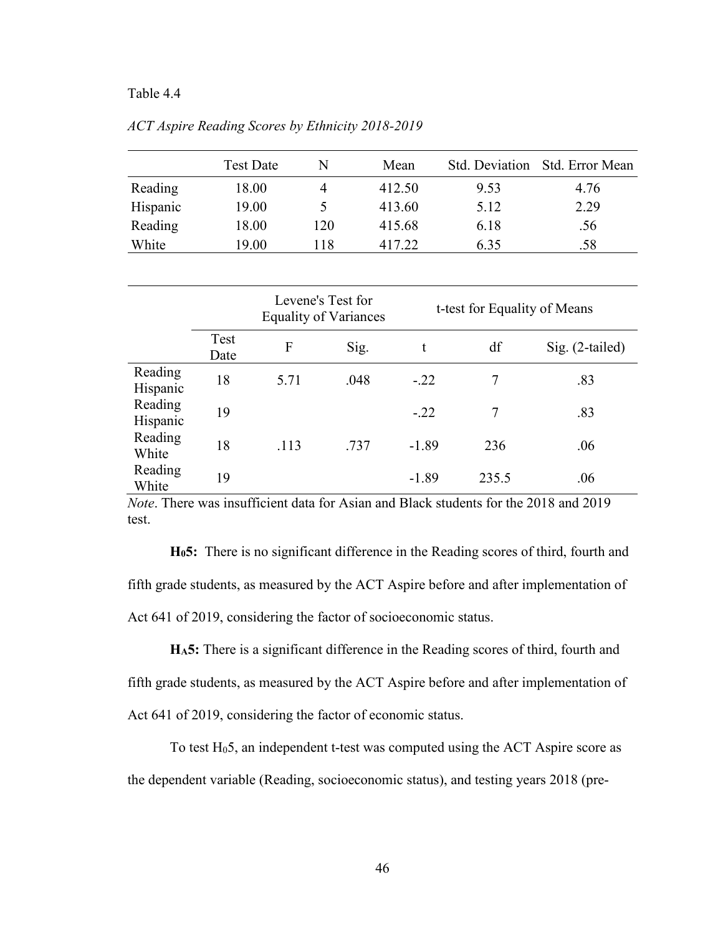## Table 4.4

|          | <b>Test Date</b> | N   | Mean   | Std. Deviation | - Std. Error Mean |
|----------|------------------|-----|--------|----------------|-------------------|
| Reading  | 18.00            |     | 412.50 | 9.53           | 4.76              |
| Hispanic | 19.00            |     | 413.60 | 5.12           | 2.29              |
| Reading  | 18.00            | 120 | 415.68 | 6.18           | .56               |
| White    | 19.00            | 118 | 417.22 | 6.35           | .58               |

*ACT Aspire Reading Scores by Ethnicity 2018-2019*

|                     |              | Levene's Test for | <b>Equality of Variances</b> | t-test for Equality of Means |       |                   |  |
|---------------------|--------------|-------------------|------------------------------|------------------------------|-------|-------------------|--|
|                     | Test<br>Date | F                 | Sig.                         | t                            | df    | $Sig. (2-tailed)$ |  |
| Reading<br>Hispanic | 18           | 5.71              | .048                         | $-.22$                       | 7     | .83               |  |
| Reading<br>Hispanic | 19           |                   |                              | $-.22$                       | 7     | .83               |  |
| Reading<br>White    | 18           | .113              | .737                         | $-1.89$                      | 236   | .06               |  |
| Reading<br>White    | 19           |                   |                              | $-1.89$                      | 235.5 | .06               |  |

*Note*. There was insufficient data for Asian and Black students for the 2018 and 2019 test.

**H05:** There is no significant difference in the Reading scores of third, fourth and fifth grade students, as measured by the ACT Aspire before and after implementation of Act 641 of 2019, considering the factor of socioeconomic status.

**HA5:** There is a significant difference in the Reading scores of third, fourth and fifth grade students, as measured by the ACT Aspire before and after implementation of Act 641 of 2019, considering the factor of economic status.

To test H05, an independent t-test was computed using the ACT Aspire score as the dependent variable (Reading, socioeconomic status), and testing years 2018 (pre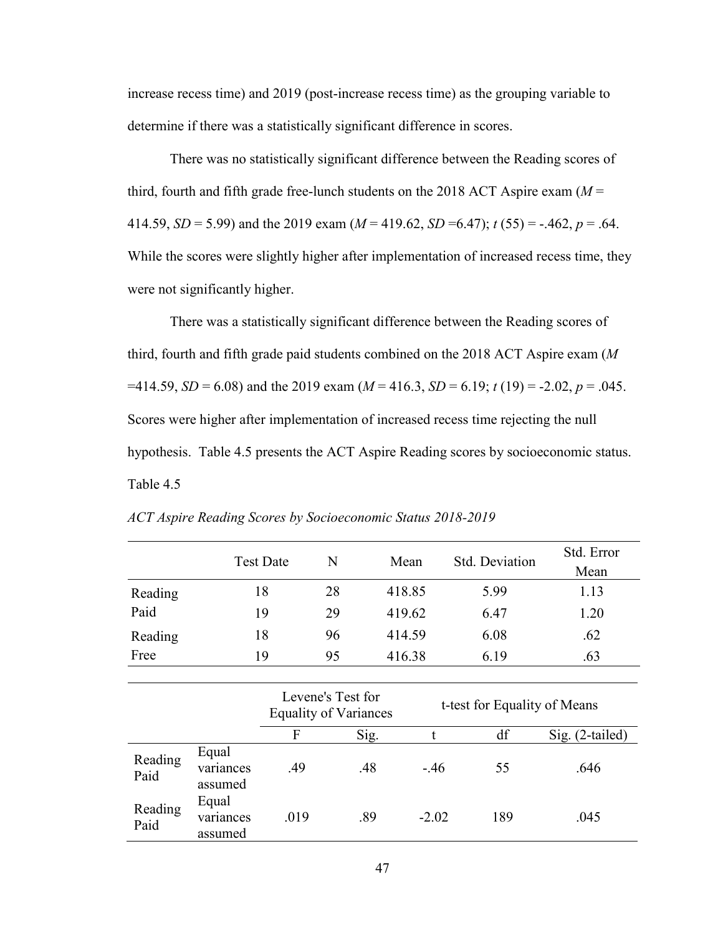increase recess time) and 2019 (post-increase recess time) as the grouping variable to determine if there was a statistically significant difference in scores.

There was no statistically significant difference between the Reading scores of third, fourth and fifth grade free-lunch students on the 2018 ACT Aspire exam  $(M =$ 414.59, *SD* = 5.99) and the 2019 exam ( $M = 419.62$ , *SD* = 6.47);  $t(55) = -.462$ ,  $p = .64$ . While the scores were slightly higher after implementation of increased recess time, they were not significantly higher.

There was a statistically significant difference between the Reading scores of third, fourth and fifth grade paid students combined on the 2018 ACT Aspire exam (*M*  $=414.59, SD = 6.08$  and the 2019 exam ( $M = 416.3, SD = 6.19$ ;  $t(19) = -2.02, p = .045$ . Scores were higher after implementation of increased recess time rejecting the null hypothesis. Table 4.5 presents the ACT Aspire Reading scores by socioeconomic status. Table 4.5

|                 |                               | <b>Test Date</b> | N                                                 | Mean   |         | <b>Std. Deviation</b>        | Std. Error        |
|-----------------|-------------------------------|------------------|---------------------------------------------------|--------|---------|------------------------------|-------------------|
|                 |                               |                  |                                                   |        |         |                              | Mean              |
| Reading         |                               | 18               | 28                                                | 418.85 |         | 5.99                         | 1.13              |
| Paid            |                               | 19               | 29                                                | 419.62 |         | 6.47                         | 1.20              |
| Reading         |                               | 18               | 96                                                | 414.59 |         | 6.08                         | .62               |
| Free            |                               | 19               | 95                                                | 416.38 |         | 6.19                         | .63               |
|                 |                               |                  |                                                   |        |         |                              |                   |
|                 |                               |                  | Levene's Test for<br><b>Equality of Variances</b> |        |         | t-test for Equality of Means |                   |
|                 |                               | F                |                                                   | Sig.   | t       | df                           | $Sig. (2-tailed)$ |
| Reading<br>Paid | Equal<br>variances<br>assumed | .49              |                                                   | .48    | $-.46$  | 55                           | .646              |
| Reading<br>Paid | Equal<br>variances<br>assumed | .019             |                                                   | .89    | $-2.02$ | 189                          | .045              |

*ACT Aspire Reading Scores by Socioeconomic Status 2018-2019*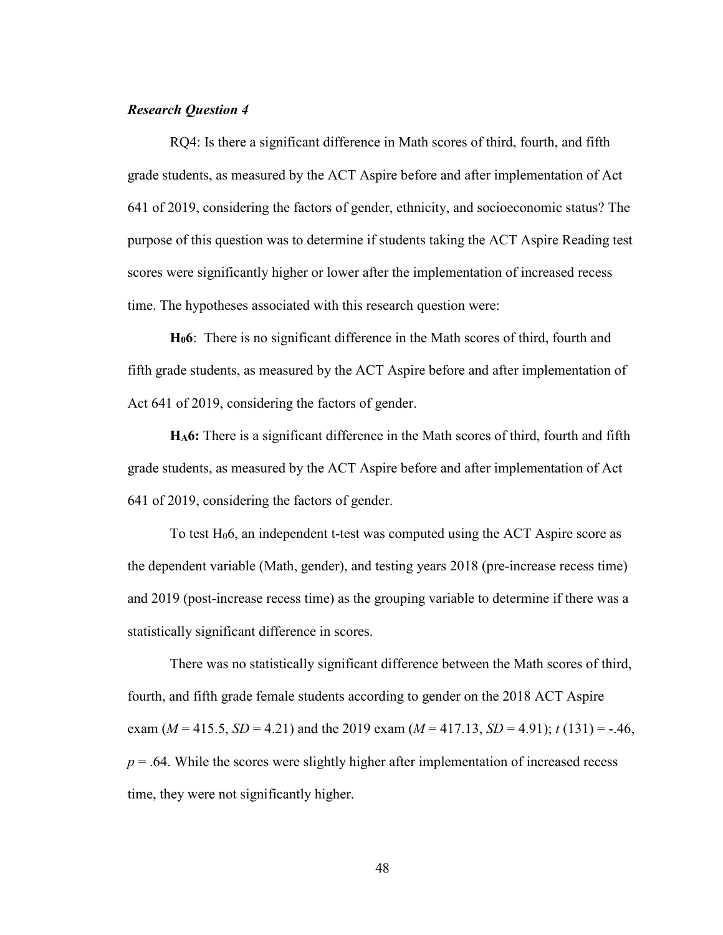## *Research Question 4*

RQ4: Is there a significant difference in Math scores of third, fourth, and fifth grade students, as measured by the ACT Aspire before and after implementation of Act 641 of 2019, considering the factors of gender, ethnicity, and socioeconomic status? The purpose of this question was to determine if students taking the ACT Aspire Reading test scores were significantly higher or lower after the implementation of increased recess time. The hypotheses associated with this research question were:

**H06**: There is no significant difference in the Math scores of third, fourth and fifth grade students, as measured by the ACT Aspire before and after implementation of Act 641 of 2019, considering the factors of gender.

**HA6:** There is a significant difference in the Math scores of third, fourth and fifth grade students, as measured by the ACT Aspire before and after implementation of Act 641 of 2019, considering the factors of gender.

To test  $H_0$ 6, an independent t-test was computed using the ACT Aspire score as the dependent variable (Math, gender), and testing years 2018 (pre-increase recess time) and 2019 (post-increase recess time) as the grouping variable to determine if there was a statistically significant difference in scores.

There was no statistically significant difference between the Math scores of third, fourth, and fifth grade female students according to gender on the 2018 ACT Aspire exam  $(M = 415.5, SD = 4.21)$  and the 2019 exam  $(M = 417.13, SD = 4.91)$ ;  $t(131) = -.46$ ,  $p = .64$ . While the scores were slightly higher after implementation of increased recess time, they were not significantly higher.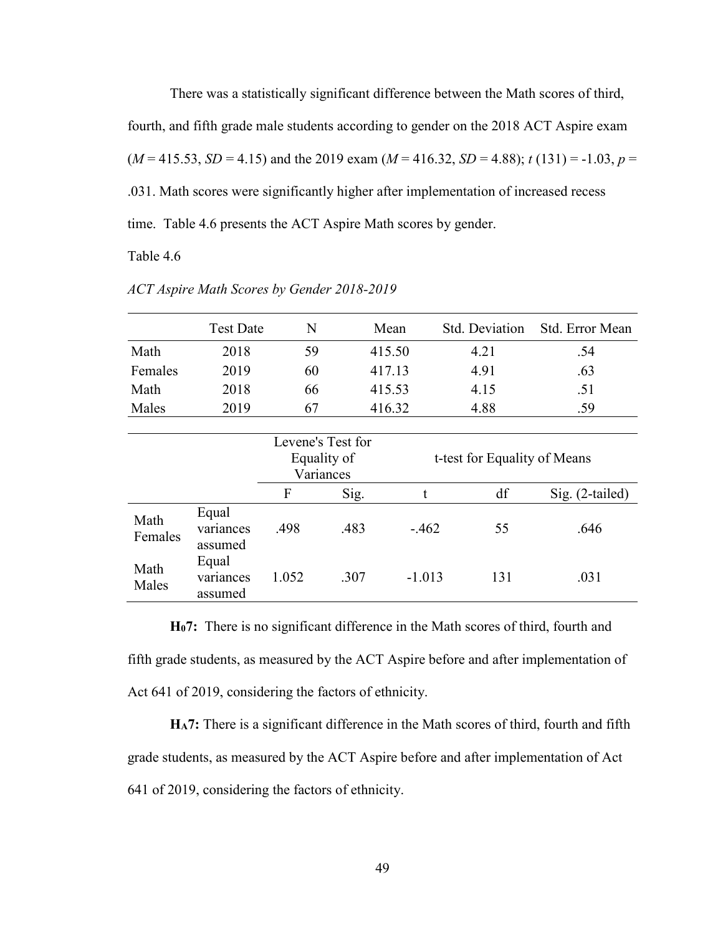There was a statistically significant difference between the Math scores of third, fourth, and fifth grade male students according to gender on the 2018 ACT Aspire exam  $(M = 415.53, SD = 4.15)$  and the 2019 exam  $(M = 416.32, SD = 4.88)$ ;  $t(131) = -1.03, p =$ .031. Math scores were significantly higher after implementation of increased recess time. Table 4.6 presents the ACT Aspire Math scores by gender.

Table 4.6

|                 | <b>Test Date</b>              | N                                             |      | Mean   | <b>Std. Deviation</b>        |      | Std. Error Mean   |
|-----------------|-------------------------------|-----------------------------------------------|------|--------|------------------------------|------|-------------------|
| Math            | 2018                          | 59                                            |      | 415.50 |                              | 4.21 | .54               |
| Females         | 2019                          | 60                                            |      | 417.13 |                              | 4.91 | .63               |
| Math            | 2018                          | 66                                            |      | 415.53 |                              | 4.15 | .51               |
| Males           | 2019                          | 67                                            |      | 416.32 |                              | 4.88 | .59               |
|                 |                               |                                               |      |        |                              |      |                   |
|                 |                               | Levene's Test for<br>Equality of<br>Variances |      |        | t-test for Equality of Means |      |                   |
|                 |                               | F                                             | Sig. |        | t                            | df   | $Sig. (2-tailed)$ |
| Math<br>Females | Equal<br>variances<br>assumed | .498                                          | .483 |        | $-.462$                      | 55   | .646              |
| Math<br>Males   | Equal<br>variances<br>assumed | 1.052                                         | .307 |        | $-1.013$                     | 131  | .031              |

*ACT Aspire Math Scores by Gender 2018-2019*

**H07:** There is no significant difference in the Math scores of third, fourth and fifth grade students, as measured by the ACT Aspire before and after implementation of Act 641 of 2019, considering the factors of ethnicity.

**HA7:** There is a significant difference in the Math scores of third, fourth and fifth grade students, as measured by the ACT Aspire before and after implementation of Act 641 of 2019, considering the factors of ethnicity.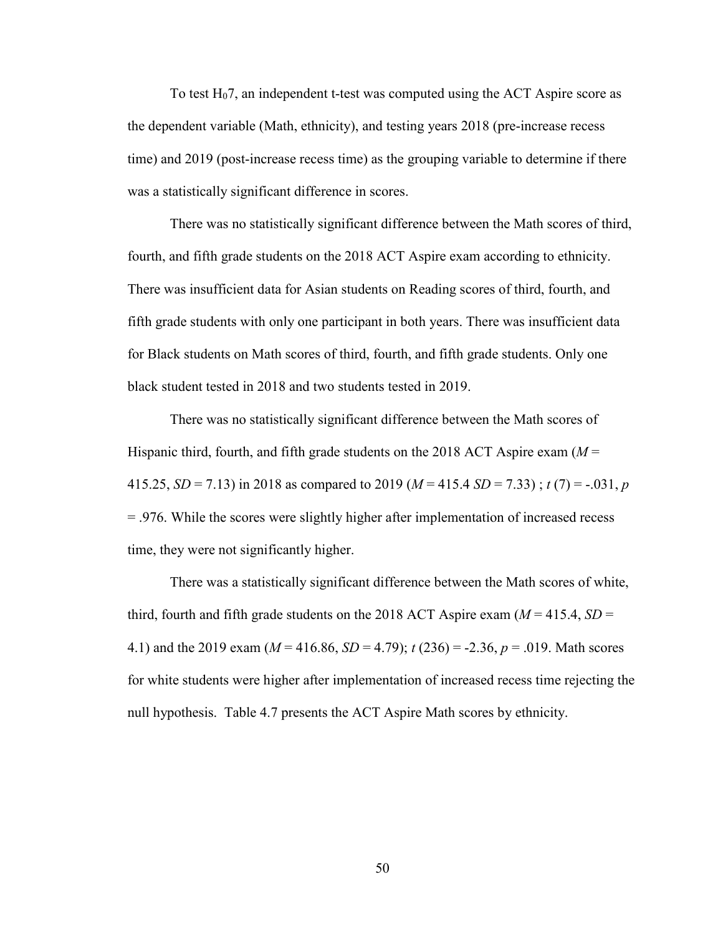To test H07, an independent t-test was computed using the ACT Aspire score as the dependent variable (Math, ethnicity), and testing years 2018 (pre-increase recess time) and 2019 (post-increase recess time) as the grouping variable to determine if there was a statistically significant difference in scores.

There was no statistically significant difference between the Math scores of third, fourth, and fifth grade students on the 2018 ACT Aspire exam according to ethnicity. There was insufficient data for Asian students on Reading scores of third, fourth, and fifth grade students with only one participant in both years. There was insufficient data for Black students on Math scores of third, fourth, and fifth grade students. Only one black student tested in 2018 and two students tested in 2019.

There was no statistically significant difference between the Math scores of Hispanic third, fourth, and fifth grade students on the 2018 ACT Aspire exam (*M* = 415.25, *SD* = 7.13) in 2018 as compared to 2019 ( $M = 415.4$  *SD* = 7.33);  $t(7) = -.031$ , *p* = .976. While the scores were slightly higher after implementation of increased recess time, they were not significantly higher.

There was a statistically significant difference between the Math scores of white, third, fourth and fifth grade students on the 2018 ACT Aspire exam  $(M = 415.4, SD =$ 4.1) and the 2019 exam (*M* = 416.86, *SD* = 4.79); *t* (236) = -2.36, *p* = .019. Math scores for white students were higher after implementation of increased recess time rejecting the null hypothesis. Table 4.7 presents the ACT Aspire Math scores by ethnicity.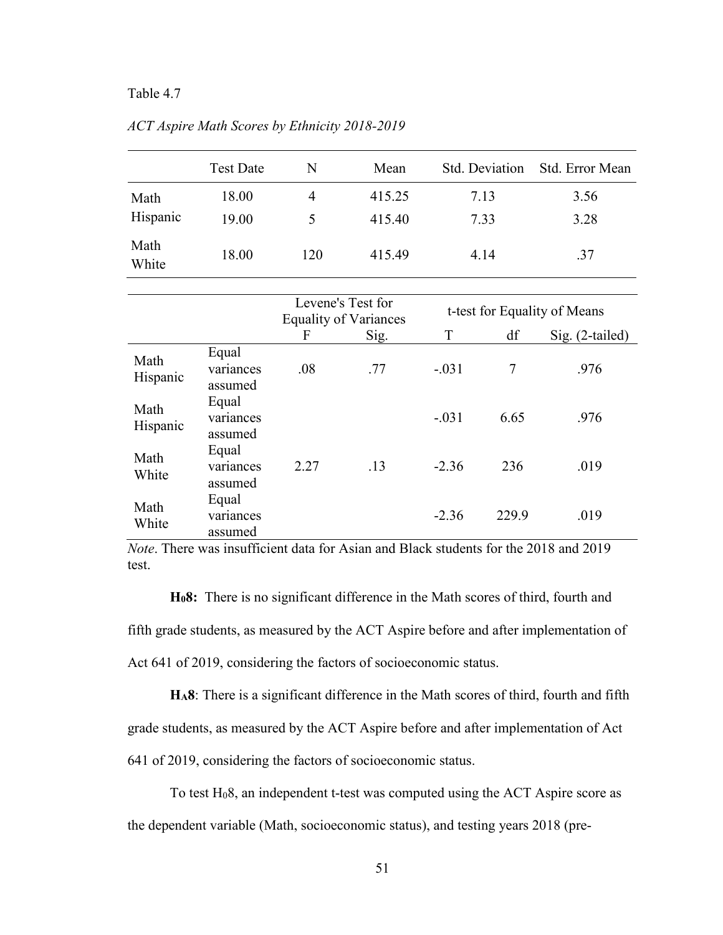## Table 4.7

|                  | <b>Test Date</b> | N   | Mean             | Std. Deviation | Std. Error Mean |
|------------------|------------------|-----|------------------|----------------|-----------------|
| Math<br>Hispanic | 18.00<br>19.00   | 4   | 415.25<br>415.40 | 7.13<br>7.33   | 3.56<br>3.28    |
| Math<br>White    | 18.00            | 120 | 415.49           | 4.14           | .37             |

*ACT Aspire Math Scores by Ethnicity 2018-2019*

|                  |                               | Levene's Test for<br><b>Equality of Variances</b> |      | t-test for Equality of Means |       |                 |
|------------------|-------------------------------|---------------------------------------------------|------|------------------------------|-------|-----------------|
|                  |                               | F                                                 | Sig. | T                            | df    | Sig. (2-tailed) |
| Math<br>Hispanic | Equal<br>variances<br>assumed | .08                                               | .77  | $-.031$                      | 7     | .976            |
| Math<br>Hispanic | Equal<br>variances<br>assumed |                                                   |      | $-.031$                      | 6.65  | .976            |
| Math<br>White    | Equal<br>variances<br>assumed | 2.27                                              | .13  | $-2.36$                      | 236   | .019            |
| Math<br>White    | Equal<br>variances<br>assumed |                                                   |      | $-2.36$                      | 229.9 | .019            |

*Note*. There was insufficient data for Asian and Black students for the 2018 and 2019 test.

**H08:** There is no significant difference in the Math scores of third, fourth and fifth grade students, as measured by the ACT Aspire before and after implementation of Act 641 of 2019, considering the factors of socioeconomic status.

**HA8**: There is a significant difference in the Math scores of third, fourth and fifth grade students, as measured by the ACT Aspire before and after implementation of Act 641 of 2019, considering the factors of socioeconomic status.

To test H08, an independent t-test was computed using the ACT Aspire score as the dependent variable (Math, socioeconomic status), and testing years 2018 (pre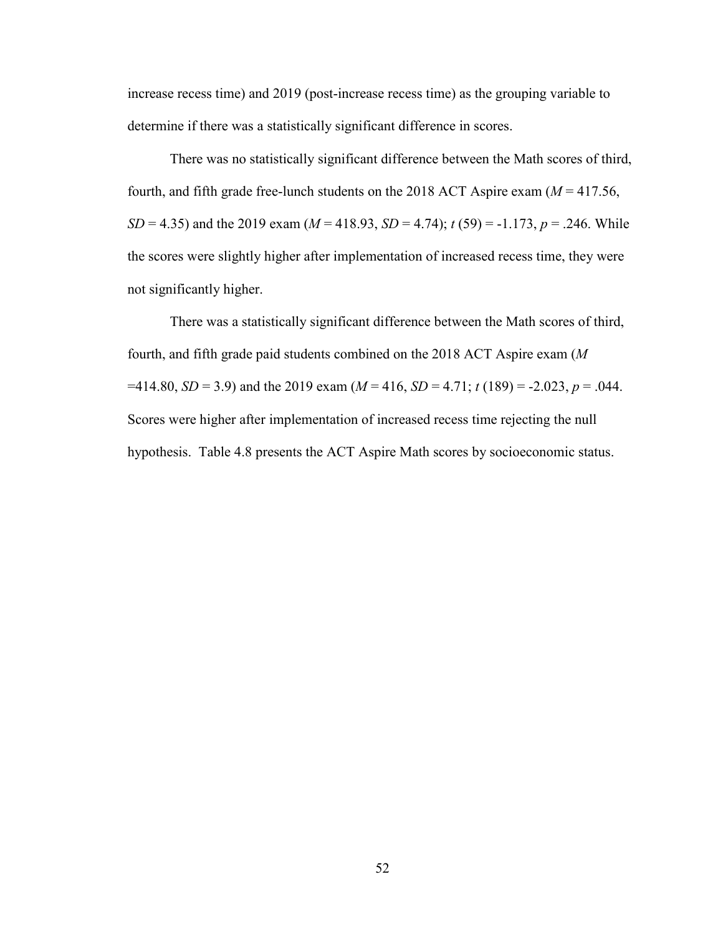increase recess time) and 2019 (post-increase recess time) as the grouping variable to determine if there was a statistically significant difference in scores.

There was no statistically significant difference between the Math scores of third, fourth, and fifth grade free-lunch students on the 2018 ACT Aspire exam  $(M = 417.56$ , *SD* = 4.35) and the 2019 exam ( $M = 418.93$ ,  $SD = 4.74$ );  $t(59) = -1.173$ ,  $p = .246$ . While the scores were slightly higher after implementation of increased recess time, they were not significantly higher.

There was a statistically significant difference between the Math scores of third, fourth, and fifth grade paid students combined on the 2018 ACT Aspire exam (*M*  $=414.80, SD = 3.9$  and the 2019 exam ( $M = 416$ ,  $SD = 4.71$ ;  $t(189) = -2.023, p = .044$ . Scores were higher after implementation of increased recess time rejecting the null hypothesis. Table 4.8 presents the ACT Aspire Math scores by socioeconomic status.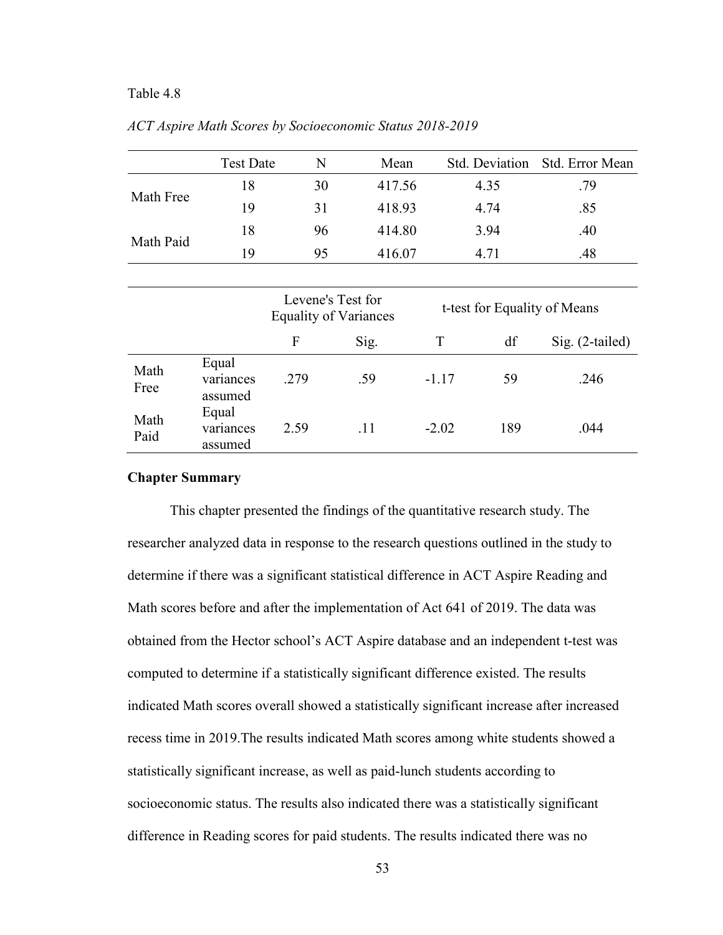#### Table 4.8

|              | <b>Test Date</b>              | N                                                 | Mean   |                              | Std. Deviation | Std. Error Mean   |
|--------------|-------------------------------|---------------------------------------------------|--------|------------------------------|----------------|-------------------|
| Math Free    | 18                            | 30                                                | 417.56 |                              | 4.35           | .79               |
|              | 19                            | 31                                                | 418.93 |                              | 4.74           | .85               |
| Math Paid    | 18                            | 96                                                | 414.80 |                              | 3.94           | .40               |
|              | 19                            | 95                                                | 416.07 |                              | 4.71           | .48               |
|              |                               |                                                   |        |                              |                |                   |
|              |                               | Levene's Test for<br><b>Equality of Variances</b> |        | t-test for Equality of Means |                |                   |
|              |                               | F                                                 | Sig.   | T                            | df             | $Sig. (2-tailed)$ |
| Math<br>Free | Equal<br>variances<br>assumed | .279                                              | .59    | $-1.17$                      | 59             | .246              |
| Math<br>Paid | Equal<br>variances<br>assumed | 2.59                                              | .11    | $-2.02$                      | 189            | .044              |

*ACT Aspire Math Scores by Socioeconomic Status 2018-2019*

#### **Chapter Summary**

This chapter presented the findings of the quantitative research study. The researcher analyzed data in response to the research questions outlined in the study to determine if there was a significant statistical difference in ACT Aspire Reading and Math scores before and after the implementation of Act 641 of 2019. The data was obtained from the Hector school's ACT Aspire database and an independent t-test was computed to determine if a statistically significant difference existed. The results indicated Math scores overall showed a statistically significant increase after increased recess time in 2019.The results indicated Math scores among white students showed a statistically significant increase, as well as paid-lunch students according to socioeconomic status. The results also indicated there was a statistically significant difference in Reading scores for paid students. The results indicated there was no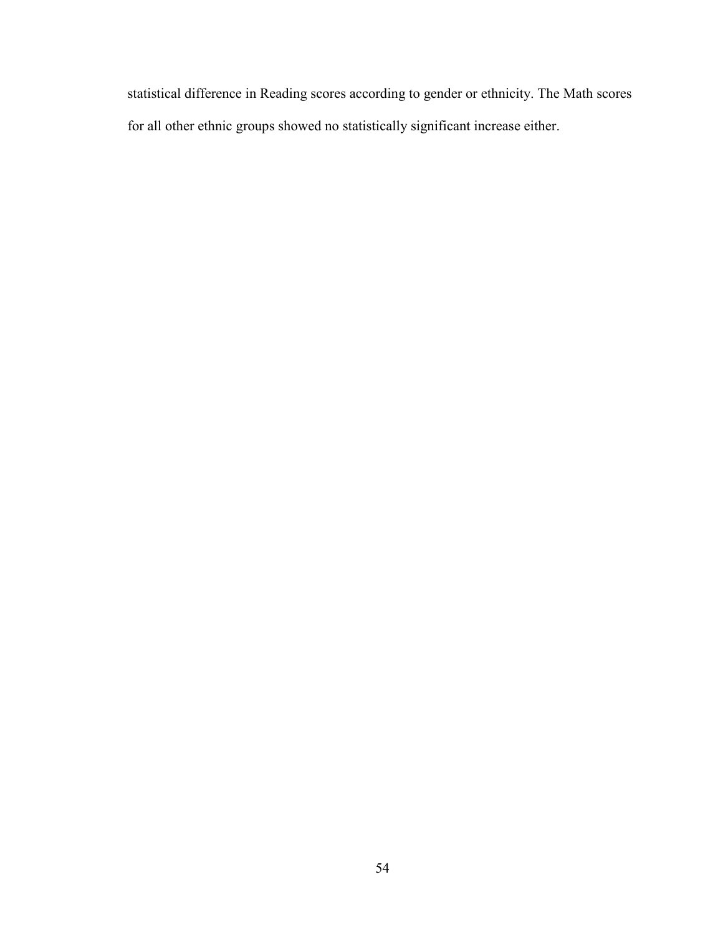statistical difference in Reading scores according to gender or ethnicity. The Math scores for all other ethnic groups showed no statistically significant increase either.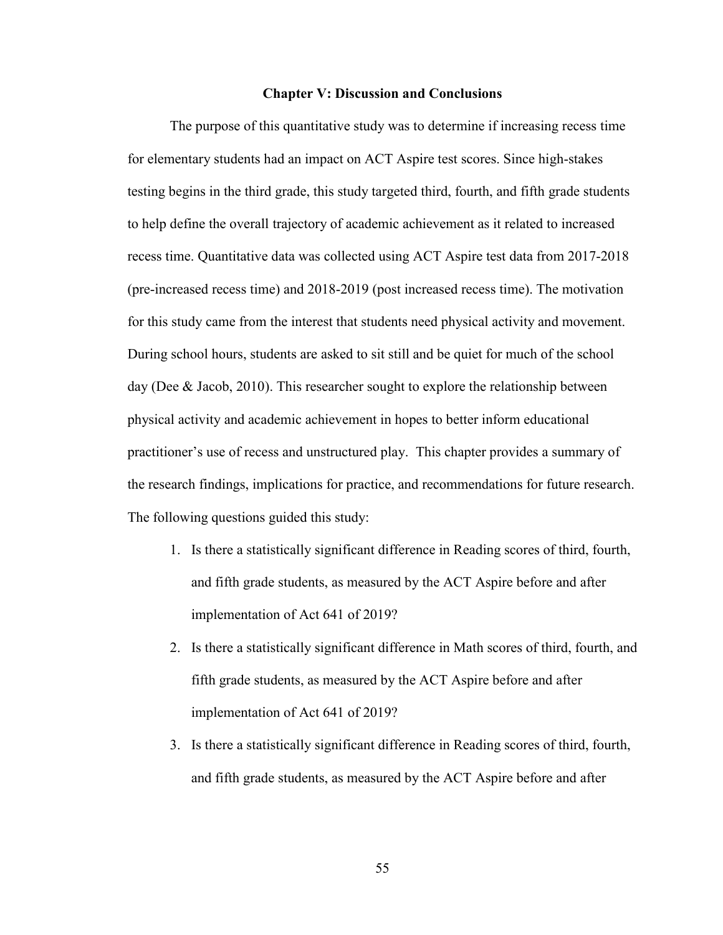#### **Chapter V: Discussion and Conclusions**

The purpose of this quantitative study was to determine if increasing recess time for elementary students had an impact on ACT Aspire test scores. Since high-stakes testing begins in the third grade, this study targeted third, fourth, and fifth grade students to help define the overall trajectory of academic achievement as it related to increased recess time. Quantitative data was collected using ACT Aspire test data from 2017-2018 (pre-increased recess time) and 2018-2019 (post increased recess time). The motivation for this study came from the interest that students need physical activity and movement. During school hours, students are asked to sit still and be quiet for much of the school day (Dee & Jacob, 2010). This researcher sought to explore the relationship between physical activity and academic achievement in hopes to better inform educational practitioner's use of recess and unstructured play. This chapter provides a summary of the research findings, implications for practice, and recommendations for future research. The following questions guided this study:

- 1. Is there a statistically significant difference in Reading scores of third, fourth, and fifth grade students, as measured by the ACT Aspire before and after implementation of Act 641 of 2019?
- 2. Is there a statistically significant difference in Math scores of third, fourth, and fifth grade students, as measured by the ACT Aspire before and after implementation of Act 641 of 2019?
- 3. Is there a statistically significant difference in Reading scores of third, fourth, and fifth grade students, as measured by the ACT Aspire before and after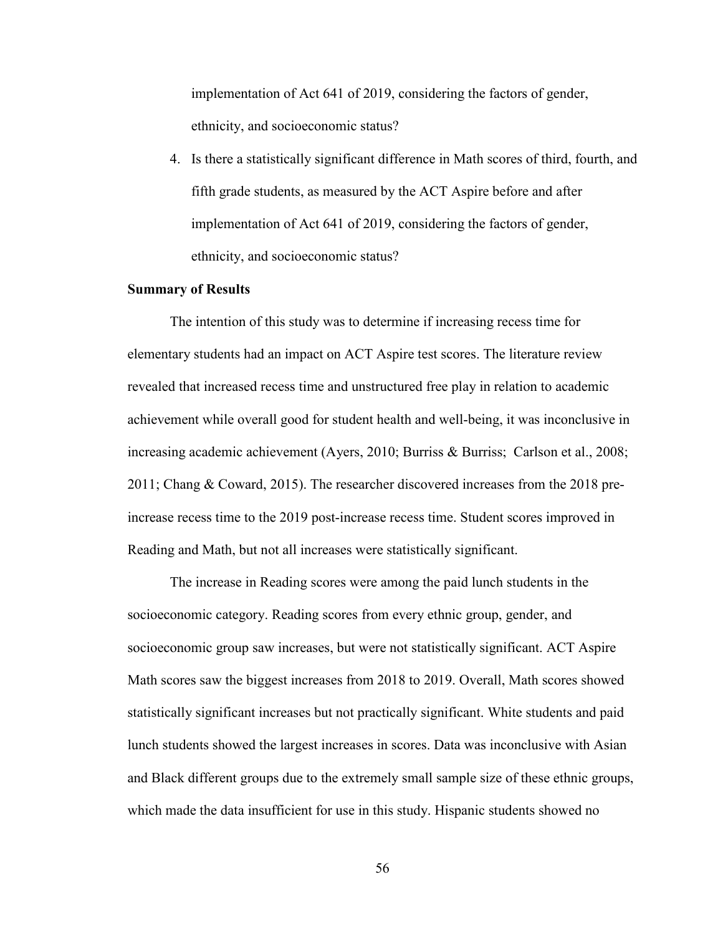implementation of Act 641 of 2019, considering the factors of gender, ethnicity, and socioeconomic status?

4. Is there a statistically significant difference in Math scores of third, fourth, and fifth grade students, as measured by the ACT Aspire before and after implementation of Act 641 of 2019, considering the factors of gender, ethnicity, and socioeconomic status?

### **Summary of Results**

The intention of this study was to determine if increasing recess time for elementary students had an impact on ACT Aspire test scores. The literature review revealed that increased recess time and unstructured free play in relation to academic achievement while overall good for student health and well-being, it was inconclusive in increasing academic achievement (Ayers, 2010; Burriss & Burriss; Carlson et al., 2008; 2011; Chang & Coward, 2015). The researcher discovered increases from the 2018 preincrease recess time to the 2019 post-increase recess time. Student scores improved in Reading and Math, but not all increases were statistically significant.

The increase in Reading scores were among the paid lunch students in the socioeconomic category. Reading scores from every ethnic group, gender, and socioeconomic group saw increases, but were not statistically significant. ACT Aspire Math scores saw the biggest increases from 2018 to 2019. Overall, Math scores showed statistically significant increases but not practically significant. White students and paid lunch students showed the largest increases in scores. Data was inconclusive with Asian and Black different groups due to the extremely small sample size of these ethnic groups, which made the data insufficient for use in this study. Hispanic students showed no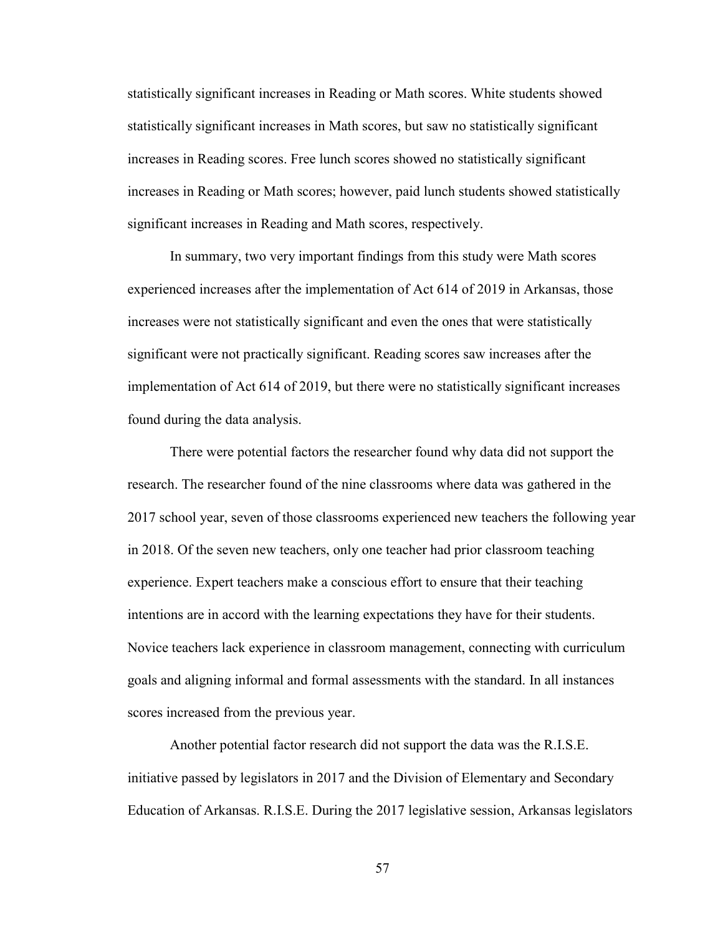statistically significant increases in Reading or Math scores. White students showed statistically significant increases in Math scores, but saw no statistically significant increases in Reading scores. Free lunch scores showed no statistically significant increases in Reading or Math scores; however, paid lunch students showed statistically significant increases in Reading and Math scores, respectively.

In summary, two very important findings from this study were Math scores experienced increases after the implementation of Act 614 of 2019 in Arkansas, those increases were not statistically significant and even the ones that were statistically significant were not practically significant. Reading scores saw increases after the implementation of Act 614 of 2019, but there were no statistically significant increases found during the data analysis.

There were potential factors the researcher found why data did not support the research. The researcher found of the nine classrooms where data was gathered in the 2017 school year, seven of those classrooms experienced new teachers the following year in 2018. Of the seven new teachers, only one teacher had prior classroom teaching experience. Expert teachers make a conscious effort to ensure that their teaching intentions are in accord with the learning expectations they have for their students. Novice teachers lack experience in classroom management, connecting with curriculum goals and aligning informal and formal assessments with the standard. In all instances scores increased from the previous year.

Another potential factor research did not support the data was the R.I.S.E. initiative passed by legislators in 2017 and the Division of Elementary and Secondary Education of Arkansas. R.I.S.E. During the 2017 legislative session, Arkansas legislators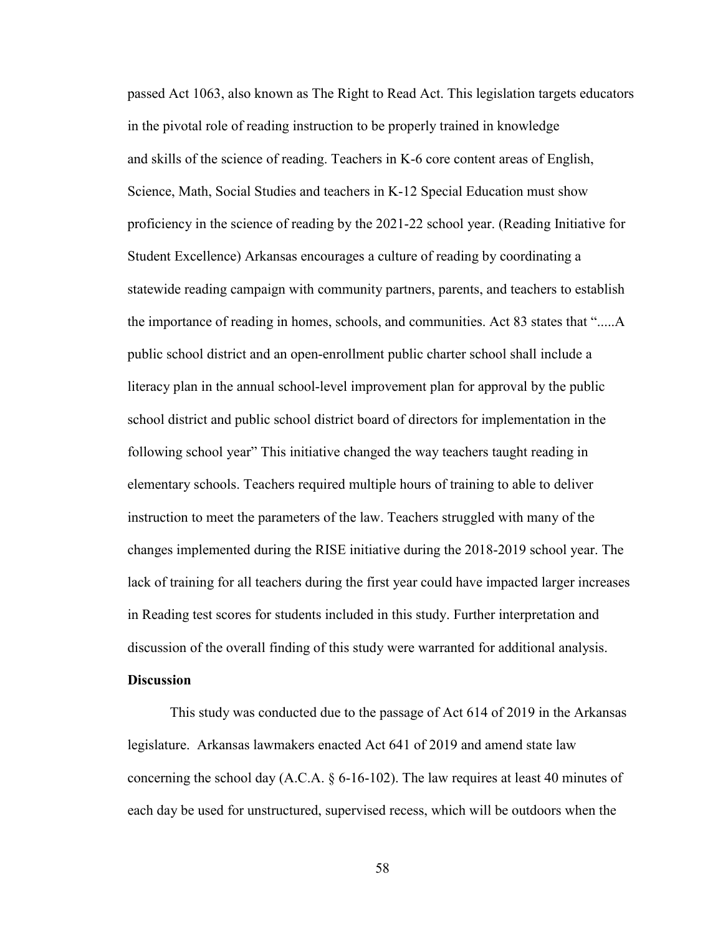passed Act 1063, also known as The Right to Read Act. This legislation targets educators in the pivotal role of reading instruction to be properly trained in knowledge and skills of the science of reading. Teachers in K-6 core content areas of English, Science, Math, Social Studies and teachers in K-12 Special Education must show proficiency in the science of reading by the 2021-22 school year. (Reading Initiative for Student Excellence) Arkansas encourages a culture of reading by coordinating a statewide reading campaign with community partners, parents, and teachers to establish the importance of reading in homes, schools, and communities. Act 83 states that ".....A public school district and an open-enrollment public charter school shall include a literacy plan in the annual school-level improvement plan for approval by the public school district and public school district board of directors for implementation in the following school year" This initiative changed the way teachers taught reading in elementary schools. Teachers required multiple hours of training to able to deliver instruction to meet the parameters of the law. Teachers struggled with many of the changes implemented during the RISE initiative during the 2018-2019 school year. The lack of training for all teachers during the first year could have impacted larger increases in Reading test scores for students included in this study. Further interpretation and discussion of the overall finding of this study were warranted for additional analysis.

## **Discussion**

This study was conducted due to the passage of Act 614 of 2019 in the Arkansas legislature. Arkansas lawmakers enacted Act 641 of 2019 and amend state law concerning the school day (A.C.A. § 6-16-102). The law requires at least 40 minutes of each day be used for unstructured, supervised recess, which will be outdoors when the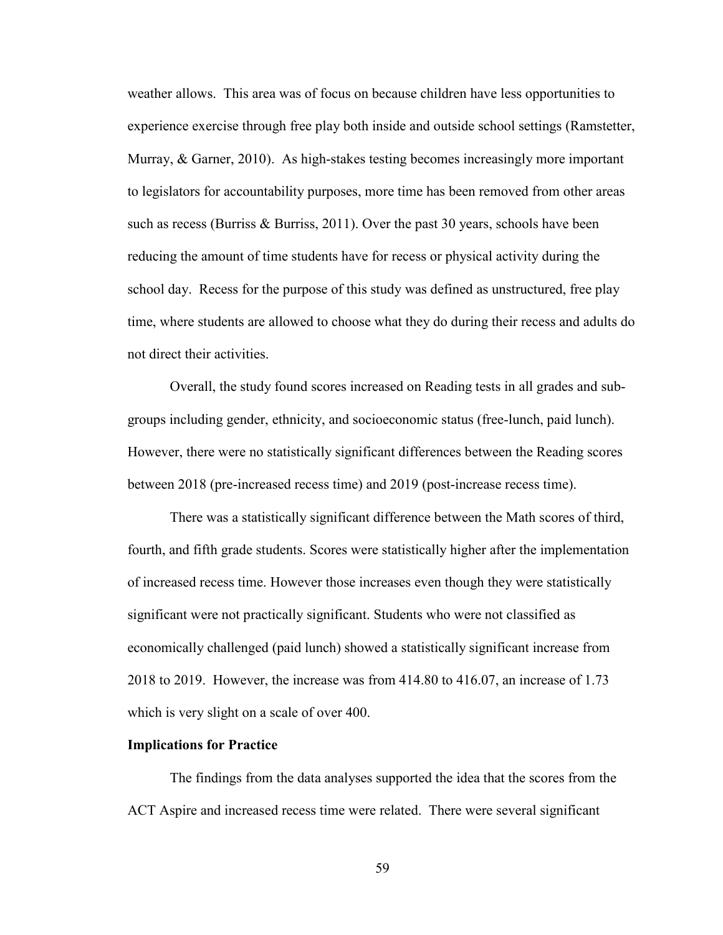weather allows. This area was of focus on because children have less opportunities to experience exercise through free play both inside and outside school settings (Ramstetter, Murray, & Garner, 2010). As high-stakes testing becomes increasingly more important to legislators for accountability purposes, more time has been removed from other areas such as recess (Burriss & Burriss, 2011). Over the past 30 years, schools have been reducing the amount of time students have for recess or physical activity during the school day. Recess for the purpose of this study was defined as unstructured, free play time, where students are allowed to choose what they do during their recess and adults do not direct their activities.

Overall, the study found scores increased on Reading tests in all grades and subgroups including gender, ethnicity, and socioeconomic status (free-lunch, paid lunch). However, there were no statistically significant differences between the Reading scores between 2018 (pre-increased recess time) and 2019 (post-increase recess time).

There was a statistically significant difference between the Math scores of third, fourth, and fifth grade students. Scores were statistically higher after the implementation of increased recess time. However those increases even though they were statistically significant were not practically significant. Students who were not classified as economically challenged (paid lunch) showed a statistically significant increase from 2018 to 2019. However, the increase was from 414.80 to 416.07, an increase of 1.73 which is very slight on a scale of over 400.

#### **Implications for Practice**

The findings from the data analyses supported the idea that the scores from the ACT Aspire and increased recess time were related. There were several significant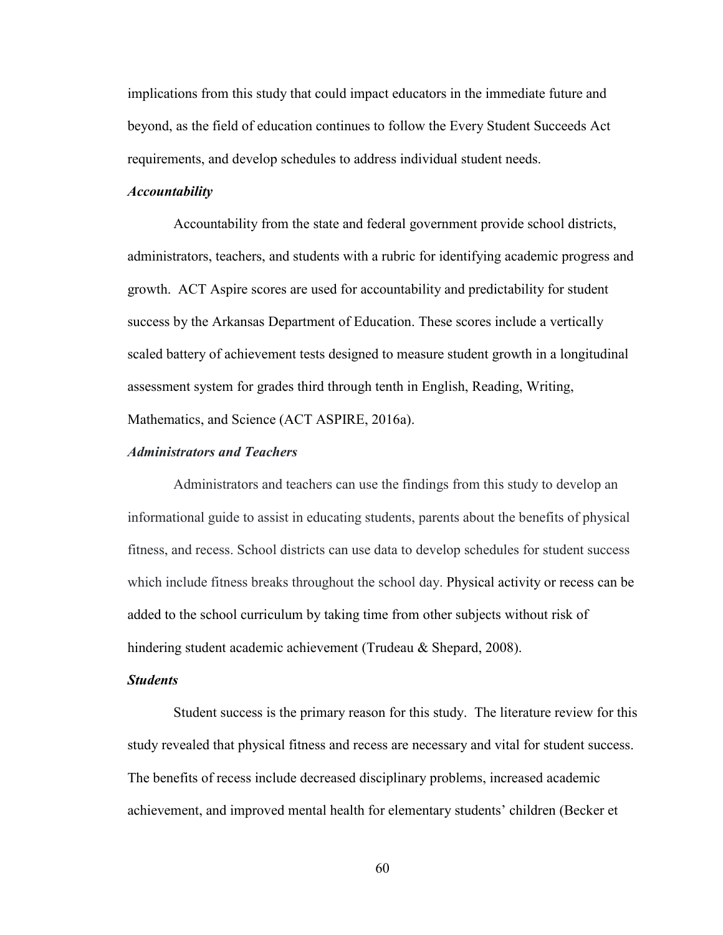implications from this study that could impact educators in the immediate future and beyond, as the field of education continues to follow the Every Student Succeeds Act requirements, and develop schedules to address individual student needs.

## *Accountability*

Accountability from the state and federal government provide school districts, administrators, teachers, and students with a rubric for identifying academic progress and growth. ACT Aspire scores are used for accountability and predictability for student success by the Arkansas Department of Education. These scores include a vertically scaled battery of achievement tests designed to measure student growth in a longitudinal assessment system for grades third through tenth in English, Reading, Writing, Mathematics, and Science (ACT ASPIRE, 2016a).

### *Administrators and Teachers*

Administrators and teachers can use the findings from this study to develop an informational guide to assist in educating students, parents about the benefits of physical fitness, and recess. School districts can use data to develop schedules for student success which include fitness breaks throughout the school day. Physical activity or recess can be added to the school curriculum by taking time from other subjects without risk of hindering student academic achievement (Trudeau & Shepard, 2008).

## *Students*

Student success is the primary reason for this study. The literature review for this study revealed that physical fitness and recess are necessary and vital for student success. The benefits of recess include decreased disciplinary problems, increased academic achievement, and improved mental health for elementary students' children (Becker et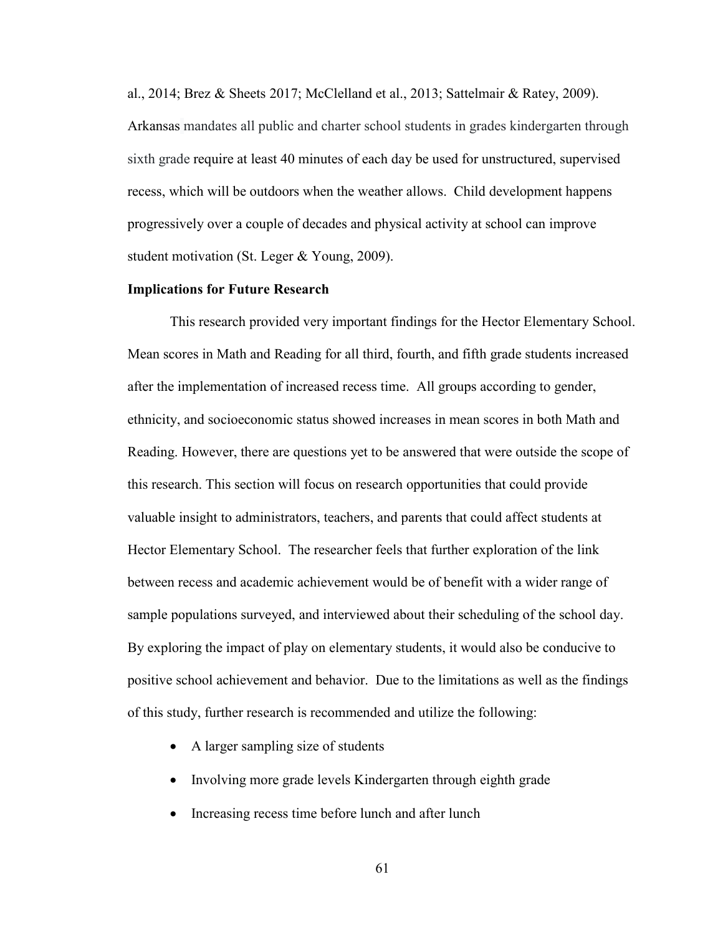al., 2014; Brez & Sheets 2017; McClelland et al., 2013; Sattelmair & Ratey, 2009). Arkansas mandates all public and charter school students in grades kindergarten through sixth grade require at least 40 minutes of each day be used for unstructured, supervised recess, which will be outdoors when the weather allows. Child development happens progressively over a couple of decades and physical activity at school can improve student motivation (St. Leger & Young, 2009).

### **Implications for Future Research**

This research provided very important findings for the Hector Elementary School. Mean scores in Math and Reading for all third, fourth, and fifth grade students increased after the implementation of increased recess time. All groups according to gender, ethnicity, and socioeconomic status showed increases in mean scores in both Math and Reading. However, there are questions yet to be answered that were outside the scope of this research. This section will focus on research opportunities that could provide valuable insight to administrators, teachers, and parents that could affect students at Hector Elementary School. The researcher feels that further exploration of the link between recess and academic achievement would be of benefit with a wider range of sample populations surveyed, and interviewed about their scheduling of the school day. By exploring the impact of play on elementary students, it would also be conducive to positive school achievement and behavior. Due to the limitations as well as the findings of this study, further research is recommended and utilize the following:

- A larger sampling size of students
- Involving more grade levels Kindergarten through eighth grade
- Increasing recess time before lunch and after lunch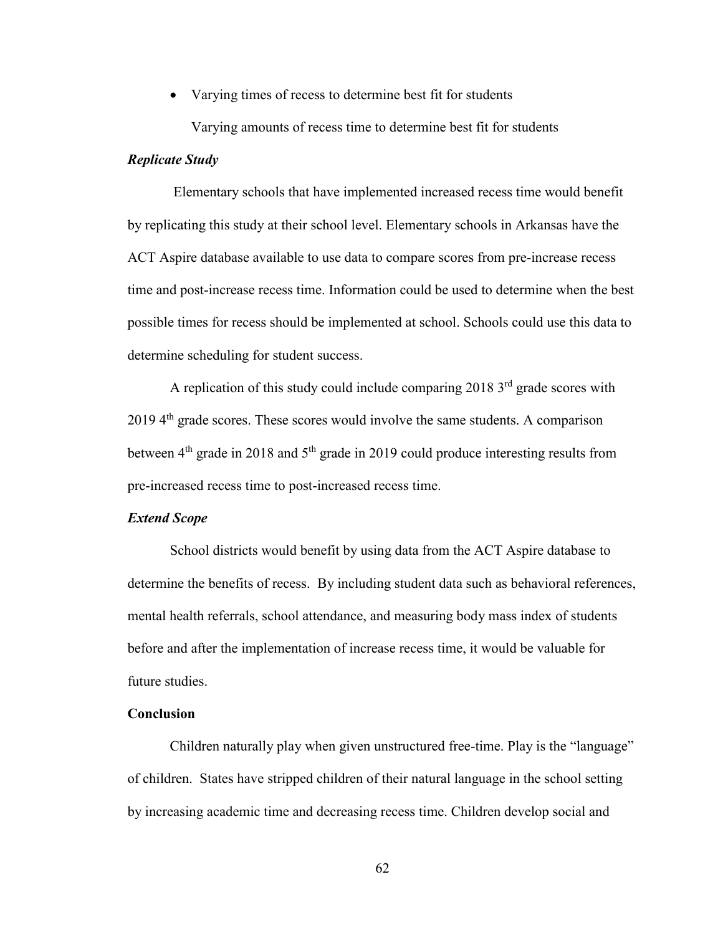• Varying times of recess to determine best fit for students

Varying amounts of recess time to determine best fit for students

### *Replicate Study*

Elementary schools that have implemented increased recess time would benefit by replicating this study at their school level. Elementary schools in Arkansas have the ACT Aspire database available to use data to compare scores from pre-increase recess time and post-increase recess time. Information could be used to determine when the best possible times for recess should be implemented at school. Schools could use this data to determine scheduling for student success.

A replication of this study could include comparing  $2018 \,$ <sup>3rd</sup> grade scores with  $20194<sup>th</sup>$  grade scores. These scores would involve the same students. A comparison between  $4<sup>th</sup>$  grade in 2018 and  $5<sup>th</sup>$  grade in 2019 could produce interesting results from pre-increased recess time to post-increased recess time.

### *Extend Scope*

School districts would benefit by using data from the ACT Aspire database to determine the benefits of recess. By including student data such as behavioral references, mental health referrals, school attendance, and measuring body mass index of students before and after the implementation of increase recess time, it would be valuable for future studies.

# **Conclusion**

Children naturally play when given unstructured free-time. Play is the "language" of children. States have stripped children of their natural language in the school setting by increasing academic time and decreasing recess time. Children develop social and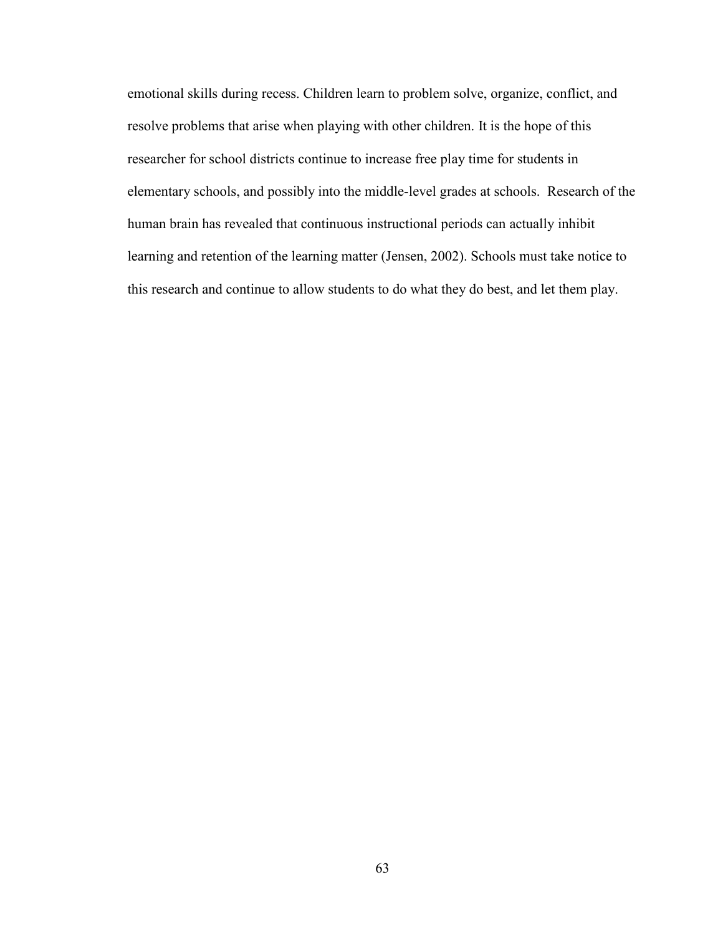emotional skills during recess. Children learn to problem solve, organize, conflict, and resolve problems that arise when playing with other children. It is the hope of this researcher for school districts continue to increase free play time for students in elementary schools, and possibly into the middle-level grades at schools. Research of the human brain has revealed that continuous instructional periods can actually inhibit learning and retention of the learning matter (Jensen, 2002). Schools must take notice to this research and continue to allow students to do what they do best, and let them play.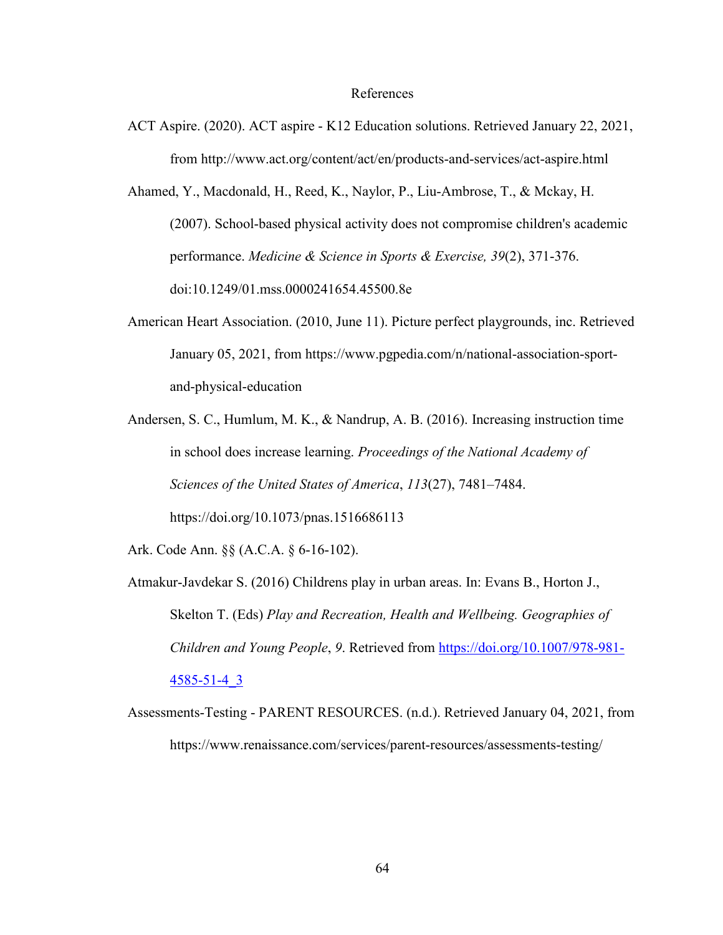#### References

- ACT Aspire. (2020). ACT aspire K12 Education solutions. Retrieved January 22, 2021, from http://www.act.org/content/act/en/products-and-services/act-aspire.html
- Ahamed, Y., Macdonald, H., Reed, K., Naylor, P., Liu-Ambrose, T., & Mckay, H. (2007). School-based physical activity does not compromise children's academic performance. *Medicine & Science in Sports & Exercise, 39*(2), 371-376. doi:10.1249/01.mss.0000241654.45500.8e
- American Heart Association. (2010, June 11). Picture perfect playgrounds, inc. Retrieved January 05, 2021, from https://www.pgpedia.com/n/national-association-sportand-physical-education
- Andersen, S. C., Humlum, M. K., & Nandrup, A. B. (2016). Increasing instruction time in school does increase learning. *Proceedings of the National Academy of Sciences of the United States of America*, *113*(27), 7481–7484. https://doi.org/10.1073/pnas.1516686113

Ark. Code Ann. §§ (A.C.A. § 6-16-102).

- Atmakur-Javdekar S. (2016) Childrens play in urban areas. In: Evans B., Horton J., Skelton T. (Eds) *Play and Recreation, Health and Wellbeing. Geographies of Children and Young People*, *9*. Retrieved from [https://doi.org/10.1007/978-981-](https://doi.org/10.1007/978-981-4585-51-4_3) [4585-51-4\\_3](https://doi.org/10.1007/978-981-4585-51-4_3)
- Assessments-Testing PARENT RESOURCES. (n.d.). Retrieved January 04, 2021, from https://www.renaissance.com/services/parent-resources/assessments-testing/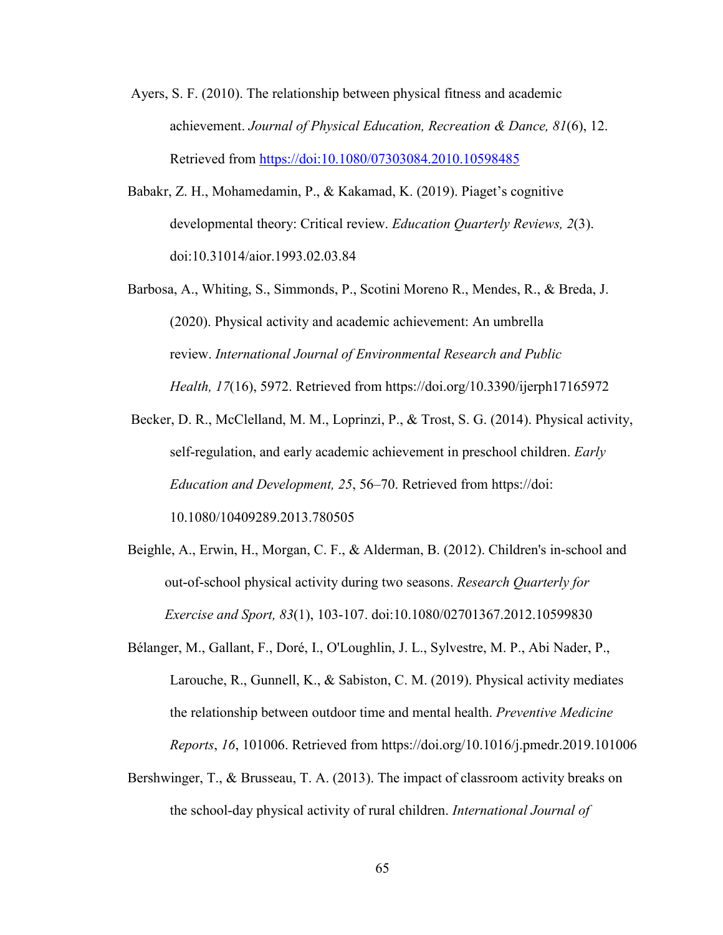- Ayers, S. F. (2010). The relationship between physical fitness and academic achievement. *Journal of Physical Education, Recreation & Dance, 81*(6), 12. Retrieved from<https://doi:10.1080/07303084.2010.10598485>
- Babakr, Z. H., Mohamedamin, P., & Kakamad, K. (2019). Piaget's cognitive developmental theory: Critical review. *Education Quarterly Reviews, 2*(3). doi:10.31014/aior.1993.02.03.84
- Barbosa, A., Whiting, S., Simmonds, P., Scotini Moreno R., Mendes, R., & Breda, J. (2020). Physical activity and academic achievement: An umbrella review. *International Journal of Environmental Research and Public Health, 17*(16), 5972. Retrieved from https://doi.org/10.3390/ijerph17165972
- Becker, D. R., McClelland, M. M., Loprinzi, P., & Trost, S. G. (2014). Physical activity, self-regulation, and early academic achievement in preschool children. *Early Education and Development, 25*, 56–70. Retrieved from https://doi: 10.1080/10409289.2013.780505
- Beighle, A., Erwin, H., Morgan, C. F., & Alderman, B. (2012). Children's in-school and out-of-school physical activity during two seasons. *Research Quarterly for Exercise and Sport, 83*(1), 103-107. doi:10.1080/02701367.2012.10599830
- Bélanger, M., Gallant, F., Doré, I., O'Loughlin, J. L., Sylvestre, M. P., Abi Nader, P., Larouche, R., Gunnell, K., & Sabiston, C. M. (2019). Physical activity mediates the relationship between outdoor time and mental health. *Preventive Medicine Reports*, *16*, 101006. Retrieved from https://doi.org/10.1016/j.pmedr.2019.101006
- Bershwinger, T., & Brusseau, T. A. (2013). The impact of classroom activity breaks on the school-day physical activity of rural children. *International Journal of*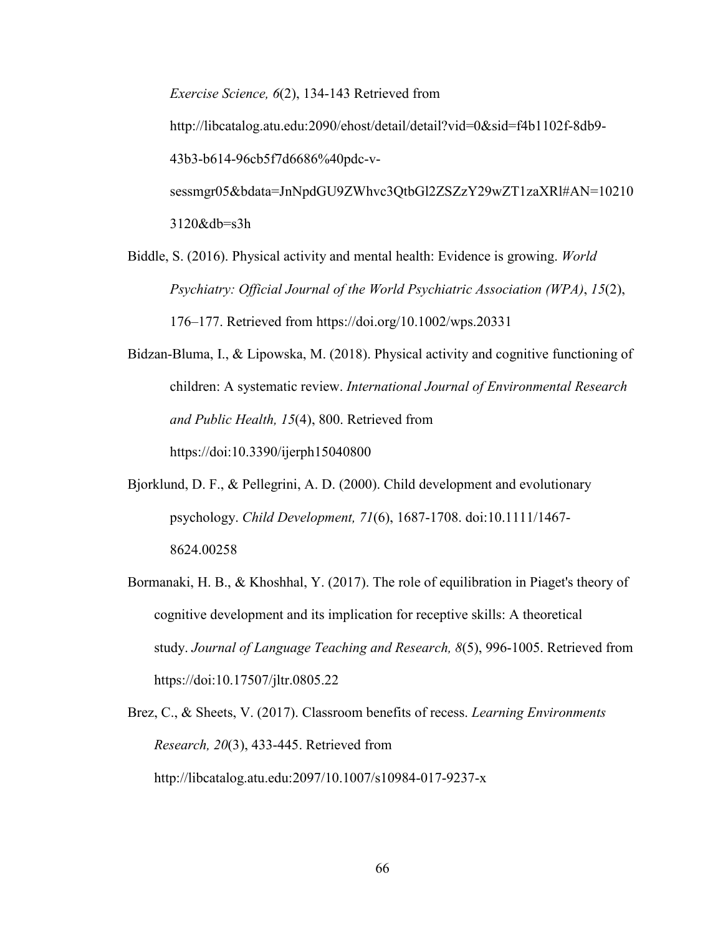*Exercise Science, 6*(2), 134-143 Retrieved from http://libcatalog.atu.edu:2090/ehost/detail/detail?vid=0&sid=f4b1102f-8db9- 43b3-b614-96cb5f7d6686%40pdc-vsessmgr05&bdata=JnNpdGU9ZWhvc3QtbGl2ZSZzY29wZT1zaXRl#AN=10210 3120&db=s3h

- Biddle, S. (2016). Physical activity and mental health: Evidence is growing. *World Psychiatry: Official Journal of the World Psychiatric Association (WPA)*, *15*(2), 176–177. Retrieved from https://doi.org/10.1002/wps.20331
- Bidzan-Bluma, I., & Lipowska, M. (2018). Physical activity and cognitive functioning of children: A systematic review. *International Journal of Environmental Research and Public Health, 15*(4), 800. Retrieved from https://doi:10.3390/ijerph15040800
- Bjorklund, D. F., & Pellegrini, A. D. (2000). Child development and evolutionary psychology. *Child Development, 71*(6), 1687-1708. doi:10.1111/1467- 8624.00258
- Bormanaki, H. B., & Khoshhal, Y. (2017). The role of equilibration in Piaget's theory of cognitive development and its implication for receptive skills: A theoretical study. *Journal of Language Teaching and Research, 8*(5), 996-1005. Retrieved from https://doi:10.17507/jltr.0805.22
- Brez, C., & Sheets, V. (2017). Classroom benefits of recess. *Learning Environments Research, 20*(3), 433-445. Retrieved from http://libcatalog.atu.edu:2097/10.1007/s10984-017-9237-x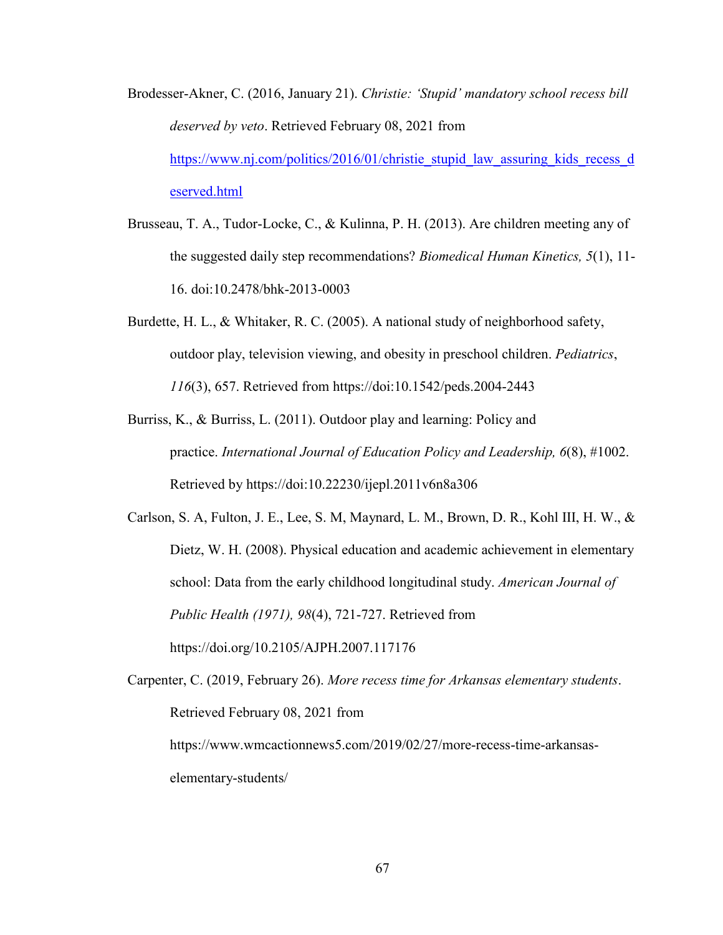- Brodesser-Akner, C. (2016, January 21). *Christie: 'Stupid' mandatory school recess bill deserved by veto*. Retrieved February 08, 2021 from [https://www.nj.com/politics/2016/01/christie\\_stupid\\_law\\_assuring\\_kids\\_recess\\_d](https://www.nj.com/politics/2016/01/christie_stupid_law_assuring_kids_recess_deserved.html)\_ [eserved.html](https://www.nj.com/politics/2016/01/christie_stupid_law_assuring_kids_recess_deserved.html)
- Brusseau, T. A., Tudor-Locke, C., & Kulinna, P. H. (2013). Are children meeting any of the suggested daily step recommendations? *Biomedical Human Kinetics, 5*(1), 11- 16. doi:10.2478/bhk-2013-0003
- Burdette, H. L., & Whitaker, R. C. (2005). A national study of neighborhood safety, outdoor play, television viewing, and obesity in preschool children. *Pediatrics*, *116*(3), 657. Retrieved from https://doi:10.1542/peds.2004-2443
- Burriss, K., & Burriss, L. (2011). Outdoor play and learning: Policy and practice. *International Journal of Education Policy and Leadership, 6*(8), #1002. Retrieved by https://doi:10.22230/ijepl.2011v6n8a306
- Carlson, S. A, Fulton, J. E., Lee, S. M, Maynard, L. M., Brown, D. R., Kohl III, H. W., & Dietz, W. H. (2008). Physical education and academic achievement in elementary school: Data from the early childhood longitudinal study. *American Journal of Public Health (1971), 98*(4), 721-727. Retrieved from https://doi.org/10.2105/AJPH.2007.117176

Carpenter, C. (2019, February 26). *More recess time for Arkansas elementary students*. Retrieved February 08, 2021 from https://www.wmcactionnews5.com/2019/02/27/more-recess-time-arkansaselementary-students/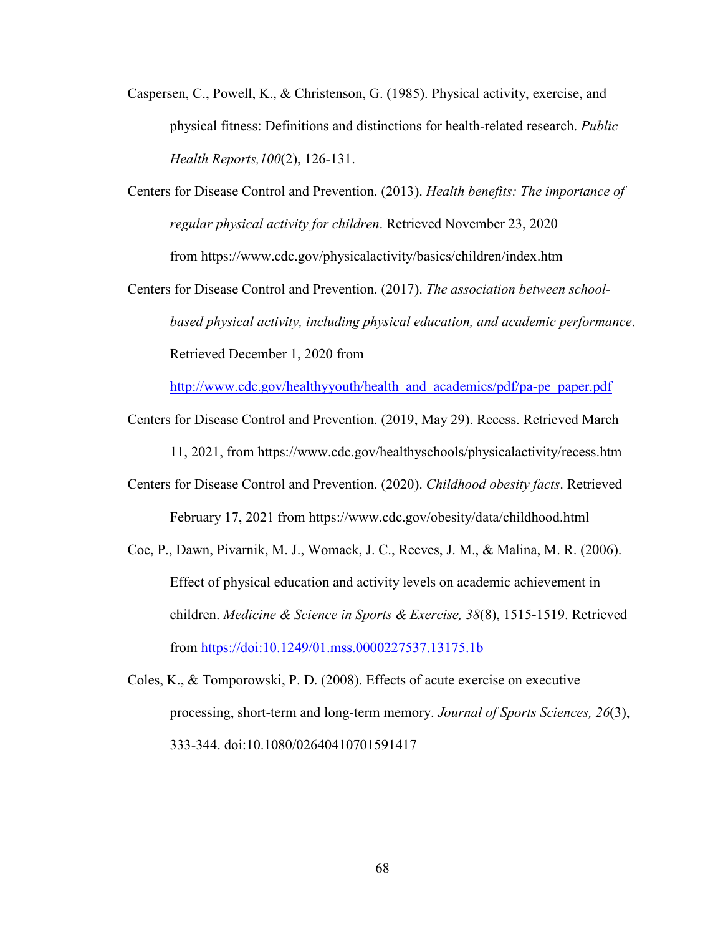Caspersen, C., Powell, K., & Christenson, G. (1985). Physical activity, exercise, and physical fitness: Definitions and distinctions for health-related research. *Public Health Reports,100*(2), 126-131.

Centers for Disease Control and Prevention. (2013). *Health benefits: The importance of regular physical activity for children*. Retrieved November 23, 2020 from https://www.cdc.gov/physicalactivity/basics/children/index.htm

Centers for Disease Control and Prevention. (2017). *The association between schoolbased physical activity, including physical education, and academic performance*. Retrieved December 1, 2020 from

[http://www.cdc.gov/healthyyouth/health\\_and\\_academics/pdf/pa-pe\\_paper.pdf](http://www.cdc.gov/healthyyouth/health_and_academics/pdf/pa-pe_paper.pdf)

Centers for Disease Control and Prevention. (2019, May 29). Recess. Retrieved March

11, 2021, from https://www.cdc.gov/healthyschools/physicalactivity/recess.htm

- Centers for Disease Control and Prevention. (2020). *Childhood obesity facts*. Retrieved February 17, 2021 from https://www.cdc.gov/obesity/data/childhood.html
- Coe, P., Dawn, Pivarnik, M. J., Womack, J. C., Reeves, J. M., & Malina, M. R. (2006). Effect of physical education and activity levels on academic achievement in children. *Medicine & Science in Sports & Exercise, 38*(8), 1515-1519. Retrieved from<https://doi:10.1249/01.mss.0000227537.13175.1b>

Coles, K., & Tomporowski, P. D. (2008). Effects of acute exercise on executive processing, short-term and long-term memory. *Journal of Sports Sciences, 26*(3), 333-344. doi:10.1080/02640410701591417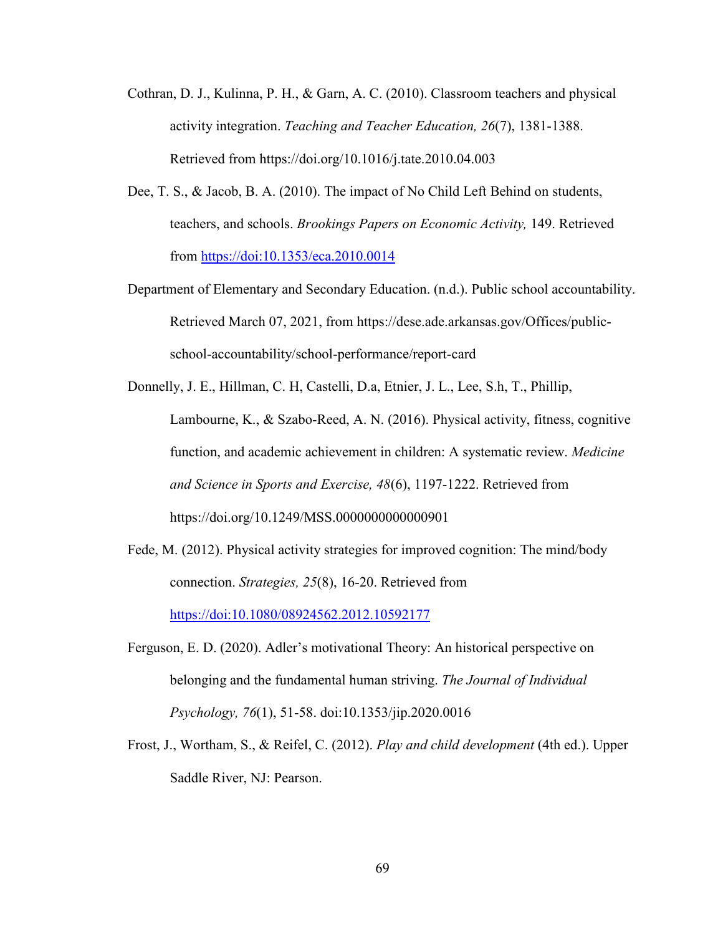- Cothran, D. J., Kulinna, P. H., & Garn, A. C. (2010). Classroom teachers and physical activity integration. *Teaching and Teacher Education, 26*(7), 1381-1388. Retrieved from https://doi.org/10.1016/j.tate.2010.04.003
- Dee, T. S., & Jacob, B. A. (2010). The impact of No Child Left Behind on students, teachers, and schools. *Brookings Papers on Economic Activity,* 149. Retrieved from <https://doi:10.1353/eca.2010.0014>
- Department of Elementary and Secondary Education. (n.d.). Public school accountability. Retrieved March 07, 2021, from https://dese.ade.arkansas.gov/Offices/publicschool-accountability/school-performance/report-card
- Donnelly, J. E., Hillman, C. H, Castelli, D.a, Etnier, J. L., Lee, S.h, T., Phillip, Lambourne, K., & Szabo-Reed, A. N. (2016). Physical activity, fitness, cognitive function, and academic achievement in children: A systematic review. *Medicine and Science in Sports and Exercise, 48*(6), 1197-1222. Retrieved from https://doi.org/10.1249/MSS.0000000000000901
- Fede, M. (2012). Physical activity strategies for improved cognition: The mind/body connection. *Strategies, 25*(8), 16-20. Retrieved from <https://doi:10.1080/08924562.2012.10592177>
- Ferguson, E. D. (2020). Adler's motivational Theory: An historical perspective on belonging and the fundamental human striving. *The Journal of Individual Psychology, 76*(1), 51-58. doi:10.1353/jip.2020.0016
- Frost, J., Wortham, S., & Reifel, C. (2012). *Play and child development* (4th ed.). Upper Saddle River, NJ: Pearson.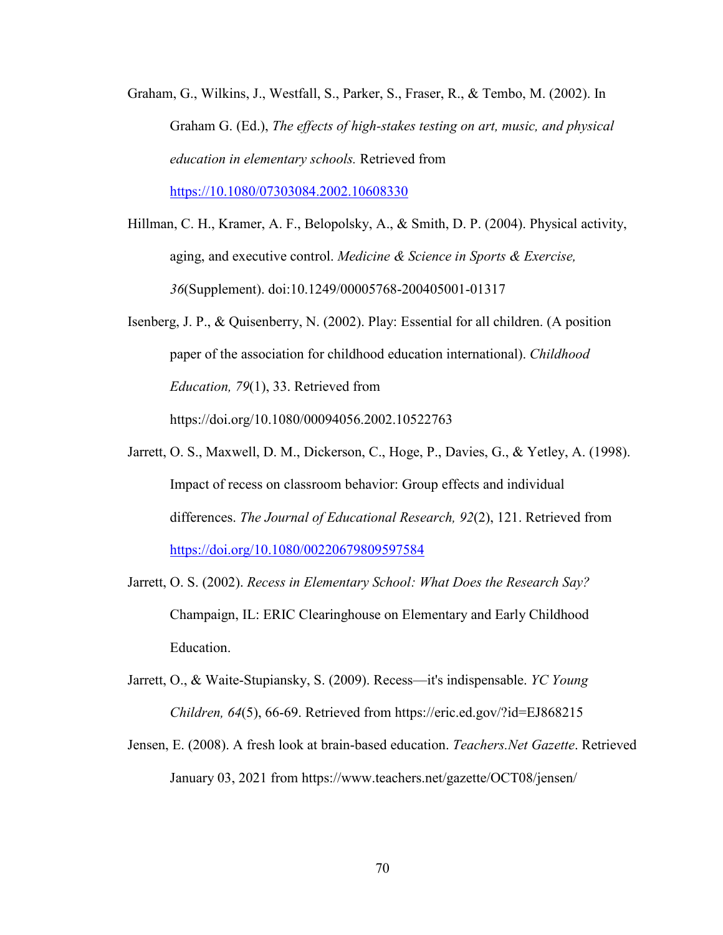Graham, G., Wilkins, J., Westfall, S., Parker, S., Fraser, R., & Tembo, M. (2002). In Graham G. (Ed.), *The effects of high-stakes testing on art, music, and physical education in elementary schools.* Retrieved from

[https://10.1080/07303084.2002.10608330](https://10.0.4.56/07303084.2002.10608330)

- Hillman, C. H., Kramer, A. F., Belopolsky, A., & Smith, D. P. (2004). Physical activity, aging, and executive control. *Medicine & Science in Sports & Exercise, 36*(Supplement). doi:10.1249/00005768-200405001-01317
- Isenberg, J. P., & Quisenberry, N. (2002). Play: Essential for all children. (A position paper of the association for childhood education international). *Childhood Education, 79*(1), 33. Retrieved from https://doi.org/10.1080/00094056.2002.10522763
- Jarrett, O. S., Maxwell, D. M., Dickerson, C., Hoge, P., Davies, G., & Yetley, A. (1998). Impact of recess on classroom behavior: Group effects and individual differences. *The Journal of Educational Research, 92*(2), 121. Retrieved from <https://doi.org/10.1080/00220679809597584>
- Jarrett, O. S. (2002). *Recess in Elementary School: What Does the Research Say?* Champaign, IL: ERIC Clearinghouse on Elementary and Early Childhood Education.
- Jarrett, O., & Waite-Stupiansky, S. (2009). Recess—it's indispensable. *YC Young Children, 64*(5), 66-69. Retrieved from https://eric.ed.gov/?id=EJ868215
- Jensen, E. (2008). A fresh look at brain-based education. *Teachers.Net Gazette*. Retrieved January 03, 2021 from https://www.teachers.net/gazette/OCT08/jensen/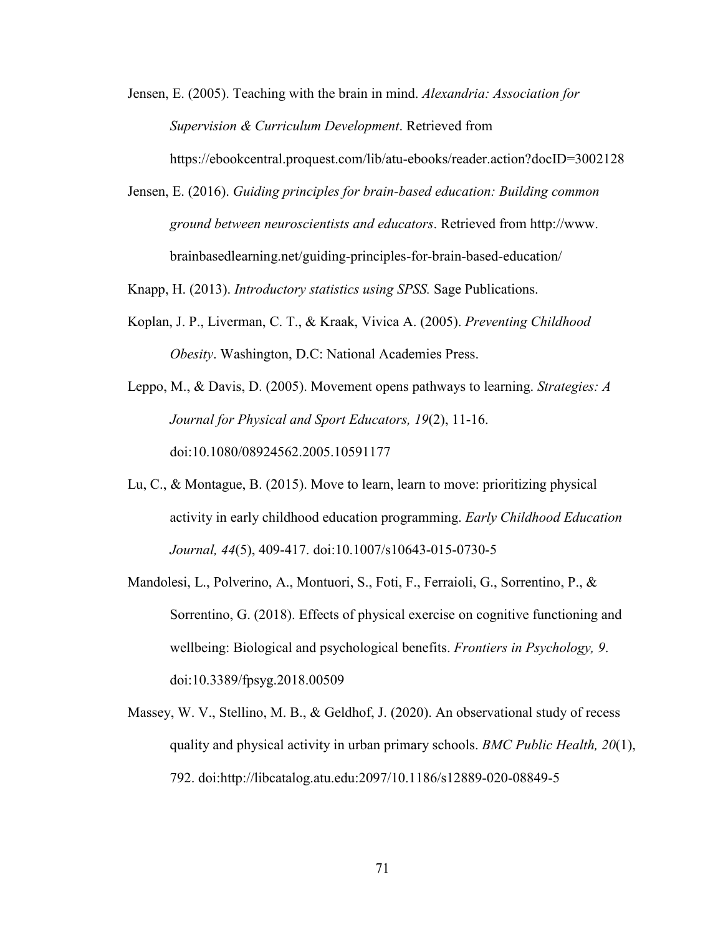- Jensen, E. (2005). Teaching with the brain in mind. *Alexandria: Association for Supervision & Curriculum Development*. Retrieved from https://ebookcentral.proquest.com/lib/atu-ebooks/reader.action?docID=3002128
- Jensen, E. (2016). *Guiding principles for brain-based education: Building common ground between neuroscientists and educators*. Retrieved from http://www. brainbasedlearning.net/guiding-principles-for-brain-based-education/

Knapp, H. (2013). *Introductory statistics using SPSS.* Sage Publications.

Koplan, J. P., Liverman, C. T., & Kraak, Vivica A. (2005). *Preventing Childhood Obesity*. Washington, D.C: National Academies Press.

Leppo, M., & Davis, D. (2005). Movement opens pathways to learning. *Strategies: A Journal for Physical and Sport Educators, 19*(2), 11-16. doi:10.1080/08924562.2005.10591177

- Lu, C., & Montague, B. (2015). Move to learn, learn to move: prioritizing physical activity in early childhood education programming. *Early Childhood Education Journal, 44*(5), 409-417. doi:10.1007/s10643-015-0730-5
- Mandolesi, L., Polverino, A., Montuori, S., Foti, F., Ferraioli, G., Sorrentino, P., & Sorrentino, G. (2018). Effects of physical exercise on cognitive functioning and wellbeing: Biological and psychological benefits. *Frontiers in Psychology, 9*. doi:10.3389/fpsyg.2018.00509
- Massey, W. V., Stellino, M. B., & Geldhof, J. (2020). An observational study of recess quality and physical activity in urban primary schools. *BMC Public Health, 20*(1), 792. doi:http://libcatalog.atu.edu:2097/10.1186/s12889-020-08849-5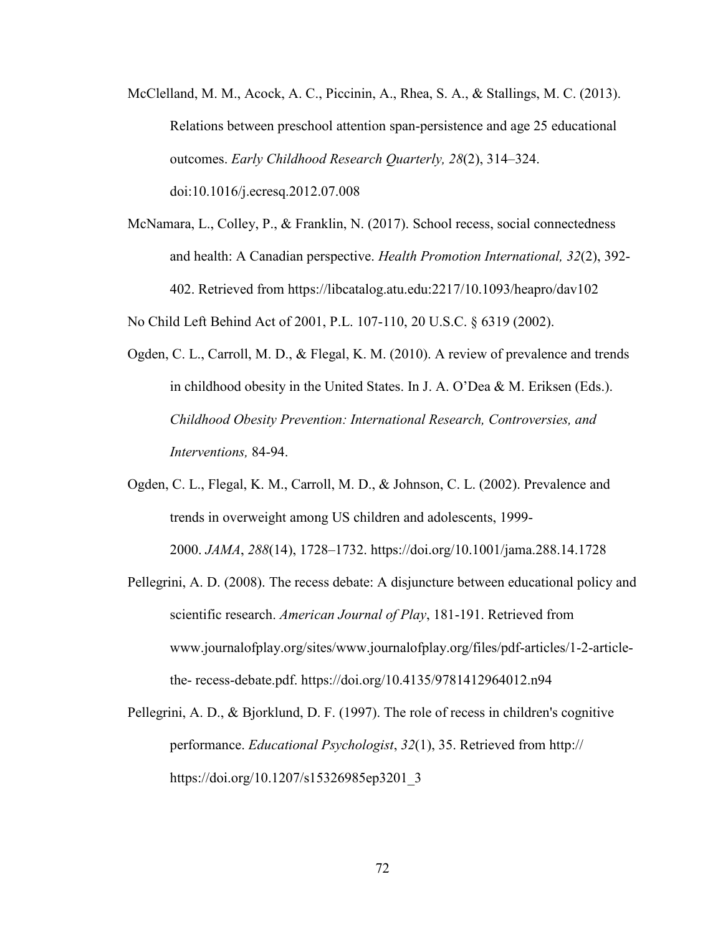- McClelland, M. M., Acock, A. C., Piccinin, A., Rhea, S. A., & Stallings, M. C. (2013). Relations between preschool attention span-persistence and age 25 educational outcomes. *Early Childhood Research Quarterly, 28*(2), 314–324. doi:10.1016/j.ecresq.2012.07.008
- McNamara, L., Colley, P., & Franklin, N. (2017). School recess, social connectedness and health: A Canadian perspective. *Health Promotion International, 32*(2), 392- 402. Retrieved from https://libcatalog.atu.edu:2217/10.1093/heapro/dav102

No Child Left Behind Act of 2001, P.L. 107-110, 20 U.S.C. § 6319 (2002).

- Ogden, C. L., Carroll, M. D., & Flegal, K. M. (2010). A review of prevalence and trends in childhood obesity in the United States. In J. A. O'Dea & M. Eriksen (Eds.). *Childhood Obesity Prevention: International Research, Controversies, and Interventions,* 84-94.
- Ogden, C. L., Flegal, K. M., Carroll, M. D., & Johnson, C. L. (2002). Prevalence and trends in overweight among US children and adolescents, 1999- 2000. *JAMA*, *288*(14), 1728–1732. https://doi.org/10.1001/jama.288.14.1728
- Pellegrini, A. D. (2008). The recess debate: A disjuncture between educational policy and scientific research. *American Journal of Play*, 181-191. Retrieved from www.journalofplay.org/sites/www.journalofplay.org/files/pdf-articles/1-2-articlethe- recess-debate.pdf. https://doi.org/10.4135/9781412964012.n94
- Pellegrini, A. D., & Bjorklund, D. F. (1997). The role of recess in children's cognitive performance. *Educational Psychologist*, *32*(1), 35. Retrieved from http:// https://doi.org/10.1207/s15326985ep3201\_3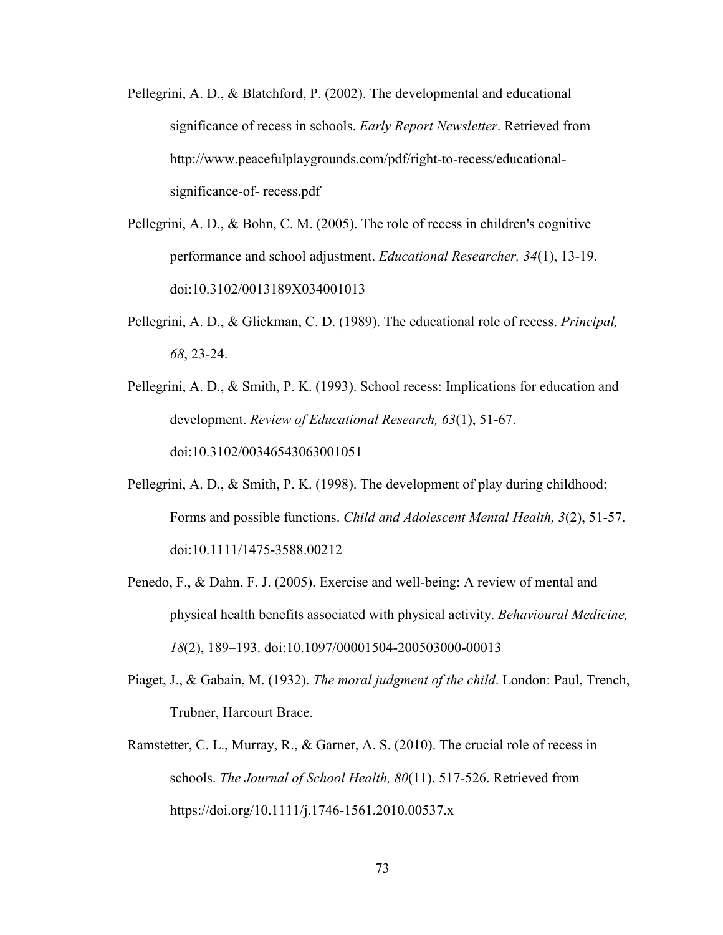- Pellegrini, A. D., & Blatchford, P. (2002). The developmental and educational significance of recess in schools. *Early Report Newsletter*. Retrieved from http://www.peacefulplaygrounds.com/pdf/right-to-recess/educationalsignificance-of- recess.pdf
- Pellegrini, A. D., & Bohn, C. M. (2005). The role of recess in children's cognitive performance and school adjustment. *Educational Researcher, 34*(1), 13-19. doi:10.3102/0013189X034001013
- Pellegrini, A. D., & Glickman, C. D. (1989). The educational role of recess. *Principal, 68*, 23-24.
- Pellegrini, A. D., & Smith, P. K. (1993). School recess: Implications for education and development. *Review of Educational Research, 63*(1), 51-67. doi:10.3102/00346543063001051
- Pellegrini, A. D., & Smith, P. K. (1998). The development of play during childhood: Forms and possible functions. *Child and Adolescent Mental Health, 3*(2), 51-57. doi:10.1111/1475-3588.00212
- Penedo, F., & Dahn, F. J. (2005). Exercise and well-being: A review of mental and physical health benefits associated with physical activity. *Behavioural Medicine, 18*(2), 189–193. doi:10.1097/00001504-200503000-00013
- Piaget, J., & Gabain, M. (1932). *The moral judgment of the child*. London: Paul, Trench, Trubner, Harcourt Brace.
- Ramstetter, C. L., Murray, R., & Garner, A. S. (2010). The crucial role of recess in schools. *The Journal of School Health, 80*(11), 517-526. Retrieved from https://doi.org/10.1111/j.1746-1561.2010.00537.x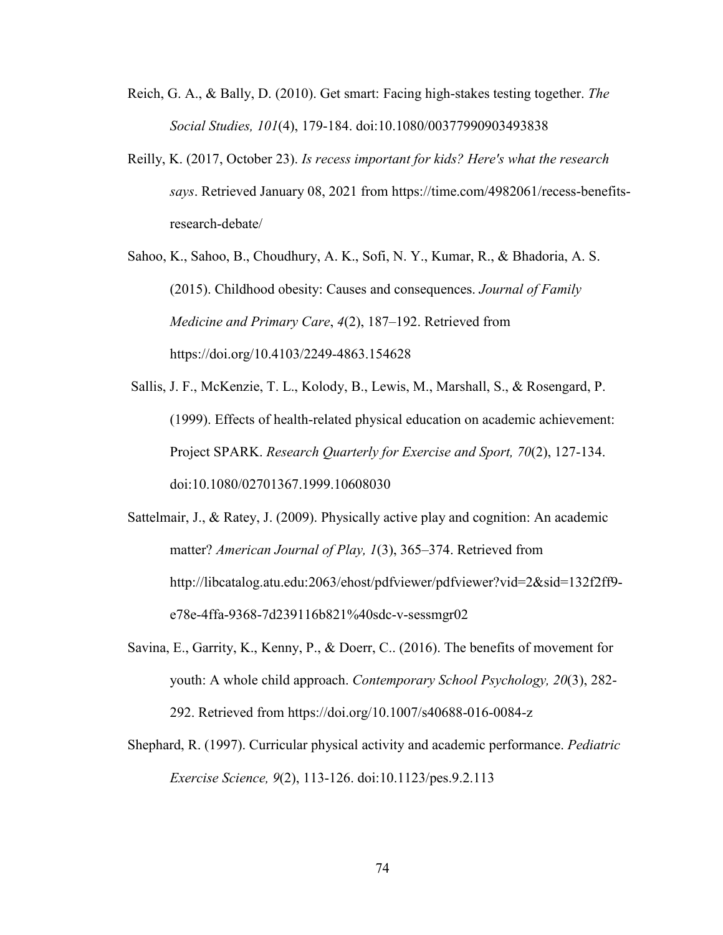- Reich, G. A., & Bally, D. (2010). Get smart: Facing high-stakes testing together. *The Social Studies, 101*(4), 179-184. doi:10.1080/00377990903493838
- Reilly, K. (2017, October 23). *Is recess important for kids? Here's what the research says*. Retrieved January 08, 2021 from https://time.com/4982061/recess-benefitsresearch-debate/
- Sahoo, K., Sahoo, B., Choudhury, A. K., Sofi, N. Y., Kumar, R., & Bhadoria, A. S. (2015). Childhood obesity: Causes and consequences. *Journal of Family Medicine and Primary Care*, *4*(2), 187–192. Retrieved from https://doi.org/10.4103/2249-4863.154628
- Sallis, J. F., McKenzie, T. L., Kolody, B., Lewis, M., Marshall, S., & Rosengard, P. (1999). Effects of health-related physical education on academic achievement: Project SPARK. *Research Quarterly for Exercise and Sport, 70*(2), 127-134. doi:10.1080/02701367.1999.10608030
- Sattelmair, J., & Ratey, J. (2009). Physically active play and cognition: An academic matter? *American Journal of Play, 1*(3), 365–374. Retrieved from http://libcatalog.atu.edu:2063/ehost/pdfviewer/pdfviewer?vid=2&sid=132f2ff9 e78e-4ffa-9368-7d239116b821%40sdc-v-sessmgr02
- Savina, E., Garrity, K., Kenny, P., & Doerr, C.. (2016). The benefits of movement for youth: A whole child approach. *Contemporary School Psychology, 20*(3), 282- 292. Retrieved from https://doi.org/10.1007/s40688-016-0084-z
- Shephard, R. (1997). Curricular physical activity and academic performance. *Pediatric Exercise Science, 9*(2), 113-126. doi:10.1123/pes.9.2.113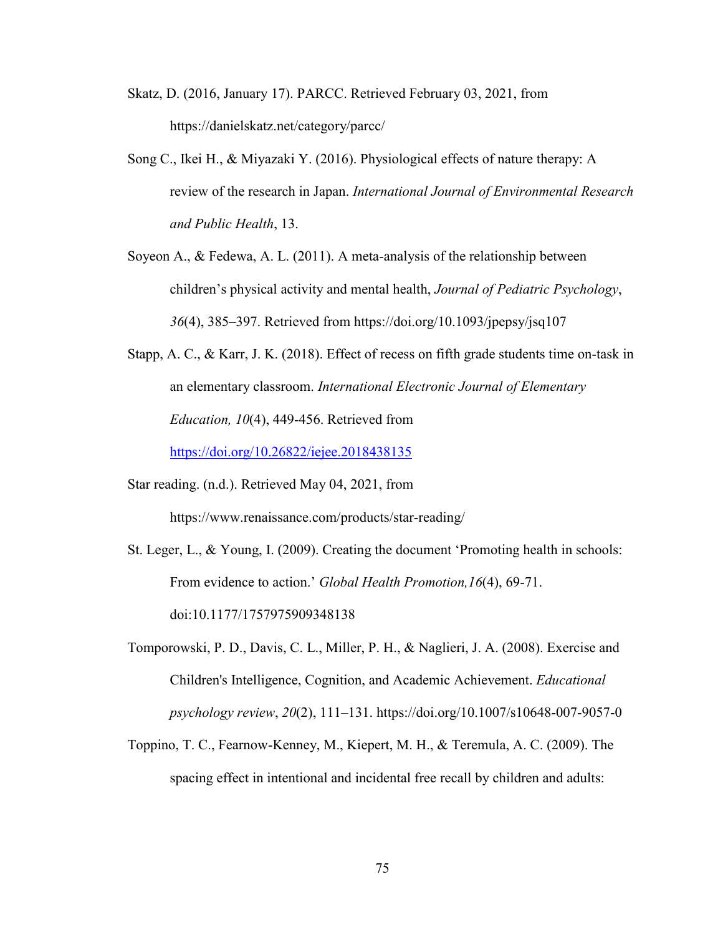- Skatz, D. (2016, January 17). PARCC. Retrieved February 03, 2021, from https://danielskatz.net/category/parcc/
- Song C., Ikei H., & Miyazaki Y. (2016). Physiological effects of nature therapy: A review of the research in Japan. *International Journal of Environmental Research and Public Health*, 13.
- Soyeon A., & Fedewa, A. L. (2011). A meta-analysis of the relationship between children's physical activity and mental health, *Journal of Pediatric Psychology*, *36*(4), 385–397. Retrieved from https://doi.org/10.1093/jpepsy/jsq107
- Stapp, A. C., & Karr, J. K. (2018). Effect of recess on fifth grade students time on-task in an elementary classroom. *International Electronic Journal of Elementary Education, 10*(4), 449-456. Retrieved from

<https://doi.org/10.26822/iejee.2018438135>

Star reading. (n.d.). Retrieved May 04, 2021, from

https://www.renaissance.com/products/star-reading/

St. Leger, L., & Young, I. (2009). Creating the document 'Promoting health in schools: From evidence to action.' *Global Health Promotion,16*(4), 69-71. doi:10.1177/1757975909348138

- Tomporowski, P. D., Davis, C. L., Miller, P. H., & Naglieri, J. A. (2008). Exercise and Children's Intelligence, Cognition, and Academic Achievement. *Educational psychology review*, *20*(2), 111–131. https://doi.org/10.1007/s10648-007-9057-0
- Toppino, T. C., Fearnow-Kenney, M., Kiepert, M. H., & Teremula, A. C. (2009). The spacing effect in intentional and incidental free recall by children and adults: